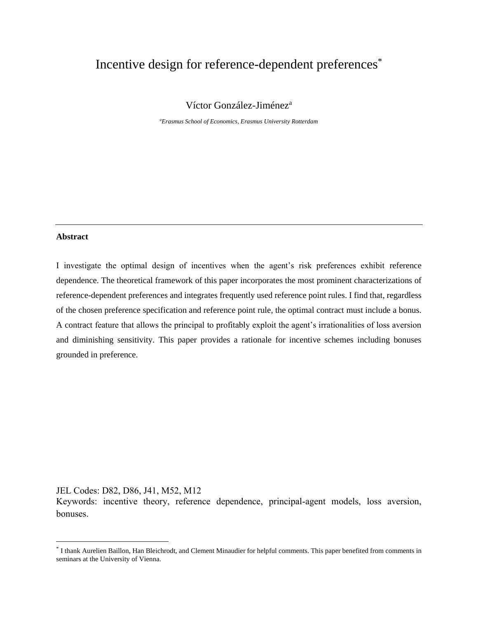# Incentive design for reference-dependent preferences\*

Víctor González-Jiménez<sup>a</sup>

*<sup>a</sup>Erasmus School of Economics, Erasmus University Rotterdam*

#### **Abstract**

I investigate the optimal design of incentives when the agent's risk preferences exhibit reference dependence. The theoretical framework of this paper incorporates the most prominent characterizations of reference-dependent preferences and integrates frequently used reference point rules. I find that, regardless of the chosen preference specification and reference point rule, the optimal contract must include a bonus. A contract feature that allows the principal to profitably exploit the agent's irrationalities of loss aversion and diminishing sensitivity. This paper provides a rationale for incentive schemes including bonuses grounded in preference.

JEL Codes: D82, D86, J41, M52, M12

Keywords: incentive theory, reference dependence, principal-agent models, loss aversion, bonuses.

<sup>\*</sup> I thank Aurelien Baillon, Han Bleichrodt, and Clement Minaudier for helpful comments. This paper benefited from comments in seminars at the University of Vienna.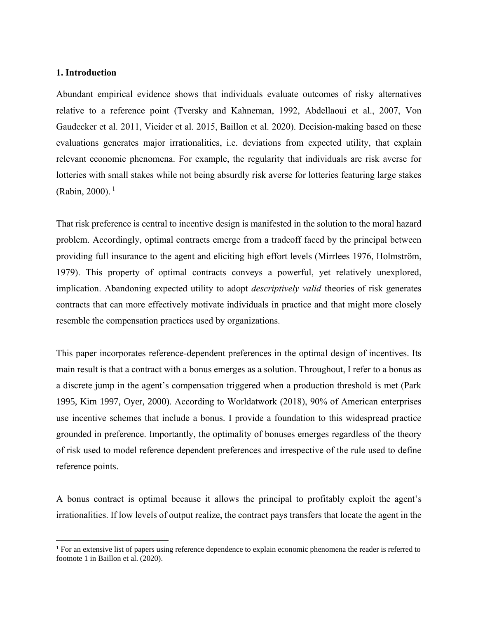## **1. Introduction**

Abundant empirical evidence shows that individuals evaluate outcomes of risky alternatives relative to a reference point (Tversky and Kahneman, 1992, Abdellaoui et al., 2007, Von Gaudecker et al. 2011, Vieider et al. 2015, Baillon et al. 2020). Decision-making based on these evaluations generates major irrationalities, i.e. deviations from expected utility, that explain relevant economic phenomena. For example, the regularity that individuals are risk averse for lotteries with small stakes while not being absurdly risk averse for lotteries featuring large stakes  $(Rabin, 2000).$ <sup>1</sup>

That risk preference is central to incentive design is manifested in the solution to the moral hazard problem. Accordingly, optimal contracts emerge from a tradeoff faced by the principal between providing full insurance to the agent and eliciting high effort levels (Mirrlees 1976, Holmström, 1979). This property of optimal contracts conveys a powerful, yet relatively unexplored, implication. Abandoning expected utility to adopt *descriptively valid* theories of risk generates contracts that can more effectively motivate individuals in practice and that might more closely resemble the compensation practices used by organizations.

This paper incorporates reference-dependent preferences in the optimal design of incentives. Its main result is that a contract with a bonus emerges as a solution. Throughout, I refer to a bonus as a discrete jump in the agent's compensation triggered when a production threshold is met (Park 1995, Kim 1997, Oyer, 2000). According to Worldatwork (2018), 90% of American enterprises use incentive schemes that include a bonus. I provide a foundation to this widespread practice grounded in preference. Importantly, the optimality of bonuses emerges regardless of the theory of risk used to model reference dependent preferences and irrespective of the rule used to define reference points.

A bonus contract is optimal because it allows the principal to profitably exploit the agent's irrationalities. If low levels of output realize, the contract pays transfers that locate the agent in the

<sup>&</sup>lt;sup>1</sup> For an extensive list of papers using reference dependence to explain economic phenomena the reader is referred to footnote 1 in Baillon et al. (2020).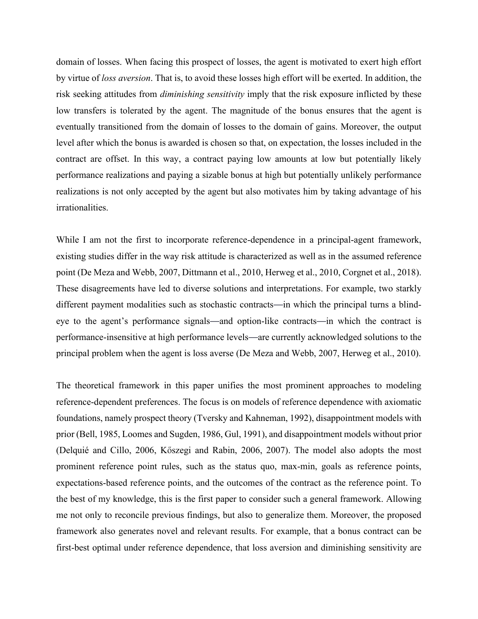domain of losses. When facing this prospect of losses, the agent is motivated to exert high effort by virtue of *loss aversion*. That is, to avoid these losses high effort will be exerted. In addition, the risk seeking attitudes from *diminishing sensitivity* imply that the risk exposure inflicted by these low transfers is tolerated by the agent. The magnitude of the bonus ensures that the agent is eventually transitioned from the domain of losses to the domain of gains. Moreover, the output level after which the bonus is awarded is chosen so that, on expectation, the losses included in the contract are offset. In this way, a contract paying low amounts at low but potentially likely performance realizations and paying a sizable bonus at high but potentially unlikely performance realizations is not only accepted by the agent but also motivates him by taking advantage of his irrationalities.

While I am not the first to incorporate reference-dependence in a principal-agent framework, existing studies differ in the way risk attitude is characterized as well as in the assumed reference point (De Meza and Webb, 2007, Dittmann et al., 2010, Herweg et al., 2010, Corgnet et al., 2018). These disagreements have led to diverse solutions and interpretations. For example, two starkly different payment modalities such as stochastic contracts—in which the principal turns a blindeye to the agent's performance signals—and option-like contracts—in which the contract is performance-insensitive at high performance levels—are currently acknowledged solutions to the principal problem when the agent is loss averse (De Meza and Webb, 2007, Herweg et al., 2010).

The theoretical framework in this paper unifies the most prominent approaches to modeling reference-dependent preferences. The focus is on models of reference dependence with axiomatic foundations, namely prospect theory (Tversky and Kahneman, 1992), disappointment models with prior (Bell, 1985, Loomes and Sugden, 1986, Gul, 1991), and disappointment models without prior (Delquié and Cillo, 2006, Kőszegi and Rabin, 2006, 2007). The model also adopts the most prominent reference point rules, such as the status quo, max-min, goals as reference points, expectations-based reference points, and the outcomes of the contract as the reference point. To the best of my knowledge, this is the first paper to consider such a general framework. Allowing me not only to reconcile previous findings, but also to generalize them. Moreover, the proposed framework also generates novel and relevant results. For example, that a bonus contract can be first-best optimal under reference dependence, that loss aversion and diminishing sensitivity are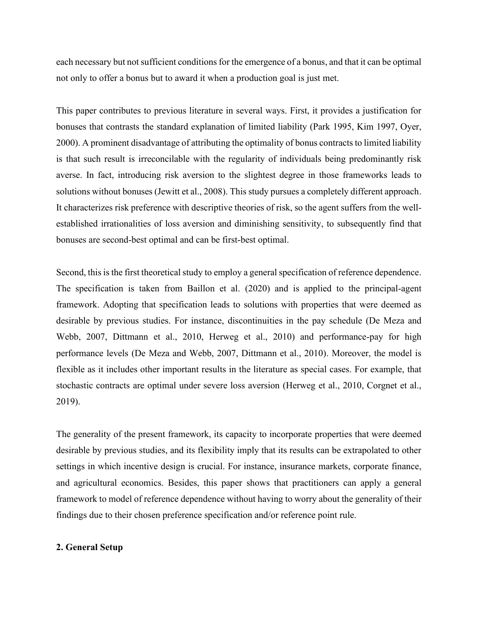each necessary but not sufficient conditions for the emergence of a bonus, and that it can be optimal not only to offer a bonus but to award it when a production goal is just met.

This paper contributes to previous literature in several ways. First, it provides a justification for bonuses that contrasts the standard explanation of limited liability (Park 1995, Kim 1997, Oyer, 2000). A prominent disadvantage of attributing the optimality of bonus contracts to limited liability is that such result is irreconcilable with the regularity of individuals being predominantly risk averse. In fact, introducing risk aversion to the slightest degree in those frameworks leads to solutions without bonuses (Jewitt et al., 2008). This study pursues a completely different approach. It characterizes risk preference with descriptive theories of risk, so the agent suffers from the wellestablished irrationalities of loss aversion and diminishing sensitivity, to subsequently find that bonuses are second-best optimal and can be first-best optimal.

Second, this is the first theoretical study to employ a general specification of reference dependence. The specification is taken from Baillon et al. (2020) and is applied to the principal-agent framework. Adopting that specification leads to solutions with properties that were deemed as desirable by previous studies. For instance, discontinuities in the pay schedule (De Meza and Webb, 2007, Dittmann et al., 2010, Herweg et al., 2010) and performance-pay for high performance levels (De Meza and Webb, 2007, Dittmann et al., 2010). Moreover, the model is flexible as it includes other important results in the literature as special cases. For example, that stochastic contracts are optimal under severe loss aversion (Herweg et al., 2010, Corgnet et al., 2019).

The generality of the present framework, its capacity to incorporate properties that were deemed desirable by previous studies, and its flexibility imply that its results can be extrapolated to other settings in which incentive design is crucial. For instance, insurance markets, corporate finance, and agricultural economics. Besides, this paper shows that practitioners can apply a general framework to model of reference dependence without having to worry about the generality of their findings due to their chosen preference specification and/or reference point rule.

## **2. General Setup**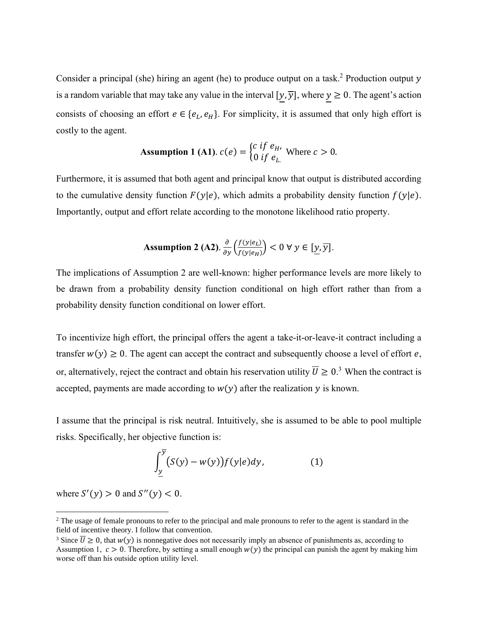Consider a principal (she) hiring an agent (he) to produce output on a task.<sup>2</sup> Production output  $y$ is a random variable that may take any value in the interval  $[y, \overline{y}]$ , where  $y \ge 0$ . The agent's action consists of choosing an effort  $e \in \{e_L, e_H\}$ . For simplicity, it is assumed that only high effort is costly to the agent.

**Assumption 1 (A1).** 
$$
c(e) = \begin{cases} c & \text{if } e_H, \\ 0 & \text{if } e_L. \end{cases}
$$
 Where  $c > 0$ .

Furthermore, it is assumed that both agent and principal know that output is distributed according to the cumulative density function  $F(y|e)$ , which admits a probability density function  $f(y|e)$ . Importantly, output and effort relate according to the monotone likelihood ratio property.

**Assumption 2 (A2).** 
$$
\frac{\partial}{\partial y} \left( \frac{f(y|e_L)}{f(y|e_H)} \right) < 0 \ \forall \ y \in [\underline{y}, \overline{y}].
$$

The implications of Assumption 2 are well-known: higher performance levels are more likely to be drawn from a probability density function conditional on high effort rather than from a probability density function conditional on lower effort.

To incentivize high effort, the principal offers the agent a take-it-or-leave-it contract including a transfer  $w(y) \ge 0$ . The agent can accept the contract and subsequently choose a level of effort e, or, alternatively, reject the contract and obtain his reservation utility  $\overline{U} \geq 0$ .<sup>3</sup> When the contract is accepted, payments are made according to  $w(y)$  after the realization  $y$  is known.

I assume that the principal is risk neutral. Intuitively, she is assumed to be able to pool multiple risks. Specifically, her objective function is:

$$
\int_{\underline{y}}^{\overline{y}} (S(y) - w(y)) f(y|e) dy, \tag{1}
$$

where  $S'(y) > 0$  and  $S''(y) < 0$ .

 $<sup>2</sup>$  The usage of female pronouns to refer to the principal and male pronouns to refer to the agent is standard in the</sup> field of incentive theory. I follow that convention.

<sup>&</sup>lt;sup>3</sup> Since  $\overline{U} \ge 0$ , that  $w(y)$  is nonnegative does not necessarily imply an absence of punishments as, according to Assumption 1,  $c > 0$ . Therefore, by setting a small enough  $w(y)$  the principal can punish the agent by making him worse off than his outside option utility level.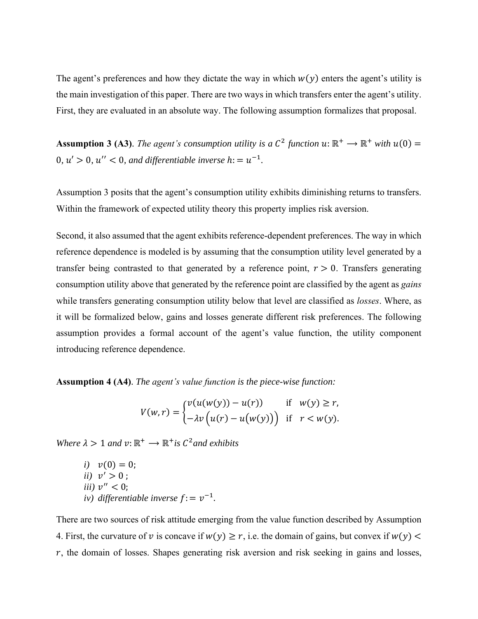The agent's preferences and how they dictate the way in which  $w(y)$  enters the agent's utility is the main investigation of this paper. There are two ways in which transfers enter the agent's utility. First, they are evaluated in an absolute way. The following assumption formalizes that proposal.

**Assumption 3 (A3)**. *The agent's consumption utility is a*  $C^2$  *function*  $u: \mathbb{R}^+ \to \mathbb{R}^+$  *with*  $u(0) =$ 0,  $u' > 0$ ,  $u'' < 0$ , and differentiable inverse  $h = u^{-1}$ .

Assumption 3 posits that the agent's consumption utility exhibits diminishing returns to transfers. Within the framework of expected utility theory this property implies risk aversion.

Second, it also assumed that the agent exhibits reference-dependent preferences. The way in which reference dependence is modeled is by assuming that the consumption utility level generated by a transfer being contrasted to that generated by a reference point,  $r > 0$ . Transfers generating consumption utility above that generated by the reference point are classified by the agent as *gains* while transfers generating consumption utility below that level are classified as *losses*. Where, as it will be formalized below, gains and losses generate different risk preferences. The following assumption provides a formal account of the agent's value function, the utility component introducing reference dependence.

**Assumption 4 (A4)**. *The agent's value function is the piece-wise function:* 

$$
V(w,r) = \begin{cases} v(u(w(y)) - u(r)) & \text{if } w(y) \ge r, \\ -\lambda v(u(r) - u(w(y))) & \text{if } r < w(y). \end{cases}
$$

*Where*  $\lambda > 1$  *and*  $v: \mathbb{R}^+ \to \mathbb{R}^+$  *is*  $C^2$  *and exhibits* 

*i*)  $v(0) = 0$ ; *ii*)  $v' > 0$ ; *iii*)  $v'' < 0$ ; *iv*) differentiable inverse  $f: = v^{-1}$ .

There are two sources of risk attitude emerging from the value function described by Assumption 4. First, the curvature of v is concave if  $w(y) \ge r$ , i.e. the domain of gains, but convex if  $w(y)$  <  $r$ , the domain of losses. Shapes generating risk aversion and risk seeking in gains and losses,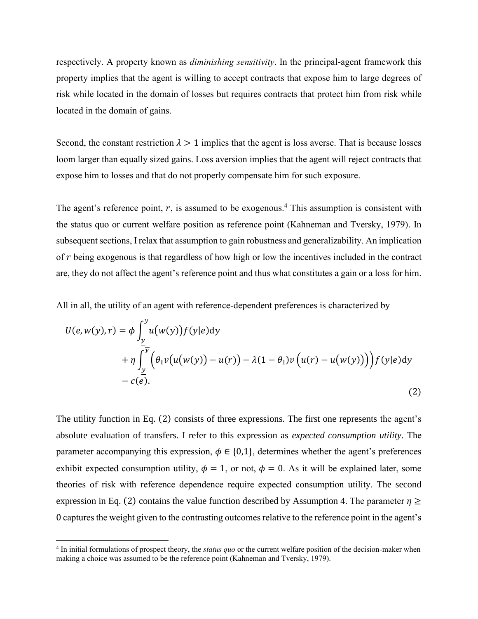respectively. A property known as *diminishing sensitivity*. In the principal-agent framework this property implies that the agent is willing to accept contracts that expose him to large degrees of risk while located in the domain of losses but requires contracts that protect him from risk while located in the domain of gains.

Second, the constant restriction  $\lambda > 1$  implies that the agent is loss averse. That is because losses loom larger than equally sized gains. Loss aversion implies that the agent will reject contracts that expose him to losses and that do not properly compensate him for such exposure.

The agent's reference point,  $r$ , is assumed to be exogenous.<sup>4</sup> This assumption is consistent with the status quo or current welfare position as reference point (Kahneman and Tversky, 1979). In subsequent sections, I relax that assumption to gain robustness and generalizability. An implication of  $r$  being exogenous is that regardless of how high or low the incentives included in the contract are, they do not affect the agent's reference point and thus what constitutes a gain or a loss for him.

All in all, the utility of an agent with reference-dependent preferences is characterized by

$$
U(e, w(y), r) = \phi \int_{\frac{y}{2}}^{\frac{y}{2}} u(w(y)) f(y|e) dy
$$
  
+  $\eta \int_{\frac{y}{2}}^{\frac{y}{2}} (\theta_{\parallel} v(u(w(y)) - u(r)) - \lambda (1 - \theta_{\parallel}) v(u(r) - u(w(y))) f(y|e) dy$   
-  $c(e).$  (2)

The utility function in Eq. (2) consists of three expressions. The first one represents the agent's absolute evaluation of transfers. I refer to this expression as *expected consumption utility*. The parameter accompanying this expression,  $\phi \in \{0,1\}$ , determines whether the agent's preferences exhibit expected consumption utility,  $\phi = 1$ , or not,  $\phi = 0$ . As it will be explained later, some theories of risk with reference dependence require expected consumption utility. The second expression in Eq. (2) contains the value function described by Assumption 4. The parameter  $\eta \ge$ 0 captures the weight given to the contrasting outcomesrelative to the reference point in the agent's

<sup>4</sup> In initial formulations of prospect theory, the *status quo* or the current welfare position of the decision-maker when making a choice was assumed to be the reference point (Kahneman and Tversky, 1979).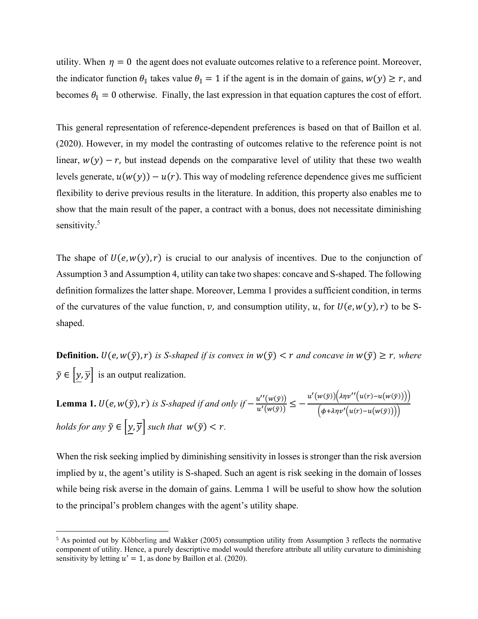utility. When  $\eta = 0$  the agent does not evaluate outcomes relative to a reference point. Moreover, the indicator function  $\theta_{\parallel}$  takes value  $\theta_{\parallel} = 1$  if the agent is in the domain of gains,  $w(y) \ge r$ , and becomes  $\theta_{\parallel} = 0$  otherwise. Finally, the last expression in that equation captures the cost of effort.

This general representation of reference-dependent preferences is based on that of Baillon et al. (2020). However, in my model the contrasting of outcomes relative to the reference point is not linear,  $w(y) - r$ , but instead depends on the comparative level of utility that these two wealth levels generate,  $u(w(y)) - u(r)$ . This way of modeling reference dependence gives me sufficient flexibility to derive previous results in the literature. In addition, this property also enables me to show that the main result of the paper, a contract with a bonus, does not necessitate diminishing sensitivity.<sup>5</sup>

The shape of  $U(e, w(y), r)$  is crucial to our analysis of incentives. Due to the conjunction of Assumption 3 and Assumption 4, utility can take two shapes: concave and S-shaped. The following definition formalizes the latter shape. Moreover, Lemma 1 provides a sufficient condition, in terms of the curvatures of the value function,  $\nu$ , and consumption utility,  $u$ , for  $U(e, w(y), r)$  to be Sshaped.

**Definition.**  $U(e, w(\tilde{y}), r)$  is *S-shaped if is convex in*  $w(\tilde{y}) < r$  *and concave in*  $w(\tilde{y}) \geq r$ *, where*  $\tilde{y} \in [y, \overline{y}]$  is an output realization.

**Lemma 1.**  $U(e, w(\tilde{y}), r)$  is *S-shaped if and only if*  $-\frac{u''(w(\tilde{y}))}{u'(w(\tilde{y}))}$  $\frac{u''(w(\tilde{y}))}{u'(w(\tilde{y}))} \leq -\frac{u'(w(\tilde{y}))(\lambda\eta v''(u(r)-u(w(\tilde{y}))))}{(\phi+\lambda\eta v'(u(r)-u(w(\tilde{y}))))}$  $(\phi + \lambda \eta v'(u(r)-u(w(\tilde{y})))$ *holds for any*  $\tilde{y} \in [y, \overline{y}]$  *such that*  $w(\tilde{y}) < r$ .

When the risk seeking implied by diminishing sensitivity in losses is stronger than the risk aversion implied by  $u$ , the agent's utility is S-shaped. Such an agent is risk seeking in the domain of losses while being risk averse in the domain of gains. Lemma 1 will be useful to show how the solution to the principal's problem changes with the agent's utility shape.

<sup>5</sup> As pointed out by Köbberling and Wakker (2005) consumption utility from Assumption 3 reflects the normative component of utility. Hence, a purely descriptive model would therefore attribute all utility curvature to diminishing sensitivity by letting  $u' = 1$ , as done by Baillon et al. (2020).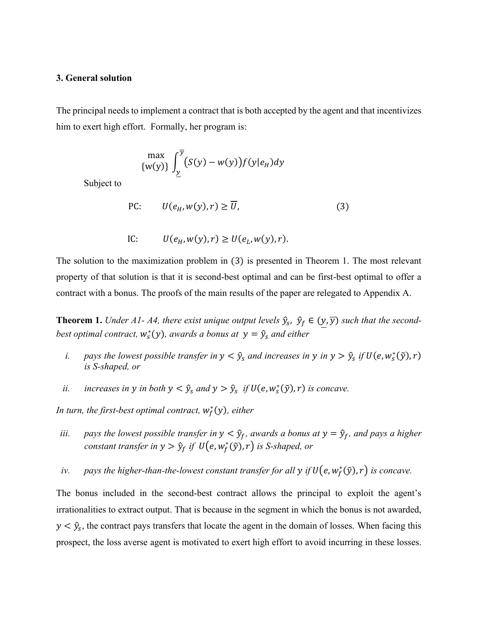### **3. General solution**

The principal needs to implement a contract that is both accepted by the agent and that incentivizes him to exert high effort. Formally, her program is:

$$
\max_{\{w(y)\}} \int_{\underline{y}}^{\overline{y}} (S(y) - w(y)) f(y|e_H) dy
$$

Subject to

$$
\text{PC:} \qquad U(e_H, w(y), r) \ge \overline{U},\tag{3}
$$

IC: 
$$
U(e_H, w(y), r) \ge U(e_L, w(y), r)
$$
.

The solution to the maximization problem in (3) is presented in Theorem 1. The most relevant property of that solution is that it is second-best optimal and can be first-best optimal to offer a contract with a bonus. The proofs of the main results of the paper are relegated to Appendix A.

**Theorem 1.** Under A1- A4, there exist unique output levels  $\hat{y}_s$ ,  $\hat{y}_f \in (y, \overline{y})$  such that the secondbest optimal contract,  $w_s^*(y)$ , awards a bonus at  $y = \hat{y}_s$  and either

- *i.* pays the lowest possible transfer in  $y < \hat{y}_s$  and increases in y in  $y > \hat{y}_s$  if  $U(e, w_s^*(\tilde{y}), r)$ *is S-shaped, or*
- *ii. increases in y in both*  $y < \hat{y}_s$  *and*  $y > \hat{y}_s$  *if*  $U(e, w_s^*(\tilde{y}), r)$  *is concave.*

In turn, the first-best optimal contract,  $w_f^*(y)$ , either

- *iii. pays the lowest possible transfer in*  $y < \hat{y}_f$ , *awards a bonus at*  $y = \hat{y}_f$ , *and pays a higher constant transfer in y >*  $\hat{y}_f$  *if*  $U(e, w_f^*(\tilde{y}), r)$  *is S-shaped, or*
- *iv.* pays the higher-than-the-lowest constant transfer for all y if  $U(e, w_f^*(\tilde{y}), r)$  is concave.

The bonus included in the second-best contract allows the principal to exploit the agent's irrationalities to extract output. That is because in the segment in which the bonus is not awarded,  $y < \hat{y}_s$ , the contract pays transfers that locate the agent in the domain of losses. When facing this prospect, the loss averse agent is motivated to exert high effort to avoid incurring in these losses.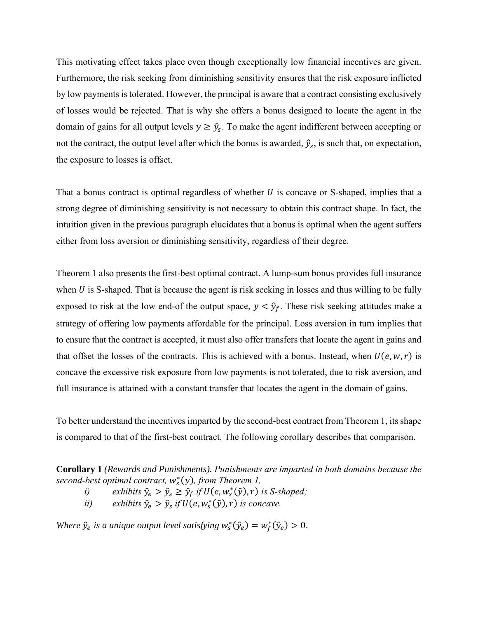This motivating effect takes place even though exceptionally low financial incentives are given. Furthermore, the risk seeking from diminishing sensitivity ensures that the risk exposure inflicted by low payments is tolerated. However, the principal is aware that a contract consisting exclusively of losses would be rejected. That is why she offers a bonus designed to locate the agent in the domain of gains for all output levels  $y \geq \hat{y}_s$ . To make the agent indifferent between accepting or not the contract, the output level after which the bonus is awarded,  $\hat{y}_s$ , is such that, on expectation, the exposure to losses is offset.

That a bonus contract is optimal regardless of whether  $U$  is concave or S-shaped, implies that a strong degree of diminishing sensitivity is not necessary to obtain this contract shape. In fact, the intuition given in the previous paragraph elucidates that a bonus is optimal when the agent suffers either from loss aversion or diminishing sensitivity, regardless of their degree.

Theorem 1 also presents the first-best optimal contract. A lump-sum bonus provides full insurance when  $U$  is S-shaped. That is because the agent is risk seeking in losses and thus willing to be fully exposed to risk at the low end-of the output space,  $y < \hat{y}_f$ . These risk seeking attitudes make a strategy of offering low payments affordable for the principal. Loss aversion in turn implies that to ensure that the contract is accepted, it must also offer transfers that locate the agent in gains and that offset the losses of the contracts. This is achieved with a bonus. Instead, when  $U(e, w, r)$  is concave the excessive risk exposure from low payments is not tolerated, due to risk aversion, and full insurance is attained with a constant transfer that locates the agent in the domain of gains.

To better understand the incentives imparted by the second-best contract from Theorem 1, its shape is compared to that of the first-best contract. The following corollary describes that comparison.

**Corollary 1** *(Rewards and Punishments). Punishments are imparted in both domains because the* second-best optimal contract,  $w_s^*(y)$ , from Theorem 1,

- *i*) *exhibits*  $\hat{y}_e > \hat{y}_s \ge \hat{y}_f$  *if*  $U(e, w_s^*(\tilde{y}), r)$  *is S-shaped*;
- *ii*) *exhibits*  $\hat{y}_e > \hat{y}_s$  *if*  $U(e, w_s^*(\tilde{y}), r)$  *is concave.*

*Where*  $\hat{y}_e$  *is a unique output level satisfying*  $w_s^*(\hat{y}_e) = w_f^*(\hat{y}_e) > 0$ .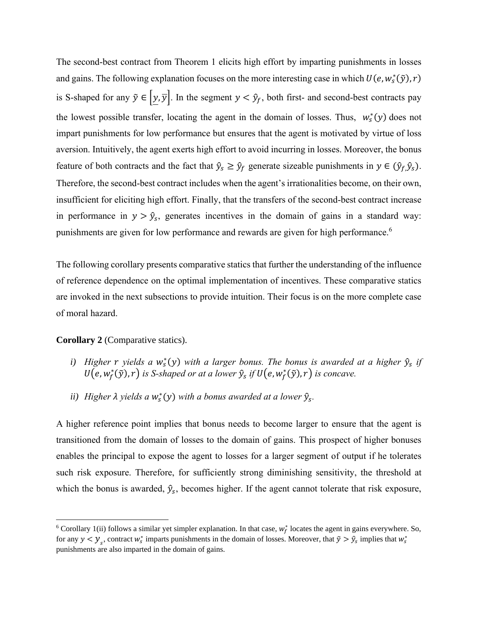The second-best contract from Theorem 1 elicits high effort by imparting punishments in losses and gains. The following explanation focuses on the more interesting case in which  $U(e, w_s^*(\tilde{y}), r)$ is S-shaped for any  $\tilde{y} \in [\underline{y}, \overline{y}]$ . In the segment  $y < \hat{y}_f$ , both first- and second-best contracts pay the lowest possible transfer, locating the agent in the domain of losses. Thus,  $w_s^*(y)$  does not impart punishments for low performance but ensures that the agent is motivated by virtue of loss aversion. Intuitively, the agent exerts high effort to avoid incurring in losses. Moreover, the bonus feature of both contracts and the fact that  $\hat{y}_s \geq \hat{y}_f$  generate sizeable punishments in  $y \in (\hat{y}_f, \hat{y}_s)$ . Therefore, the second-best contract includes when the agent's irrationalities become, on their own, insufficient for eliciting high effort. Finally, that the transfers of the second-best contract increase in performance in  $y > \hat{y}_s$ , generates incentives in the domain of gains in a standard way: punishments are given for low performance and rewards are given for high performance.<sup>6</sup>

The following corollary presents comparative statics that further the understanding of the influence of reference dependence on the optimal implementation of incentives. These comparative statics are invoked in the next subsections to provide intuition. Their focus is on the more complete case of moral hazard.

## **Corollary 2** (Comparative statics).

- *i*) *Higher*  $r$  *yields*  $a$   $w_s^*(y)$  *with*  $a$  *larger bonus. The bonus is awarded at a higher*  $\hat{y}_s$  *if*  $U(e, w_f^*(\tilde{y}), r)$  is S-shaped or at a lower  $\hat{y}_s$  if  $U(e, w_f^*(\tilde{y}), r)$  is concave.
- *ii*) Higher  $\lambda$  yields a  $w_s^*(y)$  with a bonus awarded at a lower  $\hat{y}_s$ .

A higher reference point implies that bonus needs to become larger to ensure that the agent is transitioned from the domain of losses to the domain of gains. This prospect of higher bonuses enables the principal to expose the agent to losses for a larger segment of output if he tolerates such risk exposure. Therefore, for sufficiently strong diminishing sensitivity, the threshold at which the bonus is awarded,  $\hat{y}_s$ , becomes higher. If the agent cannot tolerate that risk exposure,

<sup>&</sup>lt;sup>6</sup> Corollary 1(ii) follows a similar yet simpler explanation. In that case,  $w_f^*$  locates the agent in gains everywhere. So, for any  $y < y_s$ , contract  $w_s^*$  imparts punishments in the domain of losses. Moreover, that  $\tilde{y} > \hat{y}_s$  implies that  $w_s^*$ punishments are also imparted in the domain of gains.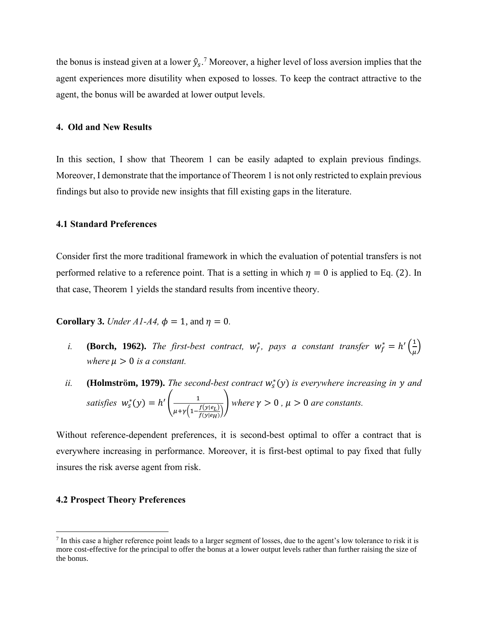the bonus is instead given at a lower  $\hat{y}_s$ .<sup>7</sup> Moreover, a higher level of loss aversion implies that the agent experiences more disutility when exposed to losses. To keep the contract attractive to the agent, the bonus will be awarded at lower output levels.

### **4. Old and New Results**

In this section, I show that Theorem 1 can be easily adapted to explain previous findings. Moreover, I demonstrate that the importance of Theorem 1 is not only restricted to explain previous findings but also to provide new insights that fill existing gaps in the literature.

## **4.1 Standard Preferences**

Consider first the more traditional framework in which the evaluation of potential transfers is not performed relative to a reference point. That is a setting in which  $\eta = 0$  is applied to Eq. (2). In that case, Theorem 1 yields the standard results from incentive theory.

**Corollary 3.** *Under A1-A4,*  $\phi = 1$ , and  $\eta = 0$ .

- *i.* **(Borch, 1962).** *The first-best contract,*  $w_f^*$ , pays a constant transfer  $w_f^* = h' \left( \frac{1}{\mu} \right)$  $\frac{1}{\mu}$ *where*  $\mu > 0$  *is a constant.*
- *ii.* **(Holmström, 1979).** *The second-best contract*  $w_s^*(y)$  *is everywhere increasing in y and satisfies*  $w_s^*(y) = h' \left( \frac{1}{\sqrt{1 - \frac{y_s^2}{a_s}}} \right)$  $\mu + \gamma \Big(1 - \frac{f(y|e_L)}{f(y|e_L)}\Big)$  $\frac{f(y|e_L)}{f(y|e_H)}$ *where*  $\gamma > 0$ ,  $\mu > 0$  *are constants.*

Without reference-dependent preferences, it is second-best optimal to offer a contract that is everywhere increasing in performance. Moreover, it is first-best optimal to pay fixed that fully insures the risk averse agent from risk.

### **4.2 Prospect Theory Preferences**

 $7$  In this case a higher reference point leads to a larger segment of losses, due to the agent's low tolerance to risk it is more cost-effective for the principal to offer the bonus at a lower output levels rather than further raising the size of the bonus.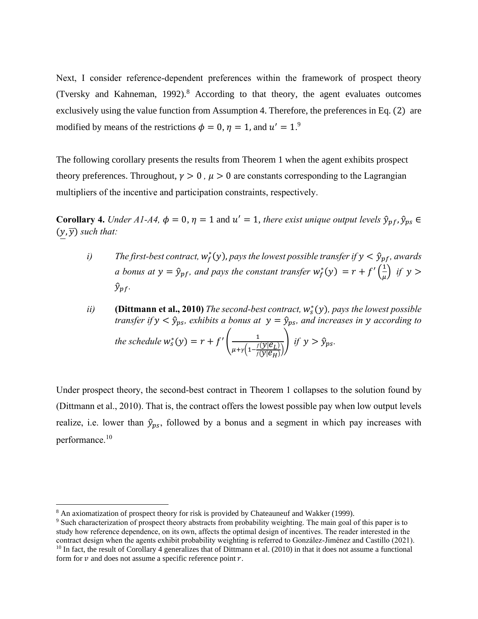Next, I consider reference-dependent preferences within the framework of prospect theory (Tversky and Kahneman, 1992).<sup>8</sup> According to that theory, the agent evaluates outcomes exclusively using the value function from Assumption 4. Therefore, the preferences in Eq. (2) are modified by means of the restrictions  $\phi = 0$ ,  $\eta = 1$ , and  $u' = 1$ .<sup>9</sup>

The following corollary presents the results from Theorem 1 when the agent exhibits prospect theory preferences. Throughout,  $\gamma > 0$ ,  $\mu > 0$  are constants corresponding to the Lagrangian multipliers of the incentive and participation constraints, respectively.

**Corollary 4.** *Under A1-A4*,  $\phi = 0$ ,  $\eta = 1$  and  $u' = 1$ , *there exist unique output levels*  $\hat{y}_{pf}$ ,  $\hat{y}_{ps} \in$  $(y, \overline{y})$  *such that:* 

- *i*) The first-best contract,  $w_f^*(y)$ , pays the lowest possible transfer if  $y < \hat{y}_{pf}$ , awards *a bonus at*  $y = \hat{y}_{pf}$ , and pays the constant transfer  $w_f^*(y) = r + f'(\frac{1}{y})$  $\frac{1}{\mu}$ ) if y >  $\hat{y}_{\textit{pf}}$ .
- *ii*) **(Dittmann et al., 2010)** *The second-best contract, w*<sup>\*</sup>(y), *pays the lowest possible transfer if*  $y < \hat{y}_{ps}$ , exhibits a bonus at  $y = \hat{y}_{ps}$ , and increases in y according to *the schedule*  $w_s^*(y) = r + f'$   $\left( \frac{1}{\sqrt{1 - \frac{f}{y_s}}}\right)$  $\frac{1}{\mu+\gamma\left(1-\frac{f(y|\mathcal{C}_L)}{f(y|\mathcal{C}_H)}\right)}$  *if*  $y > \hat{y}_{ps}$ .

Under prospect theory, the second-best contract in Theorem 1 collapses to the solution found by (Dittmann et al., 2010). That is, the contract offers the lowest possible pay when low output levels realize, i.e. lower than  $\hat{y}_{ps}$ , followed by a bonus and a segment in which pay increases with performance.<sup>10</sup>

<sup>8</sup> An axiomatization of prospect theory for risk is provided by Chateauneuf and Wakker (1999).

<sup>&</sup>lt;sup>9</sup> Such characterization of prospect theory abstracts from probability weighting. The main goal of this paper is to study how reference dependence, on its own, affects the optimal design of incentives. The reader interested in the contract design when the agents exhibit probability weighting is referred to González-Jiménez and Castillo (2021).  $10$  In fact, the result of Corollary 4 generalizes that of Dittmann et al. (2010) in that it does not assume a functional form for  $\nu$  and does not assume a specific reference point  $r$ .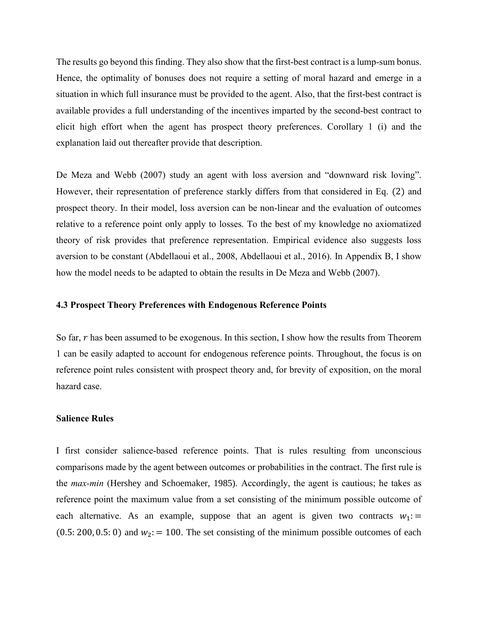The results go beyond this finding. They also show that the first-best contract is a lump-sum bonus. Hence, the optimality of bonuses does not require a setting of moral hazard and emerge in a situation in which full insurance must be provided to the agent. Also, that the first-best contract is available provides a full understanding of the incentives imparted by the second-best contract to elicit high effort when the agent has prospect theory preferences. Corollary 1 (i) and the explanation laid out thereafter provide that description.

De Meza and Webb (2007) study an agent with loss aversion and "downward risk loving". However, their representation of preference starkly differs from that considered in Eq. (2) and prospect theory. In their model, loss aversion can be non-linear and the evaluation of outcomes relative to a reference point only apply to losses. To the best of my knowledge no axiomatized theory of risk provides that preference representation. Empirical evidence also suggests loss aversion to be constant (Abdellaoui et al., 2008, Abdellaoui et al., 2016). In Appendix B, I show how the model needs to be adapted to obtain the results in De Meza and Webb (2007).

## **4.3 Prospect Theory Preferences with Endogenous Reference Points**

So far,  $r$  has been assumed to be exogenous. In this section, I show how the results from Theorem 1 can be easily adapted to account for endogenous reference points. Throughout, the focus is on reference point rules consistent with prospect theory and, for brevity of exposition, on the moral hazard case.

## **Salience Rules**

I first consider salience-based reference points. That is rules resulting from unconscious comparisons made by the agent between outcomes or probabilities in the contract. The first rule is the *max-min* (Hershey and Schoemaker, 1985). Accordingly, the agent is cautious; he takes as reference point the maximum value from a set consisting of the minimum possible outcome of each alternative. As an example, suppose that an agent is given two contracts  $w_1$ : = (0.5: 200, 0.5: 0) and  $w_2$ : = 100. The set consisting of the minimum possible outcomes of each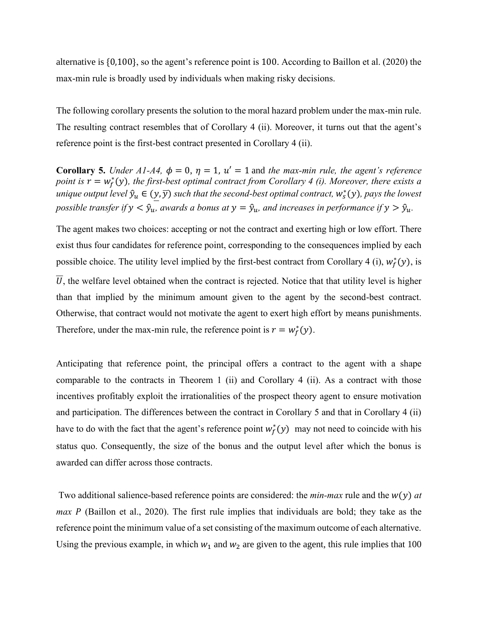alternative is {0,100}, so the agent's reference point is 100. According to Baillon et al. (2020) the max-min rule is broadly used by individuals when making risky decisions.

The following corollary presents the solution to the moral hazard problem under the max-min rule. The resulting contract resembles that of Corollary 4 (ii). Moreover, it turns out that the agent's reference point is the first-best contract presented in Corollary 4 (ii).

**Corollary 5.** *Under A1-A4,*  $\phi = 0$ ,  $\eta = 1$ ,  $u' = 1$  and *the max-min rule, the agent's reference point is*  $r = w_f^*(y)$ , the first-best optimal contract from Corollary 4 (i). Moreover, there exists a unique output level  $\hat{y}_u \in (y, \overline{y})$  such that the second-best optimal contract,  $w_s^*(y)$ , pays the lowest *possible transfer if*  $y < \hat{y}_u$ , *awards a bonus at*  $y = \hat{y}_u$ , *and increases in performance if*  $y > \hat{y}_u$ .

The agent makes two choices: accepting or not the contract and exerting high or low effort. There exist thus four candidates for reference point, corresponding to the consequences implied by each possible choice. The utility level implied by the first-best contract from Corollary 4 (i),  $w_f^*(y)$ , is  $\overline{U}$ , the welfare level obtained when the contract is rejected. Notice that that utility level is higher than that implied by the minimum amount given to the agent by the second-best contract. Otherwise, that contract would not motivate the agent to exert high effort by means punishments. Therefore, under the max-min rule, the reference point is  $r = w_f^*(y)$ .

Anticipating that reference point, the principal offers a contract to the agent with a shape comparable to the contracts in Theorem 1 (ii) and Corollary 4 (ii). As a contract with those incentives profitably exploit the irrationalities of the prospect theory agent to ensure motivation and participation. The differences between the contract in Corollary 5 and that in Corollary 4 (ii) have to do with the fact that the agent's reference point  $w_f^*(y)$  may not need to coincide with his status quo. Consequently, the size of the bonus and the output level after which the bonus is awarded can differ across those contracts.

Two additional salience-based reference points are considered: the *min-max* rule and the  $w(y)$  at *max P* (Baillon et al., 2020). The first rule implies that individuals are bold; they take as the reference point the minimum value of a set consisting of the maximum outcome of each alternative. Using the previous example, in which  $w_1$  and  $w_2$  are given to the agent, this rule implies that 100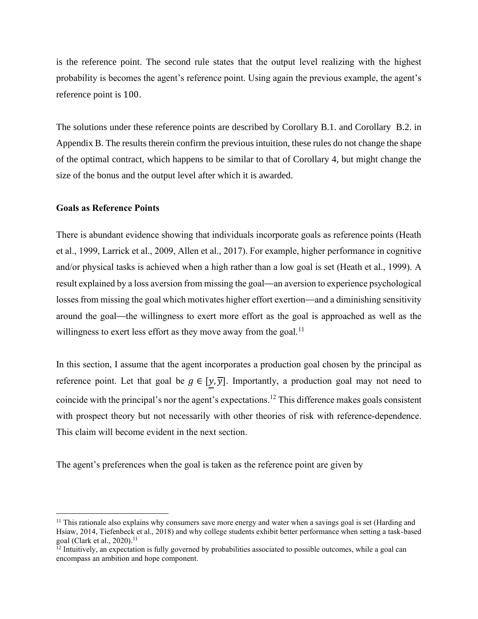is the reference point. The second rule states that the output level realizing with the highest probability is becomes the agent's reference point. Using again the previous example, the agent's reference point is 100.

The solutions under these reference points are described by Corollary B.1. and Corollary B.2. in Appendix B. The results therein confirm the previous intuition, these rules do not change the shape of the optimal contract, which happens to be similar to that of Corollary 4, but might change the size of the bonus and the output level after which it is awarded.

## **Goals as Reference Points**

There is abundant evidence showing that individuals incorporate goals as reference points (Heath et al., 1999, Larrick et al., 2009, Allen et al., 2017). For example, higher performance in cognitive and/or physical tasks is achieved when a high rather than a low goal is set (Heath et al., 1999). A result explained by a loss aversion from missing the goal—an aversion to experience psychological losses from missing the goal which motivates higher effort exertion—and a diminishing sensitivity around the goal—the willingness to exert more effort as the goal is approached as well as the willingness to exert less effort as they move away from the goal.<sup>11</sup>

In this section, I assume that the agent incorporates a production goal chosen by the principal as reference point. Let that goal be  $g \in [y, \overline{y}]$ . Importantly, a production goal may not need to coincide with the principal's nor the agent's expectations.<sup>12</sup> This difference makes goals consistent with prospect theory but not necessarily with other theories of risk with reference-dependence. This claim will become evident in the next section.

The agent's preferences when the goal is taken as the reference point are given by

<sup>&</sup>lt;sup>11</sup> This rationale also explains why consumers save more energy and water when a savings goal is set (Harding and Hsiaw, 2014, Tiefenbeck et al., 2018) and why college students exhibit better performance when setting a task-based goal (Clark et al., 2020).<sup>11</sup>

 $12$  Intuitively, an expectation is fully governed by probabilities associated to possible outcomes, while a goal can encompass an ambition and hope component.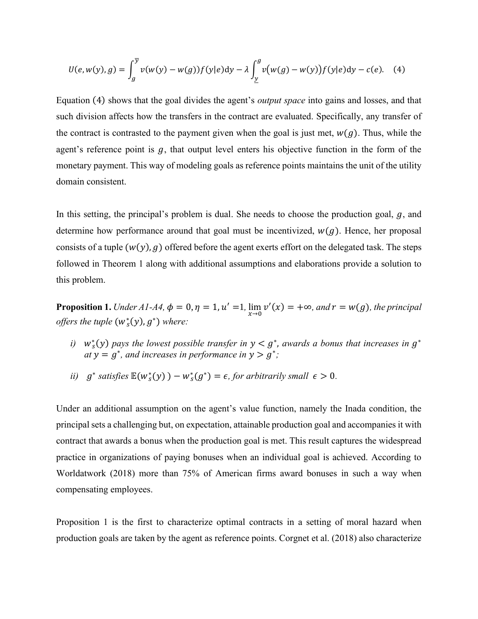$$
U(e, w(y), g) = \int_{g}^{\overline{y}} v(w(y) - w(g)) f(y|e) dy - \lambda \int_{\underline{y}}^{g} v(w(g) - w(y)) f(y|e) dy - c(e). \quad (4)
$$

Equation (4) shows that the goal divides the agent's *output space* into gains and losses, and that such division affects how the transfers in the contract are evaluated. Specifically, any transfer of the contract is contrasted to the payment given when the goal is just met,  $w(g)$ . Thus, while the agent's reference point is  $g$ , that output level enters his objective function in the form of the monetary payment. This way of modeling goals as reference points maintains the unit of the utility domain consistent.

In this setting, the principal's problem is dual. She needs to choose the production goal,  $q$ , and determine how performance around that goal must be incentivized,  $w(g)$ . Hence, her proposal consists of a tuple  $(w(y), g)$  offered before the agent exerts effort on the delegated task. The steps followed in Theorem 1 along with additional assumptions and elaborations provide a solution to this problem.

**Proposition 1.** *Under A1-A4*,  $\phi = 0$ ,  $\eta = 1$ ,  $u' = 1$ ,  $\lim_{x\to 0} v'(x) = +\infty$ , and  $r = w(g)$ , the principal *offers the tuple*  $(w_s^*(y), g^*)$  *where:* 

- *i*)  $w_s^*(y)$  pays the lowest possible transfer in  $y < g^*$ , awards a bonus that increases in  $g^*$  $at y = g^*$ , and increases in performance in  $y > g^*$ ;
- *ii*)  $g^*$  satisfies  $\mathbb{E}(w_s^*(y)) w_s^*(g^*) = \epsilon$ , for arbitrarily small  $\epsilon > 0$ .

Under an additional assumption on the agent's value function, namely the Inada condition, the principal sets a challenging but, on expectation, attainable production goal and accompanies it with contract that awards a bonus when the production goal is met. This result captures the widespread practice in organizations of paying bonuses when an individual goal is achieved. According to Worldatwork (2018) more than 75% of American firms award bonuses in such a way when compensating employees.

Proposition 1 is the first to characterize optimal contracts in a setting of moral hazard when production goals are taken by the agent as reference points. Corgnet et al. (2018) also characterize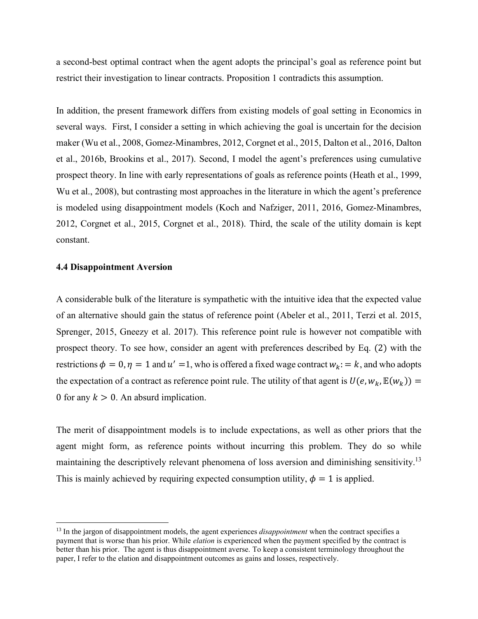a second-best optimal contract when the agent adopts the principal's goal as reference point but restrict their investigation to linear contracts. Proposition 1 contradicts this assumption.

In addition, the present framework differs from existing models of goal setting in Economics in several ways. First, I consider a setting in which achieving the goal is uncertain for the decision maker (Wu et al., 2008, Gomez-Minambres, 2012, Corgnet et al., 2015, Dalton et al., 2016, Dalton et al., 2016b, Brookins et al., 2017). Second, I model the agent's preferences using cumulative prospect theory. In line with early representations of goals as reference points (Heath et al., 1999, Wu et al., 2008), but contrasting most approaches in the literature in which the agent's preference is modeled using disappointment models (Koch and Nafziger, 2011, 2016, Gomez-Minambres, 2012, Corgnet et al., 2015, Corgnet et al., 2018). Third, the scale of the utility domain is kept constant.

### **4.4 Disappointment Aversion**

A considerable bulk of the literature is sympathetic with the intuitive idea that the expected value of an alternative should gain the status of reference point (Abeler et al., 2011, Terzi et al. 2015, Sprenger, 2015, Gneezy et al. 2017). This reference point rule is however not compatible with prospect theory. To see how, consider an agent with preferences described by Eq. (2) with the restrictions  $\phi = 0$ ,  $\eta = 1$  and  $u' = 1$ , who is offered a fixed wage contract  $w_k = k$ , and who adopts the expectation of a contract as reference point rule. The utility of that agent is  $U(e, w_k, \mathbb{E}(w_k)) =$ 0 for any  $k > 0$ . An absurd implication.

The merit of disappointment models is to include expectations, as well as other priors that the agent might form, as reference points without incurring this problem. They do so while maintaining the descriptively relevant phenomena of loss aversion and diminishing sensitivity.<sup>13</sup> This is mainly achieved by requiring expected consumption utility,  $\phi = 1$  is applied.

<sup>&</sup>lt;sup>13</sup> In the jargon of disappointment models, the agent experiences *disappointment* when the contract specifies a payment that is worse than his prior. While *elation* is experienced when the payment specified by the contract is better than his prior. The agent is thus disappointment averse. To keep a consistent terminology throughout the paper, I refer to the elation and disappointment outcomes as gains and losses, respectively.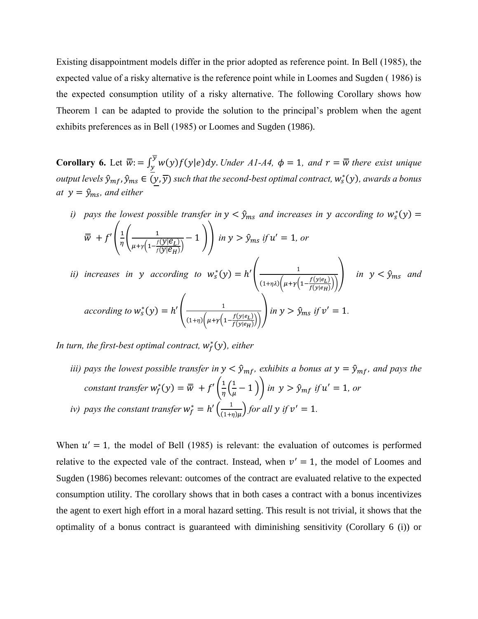Existing disappointment models differ in the prior adopted as reference point. In Bell (1985), the expected value of a risky alternative is the reference point while in Loomes and Sugden ( 1986) is the expected consumption utility of a risky alternative. The following Corollary shows how Theorem 1 can be adapted to provide the solution to the principal's problem when the agent exhibits preferences as in Bell (1985) or Loomes and Sugden (1986).

**Corollary 6.** Let  $\overline{\overline{w}}$ : =  $\int_y^{\overline{y}} w(y) f(y|e) dy$ . *Under A1-A4*,  $\phi = 1$ , and  $r = \overline{w}$  there exist unique *output levels*  $\hat{y}_{mf}$ ,  $\hat{y}_{ms} \in (y, \overline{y})$  such that the second-best optimal contract,  $w_s^*(y)$ , awards a bonus *at*  $y = \hat{y}_{ms}$ *, and either* 

*i)* pays the lowest possible transfer in 
$$
y < \hat{y}_{ms}
$$
 and increases in  $y$  according to  $w_s^*(y) = \overline{w} + f' \left( \frac{1}{\eta} \left( \frac{1}{\mu + \gamma \left( 1 - \frac{f(y|e_L)}{f(y|e_H)} \right)} - 1 \right) \right)$  in  $y > \hat{y}_{ms}$  if  $u' = 1$ , or  
*ii)* increases in  $y$  according to  $w_s^*(y) = h' \left( \frac{1}{(1 + \eta \lambda) \left( \mu + \gamma \left( 1 - \frac{f(y|e_L)}{f(y|e_H)} \right) \right)} \right)$  in  $y < \hat{y}_{ms}$  and  
according to  $w_s^*(y) = h' \left( \frac{1}{(1 + \eta) \left( \mu + \gamma \left( 1 - \frac{f(y|e_L)}{f(y|e_H)} \right) \right)} \right)$  in  $y > \hat{y}_{ms}$  if  $v' = 1$ .

*In turn, the first-best optimal contract,*  $w_f^*(y)$ *, either* 

*iii)* pays the lowest possible transfer in  $y < \hat{y}_{mf}$ , exhibits a bonus at  $y = \hat{y}_{mf}$ , and pays the *constant transfer*  $w_f^*(y) = \overline{w} + f'\left(\frac{1}{n}\right)$  $rac{1}{\eta} igg( \frac{1}{\mu} \bigg)$  $\left(\frac{1}{\mu}-1\right)$  *in*  $y > \hat{y}_{mf}$  if  $u' = 1$ , or *iv*) pays the constant transfer  $w_f^* = h' \left( \frac{1}{(1 + h)H} \right)$  $\frac{1}{(1+\eta)\mu}$  *for all y if*  $v' = 1$ *.* 

When  $u' = 1$ , the model of Bell (1985) is relevant: the evaluation of outcomes is performed relative to the expected vale of the contract. Instead, when  $v' = 1$ , the model of Loomes and Sugden (1986) becomes relevant: outcomes of the contract are evaluated relative to the expected consumption utility. The corollary shows that in both cases a contract with a bonus incentivizes the agent to exert high effort in a moral hazard setting. This result is not trivial, it shows that the optimality of a bonus contract is guaranteed with diminishing sensitivity (Corollary 6 (i)) or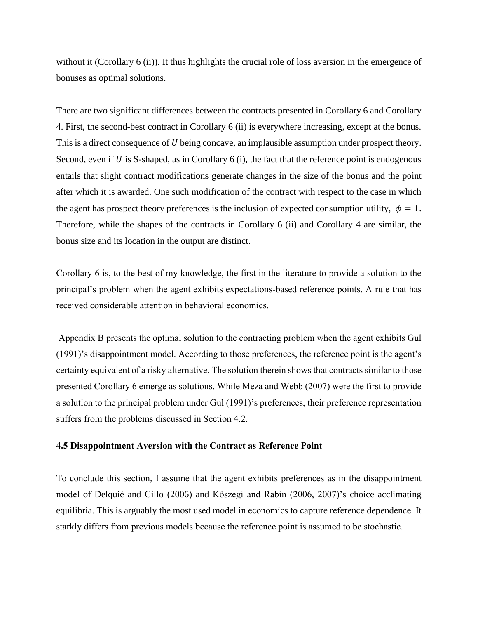without it (Corollary 6 (ii)). It thus highlights the crucial role of loss aversion in the emergence of bonuses as optimal solutions.

There are two significant differences between the contracts presented in Corollary 6 and Corollary 4. First, the second-best contract in Corollary 6 (ii) is everywhere increasing, except at the bonus. This is a direct consequence of U being concave, an implausible assumption under prospect theory. Second, even if  $U$  is S-shaped, as in Corollary 6 (i), the fact that the reference point is endogenous entails that slight contract modifications generate changes in the size of the bonus and the point after which it is awarded. One such modification of the contract with respect to the case in which the agent has prospect theory preferences is the inclusion of expected consumption utility,  $\phi = 1$ . Therefore, while the shapes of the contracts in Corollary 6 (ii) and Corollary 4 are similar, the bonus size and its location in the output are distinct.

Corollary 6 is, to the best of my knowledge, the first in the literature to provide a solution to the principal's problem when the agent exhibits expectations-based reference points. A rule that has received considerable attention in behavioral economics.

Appendix B presents the optimal solution to the contracting problem when the agent exhibits Gul (1991)'s disappointment model. According to those preferences, the reference point is the agent's certainty equivalent of a risky alternative. The solution therein shows that contracts similar to those presented Corollary 6 emerge as solutions. While Meza and Webb (2007) were the first to provide a solution to the principal problem under Gul (1991)'s preferences, their preference representation suffers from the problems discussed in Section 4.2.

#### **4.5 Disappointment Aversion with the Contract as Reference Point**

To conclude this section, I assume that the agent exhibits preferences as in the disappointment model of Delquié and Cillo (2006) and Kőszegi and Rabin (2006, 2007)'s choice acclimating equilibria. This is arguably the most used model in economics to capture reference dependence. It starkly differs from previous models because the reference point is assumed to be stochastic.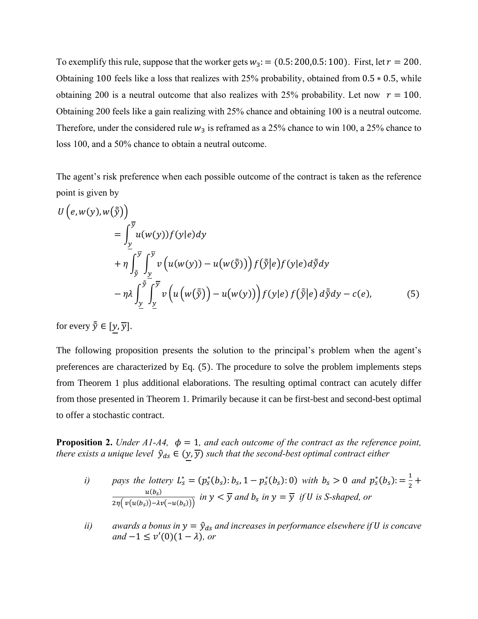To exemplify this rule, suppose that the worker gets  $w_3$ : = (0.5: 200,0.5: 100). First, let  $r = 200$ . Obtaining 100 feels like a loss that realizes with 25% probability, obtained from 0.5 ∗ 0.5, while obtaining 200 is a neutral outcome that also realizes with 25% probability. Let now  $r = 100$ . Obtaining 200 feels like a gain realizing with 25% chance and obtaining 100 is a neutral outcome. Therefore, under the considered rule  $w_3$  is reframed as a 25% chance to win 100, a 25% chance to loss 100, and a 50% chance to obtain a neutral outcome.

The agent's risk preference when each possible outcome of the contract is taken as the reference point is given by

$$
U(e, w(y), w(\tilde{y}))
$$
  
=  $\int_{y}^{\overline{y}} u(w(y)) f(y|e) dy$   
+  $\eta \int_{\tilde{y}}^{\overline{y}} \int_{\underline{y}}^{\overline{y}} v(u(w(y)) - u(w(\tilde{y}))) f(\tilde{y}|e) f(y|e) d\tilde{y} dy$   
-  $\eta \lambda \int_{\underline{y}}^{\tilde{y}} \int_{\underline{y}}^{\overline{y}} v(u(w(\tilde{y})) - u(w(y))) f(y|e) f(\tilde{y}|e) d\tilde{y} dy - c(e),$  (5)

for every  $\tilde{\tilde{y}} \in [y, \overline{y}].$ 

The following proposition presents the solution to the principal's problem when the agent's preferences are characterized by Eq. (5). The procedure to solve the problem implements steps from Theorem 1 plus additional elaborations. The resulting optimal contract can acutely differ from those presented in Theorem 1. Primarily because it can be first-best and second-best optimal to offer a stochastic contract.

**Proposition 2.** *Under A1-A4,*  $\phi = 1$ *, and each outcome of the contract as the reference point, there exists a unique level*  $\hat{y}_{ds} \in (y, \overline{y})$  *such that the second-best optimal contract either* 

*i) plays the lottery* 
$$
L_s^* = (p_s^*(b_s): b_s, 1 - p_s^*(b_s): 0)
$$
 *with*  $b_s > 0$  *and*  $p_s^*(b_s) := \frac{1}{2} + \frac{u(b_s)}{2\eta(v(u(b_s)) - \lambda v(-u(b_s)))}$  *in*  $y < \overline{y}$  *and*  $b_s$  *in*  $y = \overline{y}$  *if*  $U$  *is*  $S$ -*shaped, or*

*ii*) *awards a bonus in*  $y = \hat{y}_{ds}$  *<i>and increases in performance elsewhere if U is concave*  $\alpha$ *and*  $-1 \leq v'(0)(1 - \lambda)$ *, or*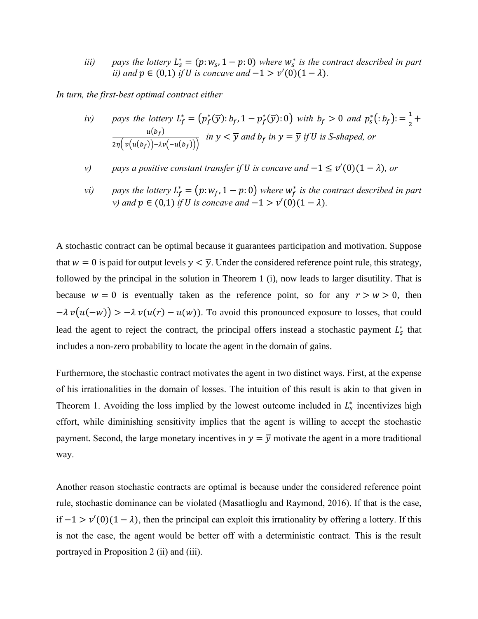*iii*) pays the lottery  $L_s^* = (p: w_s, 1 - p: 0)$  where  $w_s^*$  is the contract described in part *ii)* and  $p \in (0,1)$  *if U is concave* and  $-1 > v'(0)(1 - \lambda)$ *.* 

*In turn, the first-best optimal contract either*

*iv) plays the lottery* 
$$
L_f^* = (p_f^*(\overline{y}) : b_f, 1 - p_f^*(\overline{y}) : 0)
$$
 *with*  $b_f > 0$  *and*  $p_s^*(: b_f) := \frac{1}{2} + \frac{u(b_f)}{2\eta(v(u(b_f)) - \lambda v(-u(b_f)))}$  *in*  $y < \overline{y}$  *and*  $b_f$  *in*  $y = \overline{y}$  *if*  $U$  *is*  $S$ -shaped, *or*

- *v*) *pays a positive constant transfer if U is concave and*  $-1 \le v'(0)(1 \lambda)$ *, or*
- *vi*) *pays the lottery*  $L_f^* = (p: w_f, 1 p: 0)$  *where*  $w_f^*$  *is the contract described in part v*) and  $p \in (0,1)$  *if U is concave and*  $-1 > v'(0)(1 - \lambda)$ *.*

A stochastic contract can be optimal because it guarantees participation and motivation. Suppose that  $w = 0$  is paid for output levels  $y < \overline{y}$ . Under the considered reference point rule, this strategy, followed by the principal in the solution in Theorem 1 (i), now leads to larger disutility. That is because  $w = 0$  is eventually taken as the reference point, so for any  $r > w > 0$ , then  $-\lambda v(u(-w)) > -\lambda v(u(r) - u(w))$ . To avoid this pronounced exposure to losses, that could lead the agent to reject the contract, the principal offers instead a stochastic payment  $L_s^*$  that includes a non-zero probability to locate the agent in the domain of gains.

Furthermore, the stochastic contract motivates the agent in two distinct ways. First, at the expense of his irrationalities in the domain of losses. The intuition of this result is akin to that given in Theorem 1. Avoiding the loss implied by the lowest outcome included in  $L_s^*$  incentivizes high effort, while diminishing sensitivity implies that the agent is willing to accept the stochastic payment. Second, the large monetary incentives in  $y = \overline{y}$  motivate the agent in a more traditional way.

Another reason stochastic contracts are optimal is because under the considered reference point rule, stochastic dominance can be violated (Masatlioglu and Raymond, 2016). If that is the case, if  $-1$  >  $v'(0)(1 - \lambda)$ , then the principal can exploit this irrationality by offering a lottery. If this is not the case, the agent would be better off with a deterministic contract. This is the result portrayed in Proposition 2 (ii) and (iii).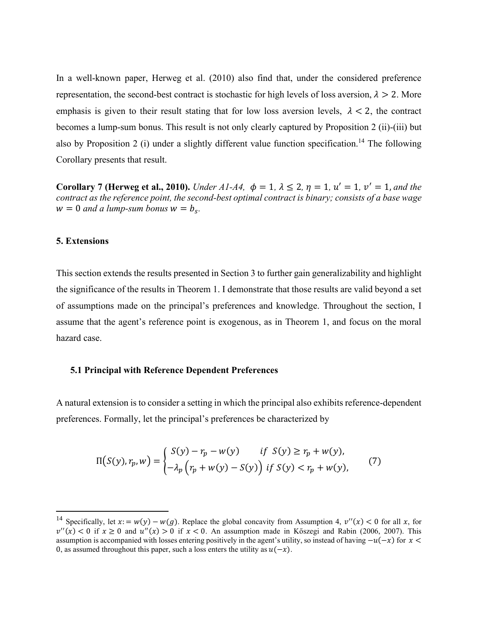In a well-known paper, Herweg et al. (2010) also find that, under the considered preference representation, the second-best contract is stochastic for high levels of loss aversion,  $\lambda > 2$ . More emphasis is given to their result stating that for low loss aversion levels,  $\lambda < 2$ , the contract becomes a lump-sum bonus. This result is not only clearly captured by Proposition 2 (ii)-(iii) but also by Proposition 2 (i) under a slightly different value function specification.<sup>14</sup> The following Corollary presents that result.

**Corollary 7 (Herweg et al., 2010).** *Under A1-A4,*  $\phi = 1$ ,  $\lambda \le 2$ ,  $\eta = 1$ ,  $u' = 1$ ,  $v' = 1$ , and the *contract as the reference point, the second-best optimal contract is binary; consists of a base wage*  $w = 0$  *and a lump-sum bonus*  $w = b_s$ .

## **5. Extensions**

This section extends the results presented in Section 3 to further gain generalizability and highlight the significance of the results in Theorem 1. I demonstrate that those results are valid beyond a set of assumptions made on the principal's preferences and knowledge. Throughout the section, I assume that the agent's reference point is exogenous, as in Theorem 1, and focus on the moral hazard case.

#### **5.1 Principal with Reference Dependent Preferences**

A natural extension is to consider a setting in which the principal also exhibits reference-dependent preferences. Formally, let the principal's preferences be characterized by

$$
\Pi(S(y), r_p, w) = \begin{cases} S(y) - r_p - w(y) & \text{if } S(y) \ge r_p + w(y), \\ -\lambda_p \left( r_p + w(y) - S(y) \right) & \text{if } S(y) < r_p + w(y), \end{cases} \tag{7}
$$

<sup>&</sup>lt;sup>14</sup> Specifically, let  $x = w(y) - w(g)$ . Replace the global concavity from Assumption 4,  $v''(x) < 0$  for all x, for  $v''(x) < 0$  if  $x \ge 0$  and  $u''(x) > 0$  if  $x < 0$ . An assumption made in Kőszegi and Rabin (2006, 2007). This assumption is accompanied with losses entering positively in the agent's utility, so instead of having  $-u(-x)$  for  $x <$ 0, as assumed throughout this paper, such a loss enters the utility as  $u(-x)$ .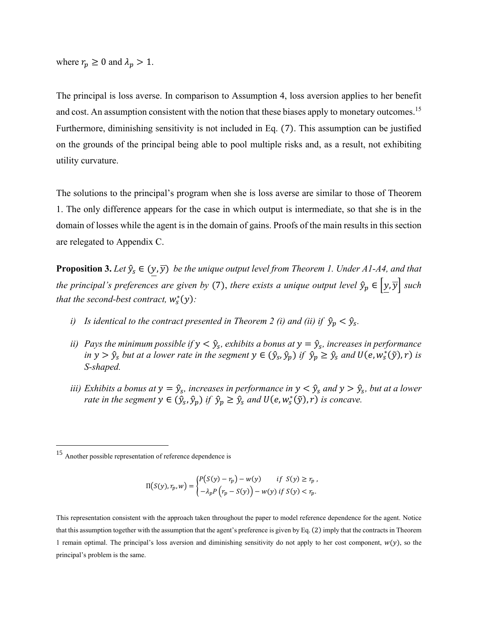where  $r_p \geq 0$  and  $\lambda_p > 1$ .

The principal is loss averse. In comparison to Assumption 4, loss aversion applies to her benefit and cost. An assumption consistent with the notion that these biases apply to monetary outcomes.<sup>15</sup> Furthermore, diminishing sensitivity is not included in Eq. (7). This assumption can be justified on the grounds of the principal being able to pool multiple risks and, as a result, not exhibiting utility curvature.

The solutions to the principal's program when she is loss averse are similar to those of Theorem 1. The only difference appears for the case in which output is intermediate, so that she is in the domain of losses while the agent is in the domain of gains. Proofs of the main results in this section are relegated to Appendix C.

**Proposition 3.** Let  $\hat{y}_s \in (y, \overline{y})$  be the unique output level from Theorem 1. Under A1-A4, and that *the principal's preferences are given by* (7), *there exists a unique output level*  $\hat{y}_p \in [y, \overline{y}]$  *such that the second-best contract,*  $w_s^*(y)$ :

- *i*) Is identical to the contract presented in Theorem 2 (i) and (ii) if  $\hat{y}_p < \hat{y}_s$ .
- *ii*) Pays the minimum possible if  $y < \hat{y}_s$ , exhibits a bonus at  $y = \hat{y}_s$ , increases in performance *in*  $y > \hat{y}_s$  *but at a lower rate in the segment*  $y \in (\hat{y}_s, \hat{y}_p)$  *if*  $\hat{y}_p \ge \hat{y}_s$  *and*  $U(e, w_s^*(\tilde{y}), r)$  *is S-shaped.*
- *iii)* Exhibits a bonus at  $y = \hat{y}_s$ , increases in performance in  $y < \hat{y}_s$  and  $y > \hat{y}_s$ , but at a lower *rate in the segment*  $y \in (\hat{y}_s, \hat{y}_p)$  *if*  $\hat{y}_p \ge \hat{y}_s$  *and*  $U(e, w_s^*(\tilde{y}), r)$  *is concave.*

$$
\Pi(S(y), r_p, w) = \begin{cases} P(S(y) - r_p) - w(y) & \text{if } S(y) \ge r_p, \\ -\lambda_p P(r_p - S(y)) - w(y) & \text{if } S(y) < r_p. \end{cases}
$$

This representation consistent with the approach taken throughout the paper to model reference dependence for the agent. Notice that this assumption together with the assumption that the agent's preference is given by Eq. (2) imply that the contracts in Theorem 1 remain optimal. The principal's loss aversion and diminishing sensitivity do not apply to her cost component,  $w(y)$ , so the principal's problem is the same.

<sup>15</sup> Another possible representation of reference dependence is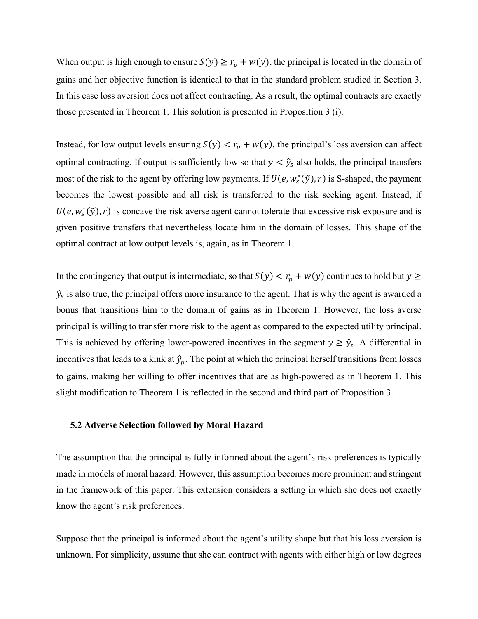When output is high enough to ensure  $S(y) \ge r_p + w(y)$ , the principal is located in the domain of gains and her objective function is identical to that in the standard problem studied in Section 3. In this case loss aversion does not affect contracting. As a result, the optimal contracts are exactly those presented in Theorem 1. This solution is presented in Proposition 3 (i).

Instead, for low output levels ensuring  $S(y) < r_p + w(y)$ , the principal's loss aversion can affect optimal contracting. If output is sufficiently low so that  $y < \hat{y}_s$  also holds, the principal transfers most of the risk to the agent by offering low payments. If  $U(e, w_s^*(\tilde{y}), r)$  is S-shaped, the payment becomes the lowest possible and all risk is transferred to the risk seeking agent. Instead, if  $U(e, w_s^*(\tilde{y}), r)$  is concave the risk averse agent cannot tolerate that excessive risk exposure and is given positive transfers that nevertheless locate him in the domain of losses. This shape of the optimal contract at low output levels is, again, as in Theorem 1.

In the contingency that output is intermediate, so that  $S(y) < r_p + w(y)$  continues to hold but  $y \ge$  $\hat{y}_s$  is also true, the principal offers more insurance to the agent. That is why the agent is awarded a bonus that transitions him to the domain of gains as in Theorem 1. However, the loss averse principal is willing to transfer more risk to the agent as compared to the expected utility principal. This is achieved by offering lower-powered incentives in the segment  $y \ge \hat{y}_s$ . A differential in incentives that leads to a kink at  $\hat{y}_p$ . The point at which the principal herself transitions from losses to gains, making her willing to offer incentives that are as high-powered as in Theorem 1. This slight modification to Theorem 1 is reflected in the second and third part of Proposition 3.

#### **5.2 Adverse Selection followed by Moral Hazard**

The assumption that the principal is fully informed about the agent's risk preferences is typically made in models of moral hazard. However, this assumption becomes more prominent and stringent in the framework of this paper. This extension considers a setting in which she does not exactly know the agent's risk preferences.

Suppose that the principal is informed about the agent's utility shape but that his loss aversion is unknown. For simplicity, assume that she can contract with agents with either high or low degrees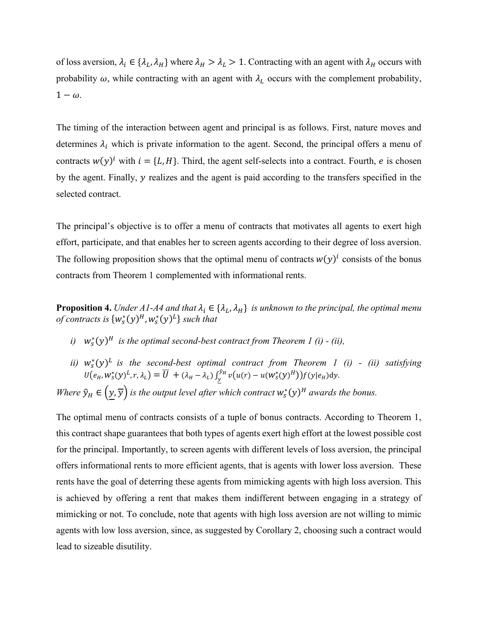of loss aversion,  $\lambda_i \in \{\lambda_L, \lambda_H\}$  where  $\lambda_H > \lambda_L > 1$ . Contracting with an agent with  $\lambda_H$  occurs with probability  $\omega$ , while contracting with an agent with  $\lambda_L$  occurs with the complement probability,  $1 - \omega$ .

The timing of the interaction between agent and principal is as follows. First, nature moves and determines  $\lambda_i$  which is private information to the agent. Second, the principal offers a menu of contracts  $w(y)^i$  with  $i = \{L, H\}$ . Third, the agent self-selects into a contract. Fourth, e is chosen by the agent. Finally,  $y$  realizes and the agent is paid according to the transfers specified in the selected contract.

The principal's objective is to offer a menu of contracts that motivates all agents to exert high effort, participate, and that enables her to screen agents according to their degree of loss aversion. The following proposition shows that the optimal menu of contracts  $w(y)^i$  consists of the bonus contracts from Theorem 1 complemented with informational rents.

**Proposition 4.** *Under A1-A4 and that*  $\lambda_i \in \{\lambda_L, \lambda_H\}$  *is unknown to the principal, the optimal menu* of contracts is  $\{w^*_s(y)^H, w^*_s(y)^L\}$  such that

- *i*)  $w_s^*(y)^H$  is the optimal second-best contract from Theorem 1 (i) (ii),
- *ii*)  $w_s^*(y)^L$  is the second-best optimal contract from Theorem 1 (i) (ii) satisfying  $U(e_H, w_s^*(y)^L, r, \lambda_L) = \overline{U} + (\lambda_H - \lambda_L) \int_y^{y_H} v(u(r) - u(w_s^*(y)^H)) f(y|e_H) dy$  $y_{y}^{y_{H}} v(u(r) - u(w_{S}^{*}(y)^{H})) f(y|e_{H}) dy.$

*Where*  $\hat{y}_H \in (y, \overline{y})$  *is the output level after which contract*  $w_s^*(y)^H$  *awards the bonus.* 

The optimal menu of contracts consists of a tuple of bonus contracts. According to Theorem 1, this contract shape guarantees that both types of agents exert high effort at the lowest possible cost for the principal. Importantly, to screen agents with different levels of loss aversion, the principal offers informational rents to more efficient agents, that is agents with lower loss aversion. These rents have the goal of deterring these agents from mimicking agents with high loss aversion. This is achieved by offering a rent that makes them indifferent between engaging in a strategy of mimicking or not. To conclude, note that agents with high loss aversion are not willing to mimic agents with low loss aversion, since, as suggested by Corollary 2, choosing such a contract would lead to sizeable disutility.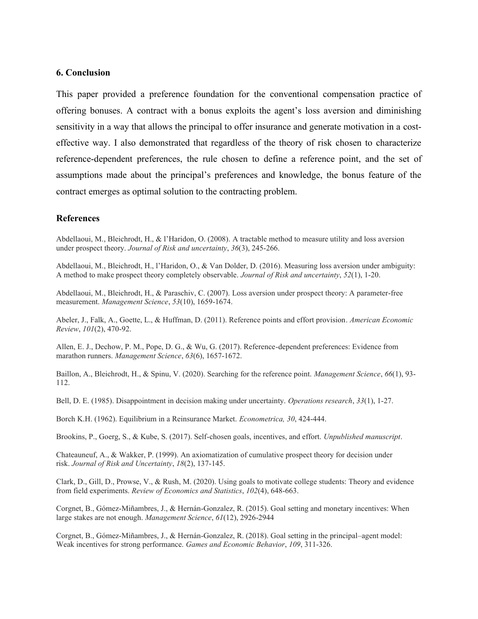### **6. Conclusion**

This paper provided a preference foundation for the conventional compensation practice of offering bonuses. A contract with a bonus exploits the agent's loss aversion and diminishing sensitivity in a way that allows the principal to offer insurance and generate motivation in a costeffective way. I also demonstrated that regardless of the theory of risk chosen to characterize reference-dependent preferences, the rule chosen to define a reference point, and the set of assumptions made about the principal's preferences and knowledge, the bonus feature of the contract emerges as optimal solution to the contracting problem.

## **References**

Abdellaoui, M., Bleichrodt, H., & l'Haridon, O. (2008). A tractable method to measure utility and loss aversion under prospect theory. *Journal of Risk and uncertainty*, *36*(3), 245-266.

Abdellaoui, M., Bleichrodt, H., l'Haridon, O., & Van Dolder, D. (2016). Measuring loss aversion under ambiguity: A method to make prospect theory completely observable. *Journal of Risk and uncertainty*, *52*(1), 1-20.

Abdellaoui, M., Bleichrodt, H., & Paraschiv, C. (2007). Loss aversion under prospect theory: A parameter-free measurement. *Management Science*, *53*(10), 1659-1674.

Abeler, J., Falk, A., Goette, L., & Huffman, D. (2011). Reference points and effort provision. *American Economic Review*, *101*(2), 470-92.

Allen, E. J., Dechow, P. M., Pope, D. G., & Wu, G. (2017). Reference-dependent preferences: Evidence from marathon runners. *Management Science*, *63*(6), 1657-1672.

Baillon, A., Bleichrodt, H., & Spinu, V. (2020). Searching for the reference point. *Management Science*, *66*(1), 93- 112.

Bell, D. E. (1985). Disappointment in decision making under uncertainty. *Operations research*, *33*(1), 1-27.

Borch K.H. (1962). Equilibrium in a Reinsurance Market. *Econometrica, 30*, 424-444.

Brookins, P., Goerg, S., & Kube, S. (2017). Self-chosen goals, incentives, and effort. *Unpublished manuscript*.

Chateauneuf, A., & Wakker, P. (1999). An axiomatization of cumulative prospect theory for decision under risk. *Journal of Risk and Uncertainty*, *18*(2), 137-145.

Clark, D., Gill, D., Prowse, V., & Rush, M. (2020). Using goals to motivate college students: Theory and evidence from field experiments. *Review of Economics and Statistics*, *102*(4), 648-663.

Corgnet, B., Gómez-Miñambres, J., & Hernán-Gonzalez, R. (2015). Goal setting and monetary incentives: When large stakes are not enough. *Management Science*, *61*(12), 2926-2944

Corgnet, B., Gómez-Miñambres, J., & Hernán-Gonzalez, R. (2018). Goal setting in the principal–agent model: Weak incentives for strong performance. *Games and Economic Behavior*, *109*, 311-326.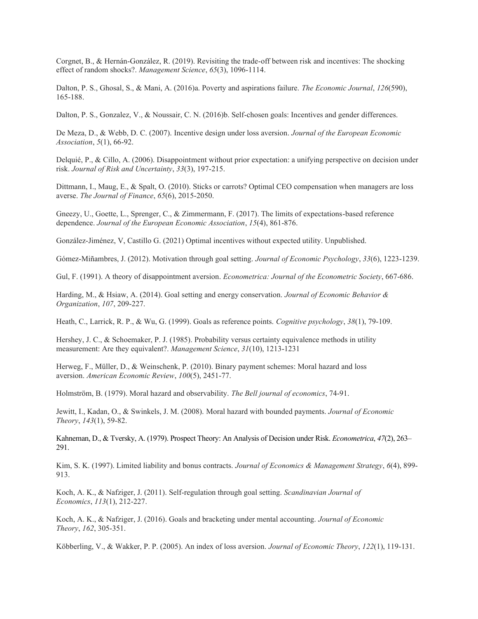Corgnet, B., & Hernán-González, R. (2019). Revisiting the trade-off between risk and incentives: The shocking effect of random shocks?. *Management Science*, *65*(3), 1096-1114.

Dalton, P. S., Ghosal, S., & Mani, A. (2016)a. Poverty and aspirations failure. *The Economic Journal*, *126*(590), 165-188.

Dalton, P. S., Gonzalez, V., & Noussair, C. N. (2016)b. Self-chosen goals: Incentives and gender differences.

De Meza, D., & Webb, D. C. (2007). Incentive design under loss aversion. *Journal of the European Economic Association*, *5*(1), 66-92.

Delquié, P., & Cillo, A. (2006). Disappointment without prior expectation: a unifying perspective on decision under risk. *Journal of Risk and Uncertainty*, *33*(3), 197-215.

Dittmann, I., Maug, E., & Spalt, O. (2010). Sticks or carrots? Optimal CEO compensation when managers are loss averse. *The Journal of Finance*, *65*(6), 2015-2050.

Gneezy, U., Goette, L., Sprenger, C., & Zimmermann, F. (2017). The limits of expectations-based reference dependence. *Journal of the European Economic Association*, *15*(4), 861-876.

González-Jiménez, V, Castillo G. (2021) Optimal incentives without expected utility. Unpublished.

Gómez-Miñambres, J. (2012). Motivation through goal setting. *Journal of Economic Psychology*, *33*(6), 1223-1239.

Gul, F. (1991). A theory of disappointment aversion. *Econometrica: Journal of the Econometric Society*, 667-686.

Harding, M., & Hsiaw, A. (2014). Goal setting and energy conservation. *Journal of Economic Behavior & Organization*, *107*, 209-227.

Heath, C., Larrick, R. P., & Wu, G. (1999). Goals as reference points. *Cognitive psychology*, *38*(1), 79-109.

Hershey, J. C., & Schoemaker, P. J. (1985). Probability versus certainty equivalence methods in utility measurement: Are they equivalent?. *Management Science*, *31*(10), 1213-1231

Herweg, F., Müller, D., & Weinschenk, P. (2010). Binary payment schemes: Moral hazard and loss aversion. *American Economic Review*, *100*(5), 2451-77.

Holmström, B. (1979). Moral hazard and observability. *The Bell journal of economics*, 74-91.

Jewitt, I., Kadan, O., & Swinkels, J. M. (2008). Moral hazard with bounded payments. *Journal of Economic Theory*, *143*(1), 59-82.

Kahneman, D., & Tversky, A. (1979). Prospect Theory: An Analysis of Decision under Risk. *Econometrica*, *47*(2), 263– 291.

Kim, S. K. (1997). Limited liability and bonus contracts. *Journal of Economics & Management Strategy*, *6*(4), 899- 913.

Koch, A. K., & Nafziger, J. (2011). Self‐regulation through goal setting. *Scandinavian Journal of Economics*, *113*(1), 212-227.

Koch, A. K., & Nafziger, J. (2016). Goals and bracketing under mental accounting. *Journal of Economic Theory*, *162*, 305-351.

Köbberling, V., & Wakker, P. P. (2005). An index of loss aversion. *Journal of Economic Theory*, *122*(1), 119-131.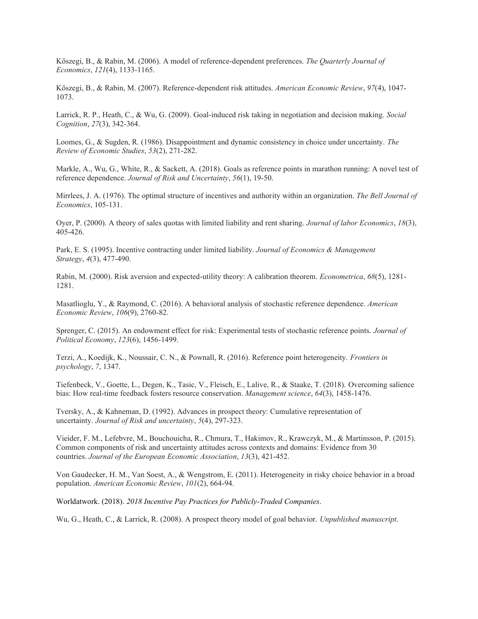Kőszegi, B., & Rabin, M. (2006). A model of reference-dependent preferences. *The Quarterly Journal of Economics*, *121*(4), 1133-1165.

Kőszegi, B., & Rabin, M. (2007). Reference-dependent risk attitudes. *American Economic Review*, *97*(4), 1047- 1073.

Larrick, R. P., Heath, C., & Wu, G. (2009). Goal-induced risk taking in negotiation and decision making. *Social Cognition*, *27*(3), 342-364.

Loomes, G., & Sugden, R. (1986). Disappointment and dynamic consistency in choice under uncertainty. *The Review of Economic Studies*, *53*(2), 271-282.

Markle, A., Wu, G., White, R., & Sackett, A. (2018). Goals as reference points in marathon running: A novel test of reference dependence. *Journal of Risk and Uncertainty*, *56*(1), 19-50.

Mirrlees, J. A. (1976). The optimal structure of incentives and authority within an organization. *The Bell Journal of Economics*, 105-131.

Oyer, P. (2000). A theory of sales quotas with limited liability and rent sharing. *Journal of labor Economics*, *18*(3), 405-426.

Park, E. S. (1995). Incentive contracting under limited liability. *Journal of Economics & Management Strategy*, *4*(3), 477-490.

Rabin, M. (2000). Risk aversion and expected-utility theory: A calibration theorem. *Econometrica*, *68*(5), 1281- 1281.

Masatlioglu, Y., & Raymond, C. (2016). A behavioral analysis of stochastic reference dependence. *American Economic Review*, *106*(9), 2760-82.

Sprenger, C. (2015). An endowment effect for risk: Experimental tests of stochastic reference points. *Journal of Political Economy*, *123*(6), 1456-1499.

Terzi, A., Koedijk, K., Noussair, C. N., & Pownall, R. (2016). Reference point heterogeneity. *Frontiers in psychology*, *7*, 1347.

Tiefenbeck, V., Goette, L., Degen, K., Tasic, V., Fleisch, E., Lalive, R., & Staake, T. (2018). Overcoming salience bias: How real-time feedback fosters resource conservation. *Management science*, *64*(3), 1458-1476.

Tversky, A., & Kahneman, D. (1992). Advances in prospect theory: Cumulative representation of uncertainty. *Journal of Risk and uncertainty*, *5*(4), 297-323.

Vieider, F. M., Lefebvre, M., Bouchouicha, R., Chmura, T., Hakimov, R., Krawczyk, M., & Martinsson, P. (2015). Common components of risk and uncertainty attitudes across contexts and domains: Evidence from 30 countries. *Journal of the European Economic Association*, *13*(3), 421-452.

Von Gaudecker, H. M., Van Soest, A., & Wengstrom, E. (2011). Heterogeneity in risky choice behavior in a broad population. *American Economic Review*, *101*(2), 664-94.

Worldatwork. (2018). *2018 Incentive Pay Practices for Publicly-Traded Companies*.

Wu, G., Heath, C., & Larrick, R. (2008). A prospect theory model of goal behavior. *Unpublished manuscript*.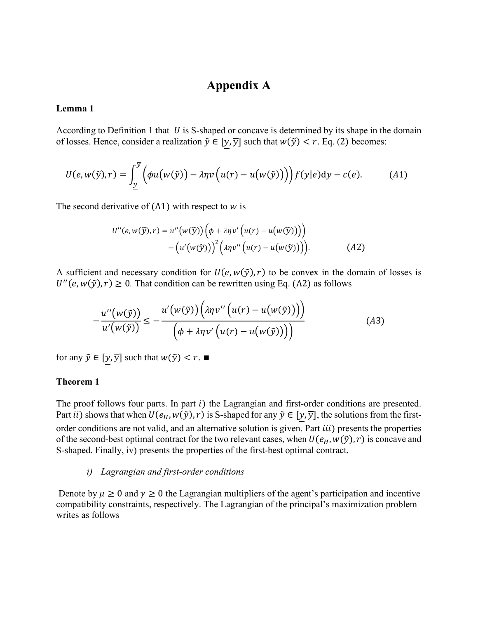## **Appendix A**

## **Lemma 1**

According to Definition 1 that  $U$  is S-shaped or concave is determined by its shape in the domain of losses. Hence, consider a realization  $\tilde{y} \in [y, \overline{y}]$  such that  $w(\tilde{y}) < r$ . Eq. (2) becomes:

$$
U(e, w(\tilde{y}), r) = \int_{\underline{y}}^{\overline{y}} \Big( \phi u(w(\tilde{y})) - \lambda \eta v(u(r) - u(w(\tilde{y}))) \Big) f(y|e) dy - c(e). \tag{A1}
$$

The second derivative of  $(A1)$  with respect to  $w$  is

$$
U''(e, w(\widetilde{y}), r) = u''(w(\widetilde{y})) \Big( \phi + \lambda \eta v' \Big( u(r) - u(w(\widetilde{y})) \Big) \Big) - \Big( u'(w(\widetilde{y})) \Big)^2 \Big( \lambda \eta v'' \Big( u(r) - u(w(\widetilde{y})) \Big) \Big). \tag{A2}
$$

A sufficient and necessary condition for  $U(e, w(\tilde{y}), r)$  to be convex in the domain of losses is  $U''(e, w(\tilde{y}), r) \ge 0$ . That condition can be rewritten using Eq. (A2) as follows

$$
-\frac{u''(w(\tilde{y}))}{u'(w(\tilde{y}))} \leq -\frac{u'(w(\tilde{y}))(\lambda\eta v''(u(r) - u(w(\tilde{y}))))}{\left(\phi + \lambda\eta v'\left(u(r) - u(w(\tilde{y}))\right)\right)}
$$
(A3)

for any  $\tilde{y} \in [y, \overline{y}]$  such that  $w(\tilde{y}) < r$ .

## **Theorem 1**

The proof follows four parts. In part  $i$ ) the Lagrangian and first-order conditions are presented. Part *ii*) shows that when  $U(e_H, w(\tilde{y}), r)$  is S-shaped for any  $\tilde{y} \in [y, \overline{y}]$ , the solutions from the firstorder conditions are not valid, and an alternative solution is given. Part *iii*) presents the properties of the second-best optimal contract for the two relevant cases, when  $U(e_H, w(\tilde{y}), r)$  is concave and S-shaped. Finally, iv) presents the properties of the first-best optimal contract.

#### *i) Lagrangian and first-order conditions*

Denote by  $\mu \ge 0$  and  $\gamma \ge 0$  the Lagrangian multipliers of the agent's participation and incentive compatibility constraints, respectively. The Lagrangian of the principal's maximization problem writes as follows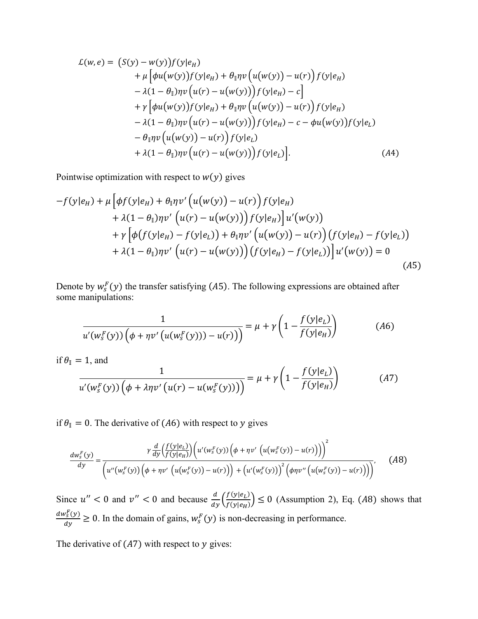$$
\mathcal{L}(w,e) = (S(y) - w(y))f(y|e_H) \n+ \mu \left[\phi u(w(y))f(y|e_H) + \theta_{\parallel} \eta v \left(u(w(y)) - u(r)\right)f(y|e_H) \right. \n- \lambda (1 - \theta_{\parallel}) \eta v \left(u(r) - u(w(y))\right) f(y|e_H) - c \right] \n+ \gamma \left[\phi u(w(y))f(y|e_H) + \theta_{\parallel} \eta v \left(u(w(y)) - u(r)\right)f(y|e_H) \right. \n- \lambda (1 - \theta_{\parallel}) \eta v \left(u(r) - u(w(y))\right) f(y|e_H) - c - \phi u(w(y))f(y|e_L) \n- \theta_{\parallel} \eta v \left(u(w(y)) - u(r)\right)f(y|e_L) \n+ \lambda (1 - \theta_{\parallel}) \eta v \left(u(r) - u(w(y))\right) f(y|e_L) \right].
$$
\n(A4)

Pointwise optimization with respect to  $w(y)$  gives

$$
-f(y|e_H) + \mu \Big[ \phi f(y|e_H) + \theta_{\parallel} \eta v' \Big( u(w(y)) - u(r) \Big) f(y|e_H) + \lambda (1 - \theta_{\parallel}) \eta v' \Big( u(r) - u(w(y)) \Big) f(y|e_H) \Big] u'(w(y)) + \gamma \Big[ \phi \Big( f(y|e_H) - f(y|e_L) \Big) + \theta_{\parallel} \eta v' \Big( u(w(y)) - u(r) \Big) \Big( f(y|e_H) - f(y|e_L) \Big) + \lambda (1 - \theta_{\parallel}) \eta v' \Big( u(r) - u(w(y)) \Big) \Big( f(y|e_H) - f(y|e_L) \Big) \Big] u'(w(y)) = 0
$$
\n(A5)

Denote by  $w_s^F(y)$  the transfer satisfying (A5). The following expressions are obtained after some manipulations:

$$
\frac{1}{u'(w_s^F(y))\left(\phi + \eta v'\left(u(w_s^F(y))\right) - u(r)\right)} = \mu + \gamma \left(1 - \frac{f(y|e_L)}{f(y|e_H)}\right) \tag{A6}
$$

if  $\theta_{\parallel} = 1$ , and

$$
\frac{1}{u'(w_s^F(y))\left(\phi + \lambda\eta v'\left(u(r) - u(w_s^F(y))\right)\right)} = \mu + \gamma \left(1 - \frac{f(y|e_L)}{f(y|e_H)}\right) \tag{A7}
$$

if  $\theta_{\parallel} = 0$ . The derivative of (A6) with respect to y gives

$$
\frac{dw_s^F(y)}{dy} = \frac{\gamma \frac{d}{dy} \left(\frac{f(y|e_L)}{f(y|e_H)}\right) \left(u'(w_s^F(y)) \left(\phi + \eta v'\left(u(w_s^F(y)) - u(r)\right)\right)\right)^2}{\left(u''(w_s^F(y)) \left(\phi + \eta v'\left(u(w_s^F(y)) - u(r)\right)\right) + \left(u'(w_s^F(y))\right)^2 \left(\phi \eta v''\left(u(w_s^F(y)) - u(r)\right)\right)\right)},\tag{A8}
$$

Since  $u'' < 0$  and  $v'' < 0$  and because  $\frac{d}{dy} \left( \frac{f(y|e_L)}{f(y|e_H)} \right)$  $\left(\frac{f(y|e_L)}{f(y|e_H)}\right) \leq 0$  (Assumption 2), Eq. (A8) shows that  $dw_s^F(y)$  $\frac{\partial \xi(y)}{\partial y} \ge 0$ . In the domain of gains,  $w_s^F(y)$  is non-decreasing in performance.

The derivative of  $(A7)$  with respect to  $y$  gives: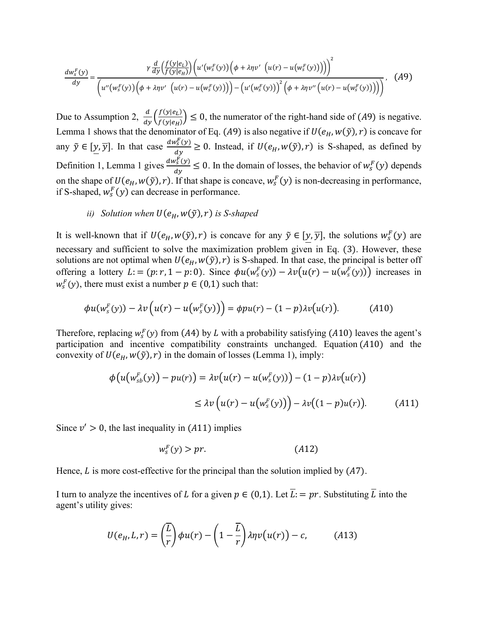$$
\frac{dw_s^F(y)}{dy} = \frac{\gamma \frac{d}{dy} \left(\frac{f(y|e_L)}{f(y|e_H)}\right) \left(u'(w_s^F(y)) \left(\phi + \lambda \eta v'(u(r) - u(w_s^F(y)))\right)\right)^2}{\left(u''(w_s^F(y)) \left(\phi + \lambda \eta v'(u(r) - u(w_s^F(y)))\right) - \left(u'(w_s^F(y))\right)^2 \left(\phi + \lambda \eta v''(u(r) - u(w_s^F(y)))\right)\right)},
$$
(A9)

Due to Assumption 2,  $\frac{d}{dy} \left( \frac{f(y|e_L)}{f(y|e_H)} \right)$  $\left(\frac{f(y|e_i)}{f(y|e_i)}\right) \leq 0$ , the numerator of the right-hand side of (A9) is negative. Lemma 1 shows that the denominator of Eq. (A9) is also negative if  $U(e_H, w(\tilde{y}), r)$  is concave for any  $\tilde{y} \in [y, \overline{y}]$ . In that case  $\frac{dw_s^F(y)}{dx}$  $\frac{\partial g(y)}{\partial y} \ge 0$ . Instead, if  $U(e_H, w(\tilde{y}), r)$  is S-shaped, as defined by Definition 1, Lemma 1 gives  $\frac{dw_s^F(y)}{dx}$  $\frac{\partial \xi(y)}{\partial y} \le 0$ . In the domain of losses, the behavior of  $w_s^F(y)$  depends on the shape of  $U(e_H, w(\tilde{y}), r)$ . If that shape is concave,  $w_s^F(y)$  is non-decreasing in performance, if S-shaped,  $w_s^F(y)$  can decrease in performance.

## *ii*) *Solution when*  $U(e_H, w(\tilde{y}), r)$  *is S-shaped*

It is well-known that if  $U(e_H, w(\tilde{y}), r)$  is concave for any  $\tilde{y} \in [y, \overline{y}]$ , the solutions  $w_s^F(y)$  are necessary and sufficient to solve the maximization problem given in Eq. (3). However, these solutions are not optimal when  $U(e_H, w(\tilde{y}), r)$  is S-shaped. In that case, the principal is better off offering a lottery  $L:=(p:r, 1-p:0)$ . Since  $\phi u(w_s^F(y)) - \lambda v(u(r) - u(w_s^F(y)))$  increases in  $w_s^F(y)$ , there must exist a number  $p \in (0,1)$  such that:

$$
\phi u(w_s^F(y)) - \lambda v\left(u(r) - u\left(w_s^F(y)\right)\right) = \phi p u(r) - (1 - p)\lambda v\left(u(r)\right). \tag{A10}
$$

Therefore, replacing  $w_s^F(y)$  from (A4) by L with a probability satisfying (A10) leaves the agent's participation and incentive compatibility constraints unchanged. Equation  $(A10)$  and the convexity of  $U(e_H, w(\tilde{y}), r)$  in the domain of losses (Lemma 1), imply:

$$
\phi\big(u\big(w_{sb}^F(y)\big) - pu(r)\big) = \lambda v\big(u(r) - u\big(w_s^F(y)\big)\big) - (1 - p)\lambda v\big(u(r)\big)
$$
  

$$
\leq \lambda v\big(u(r) - u\big(w_s^F(y)\big)\big) - \lambda v\big((1 - p)u(r)\big).
$$
 (A11)

Since  $v' > 0$ , the last inequality in (A11) implies

$$
w_s^F(y) > pr. \tag{A12}
$$

Hence,  $L$  is more cost-effective for the principal than the solution implied by  $(A7)$ .

I turn to analyze the incentives of L for a given  $p \in (0,1)$ . Let  $\overline{L} = pr$ . Substituting  $\overline{L}$  into the agent's utility gives:

$$
U(e_H, L, r) = \left(\frac{\overline{L}}{r}\right) \phi u(r) - \left(1 - \frac{\overline{L}}{r}\right) \lambda \eta v(u(r)) - c,\tag{A13}
$$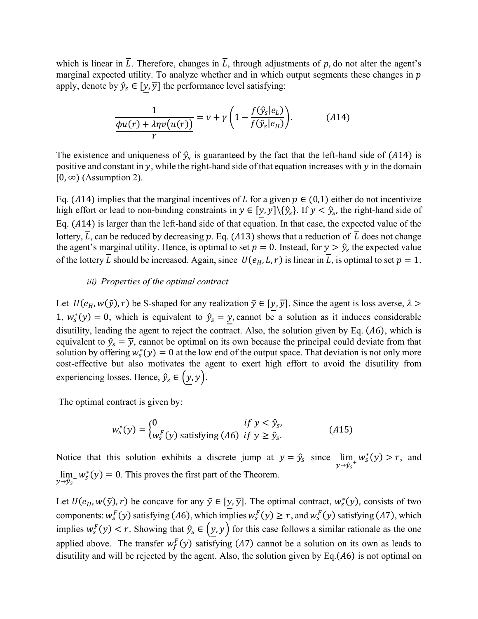which is linear in  $\overline{L}$ . Therefore, changes in  $\overline{L}$ , through adjustments of p, do not alter the agent's marginal expected utility. To analyze whether and in which output segments these changes in  $p$ apply, denote by  $\hat{y}_s \in [y, \overline{y}]$  the performance level satisfying:

$$
\frac{1}{\phi u(r) + \lambda \eta v(u(r))} = v + \gamma \left( 1 - \frac{f(\hat{y}_s|e_L)}{f(\hat{y}_s|e_H)} \right).
$$
 (A14)

The existence and uniqueness of  $\hat{y}_s$  is guaranteed by the fact that the left-hand side of (A14) is positive and constant in  $y$ , while the right-hand side of that equation increases with  $y$  in the domain  $[0, \infty)$  (Assumption 2).

Eq. (A14) implies that the marginal incentives of L for a given  $p \in (0,1)$  either do not incentivize high effort or lead to non-binding constraints in  $y \in [y, \overline{y}] \setminus {\hat{y}_s}$ . If  $y < \hat{y}_s$ , the right-hand side of Eq.  $(A14)$  is larger than the left-hand side of that equation. In that case, the expected value of the lottery,  $\overline{L}$ , can be reduced by decreasing p. Eq. (A13) shows that a reduction of  $\overline{L}$  does not change the agent's marginal utility. Hence, is optimal to set  $p = 0$ . Instead, for  $y > \hat{y}_s$  the expected value of the lottery  $\overline{L}$  should be increased. Again, since  $U(e_H, L, r)$  is linear in  $\overline{L}$ , is optimal to set  $p = 1$ .

## *iii) Properties of the optimal contract*

Let  $U(e_H, w(\tilde{y}), r)$  be S-shaped for any realization  $\tilde{y} \in [y, \overline{y}]$ . Since the agent is loss averse,  $\lambda >$ 1,  $w_s^*(y) = 0$ , which is equivalent to  $\hat{y}_s = y$ , cannot be a solution as it induces considerable disutility, leading the agent to reject the contract. Also, the solution given by Eq.  $(A6)$ , which is equivalent to  $\hat{y}_s = \overline{y}$ , cannot be optimal on its own because the principal could deviate from that solution by offering  $w_s^*(y) = 0$  at the low end of the output space. That deviation is not only more cost-effective but also motivates the agent to exert high effort to avoid the disutility from experiencing losses. Hence,  $\hat{y}_s \in (\underline{y}, \overline{y})$ .

The optimal contract is given by:

$$
w_s^*(y) = \begin{cases} 0 & \text{if } y < \hat{y}_s, \\ w_s^F(y) & \text{satisfying (A6) if } y \ge \hat{y}_s. \end{cases}
$$
(A15)

Notice that this solution exhibits a discrete jump at  $y = \hat{y}_s$  since lim  $\lim_{y \to \hat{y}_s^+} w_s^*(y) > r$ , and  $\lim_{y \to \hat{y}_s} w_s^*(y) = 0$ . This proves the first part of the Theorem.

Let  $U(e_H, w(\tilde{y}), r)$  be concave for any  $\tilde{y} \in [y, \overline{y}]$ . The optimal contract,  $w_s^*(y)$ , consists of two components:  $w_s^F(y)$  satisfying (A6), which implies  $w_s^F(y) \ge r$ , and  $w_s^F(y)$  satisfying (A7), which implies  $w_s^F(y) < r$ . Showing that  $\hat{y}_s \in (y, \overline{y})$  for this case follows a similar rationale as the one applied above. The transfer  $w_f^F(y)$  satisfying (A7) cannot be a solution on its own as leads to disutility and will be rejected by the agent. Also, the solution given by Eq. $(A6)$  is not optimal on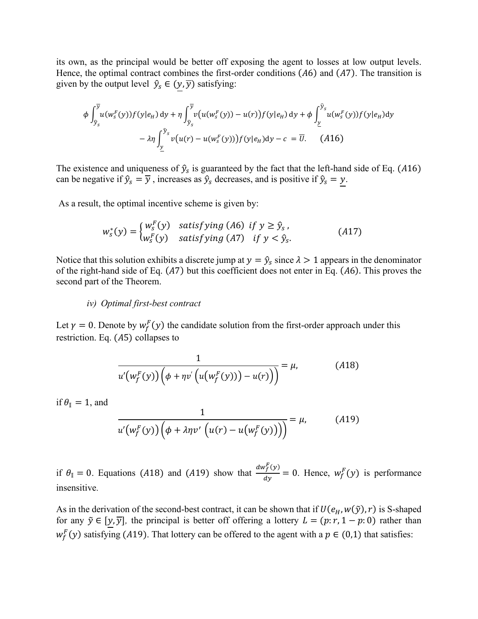its own, as the principal would be better off exposing the agent to losses at low output levels. Hence, the optimal contract combines the first-order conditions  $(A6)$  and  $(A7)$ . The transition is given by the output level  $\hat{y}_s \in (\underline{y}, \overline{y})$  satisfying:

$$
\phi \int_{\hat{y}_s}^{\overline{y}} u(w_s^F(y)) f(y|e_H) dy + \eta \int_{\hat{y}_s}^{\overline{y}} v(u(w_s^F(y)) - u(r)) f(y|e_H) dy + \phi \int_{\underline{y}}^{\hat{y}_s} u(w_s^F(y)) f(y|e_H) dy
$$

$$
- \lambda \eta \int_{\underline{y}}^{\hat{y}_s} v(u(r) - u(w_s^F(y))) f(y|e_H) dy - c = \overline{U}. \quad (A16)
$$

The existence and uniqueness of  $\hat{y}_s$  is guaranteed by the fact that the left-hand side of Eq. (A16) can be negative if  $\hat{y}_s = \overline{y}$ , increases as  $\hat{y}_s$  decreases, and is positive if  $\hat{y}_s = \underline{y}$ .

As a result, the optimal incentive scheme is given by:

$$
w_s^*(y) = \begin{cases} w_s^F(y) & \text{satisfying (A6) if } y \ge \hat{y}_s, \\ w_s^F(y) & \text{satisfying (A7) if } y < \hat{y}_s. \end{cases}
$$
(A17)

Notice that this solution exhibits a discrete jump at  $y = \hat{y}_s$  since  $\lambda > 1$  appears in the denominator of the right-hand side of Eq.  $(A7)$  but this coefficient does not enter in Eq.  $(A6)$ . This proves the second part of the Theorem.

#### *iv) Optimal first-best contract*

Let  $\gamma = 0$ . Denote by  $w_f^F(y)$  the candidate solution from the first-order approach under this restriction. Eq.  $(A5)$  collapses to

$$
\frac{1}{u'(w_f^F(y))(\phi + \eta v'\left(u(w_f^F(y))\right) - u(r))} = \mu,\tag{A18}
$$

if  $\theta_{\parallel} = 1$ , and

$$
\frac{1}{u'(w_f^F(y))(\phi + \lambda \eta v'\left(u(r) - u\left(w_f^F(y)\right)\right))} = \mu,\tag{A19}
$$

if  $\theta_{\parallel} = 0$ . Equations (A18) and (A19) show that  $\frac{dw_f^F(y)}{dy}$  $\frac{\partial f(y)}{\partial y} = 0$ . Hence,  $w_f^F(y)$  is performance insensitive.

As in the derivation of the second-best contract, it can be shown that if  $U(e_H, w(\tilde{y}), r)$  is S-shaped for any  $\tilde{y} \in [y, \overline{y}]$ , the principal is better off offering a lottery  $L = (p:r, 1 - p: 0)$  rather than  $w_f^F(y)$  satisfying (A19). That lottery can be offered to the agent with a  $p \in (0,1)$  that satisfies: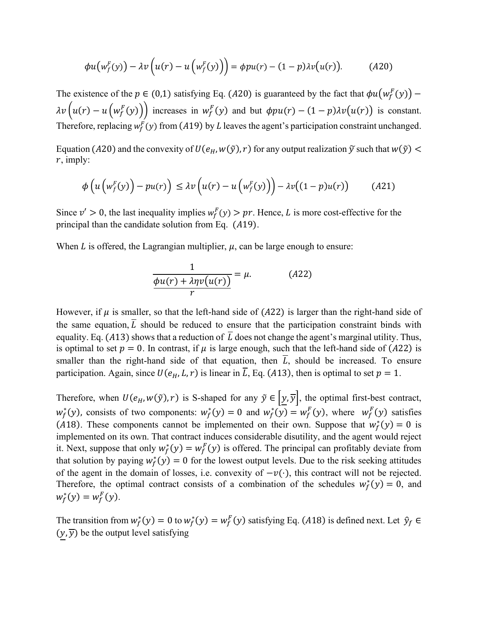$$
\phi u(w_f^F(y)) - \lambda v(u(r) - u(w_f^F(y))) = \phi p u(r) - (1 - p) \lambda v(u(r)). \tag{A20}
$$

The existence of the  $p \in (0,1)$  satisfying Eq. (A20) is guaranteed by the fact that  $\phi u(w_f^F(y))$  –  $\lambda v(u(r) - u(w_f^F(y)))$  increases in  $w_f^F(y)$  and but  $\phi p u(r) - (1-p)\lambda v(u(r))$  is constant. Therefore, replacing  $w_f^F(y)$  from (A19) by L leaves the agent's participation constraint unchanged.

Equation (A20) and the convexity of  $U(e_H, w(\tilde{y}), r)$  for any output realization  $\tilde{y}$  such that  $w(\tilde{y})$  <  $r$ , imply:

$$
\phi\left(u\left(w_f^F(y)\right) - pu(r)\right) \leq \lambda v\left(u(r) - u\left(w_f^F(y)\right)\right) - \lambda v\left((1-p)u(r)\right) \tag{A21}
$$

Since  $v' > 0$ , the last inequality implies  $w_f^F(y) > pr$ . Hence, L is more cost-effective for the principal than the candidate solution from Eq.  $(A19)$ .

When  $L$  is offered, the Lagrangian multiplier,  $\mu$ , can be large enough to ensure:

$$
\frac{1}{\phi u(r) + \lambda \eta v(u(r))} = \mu. \tag{A22}
$$

However, if  $\mu$  is smaller, so that the left-hand side of (A22) is larger than the right-hand side of the same equation,  $\overline{L}$  should be reduced to ensure that the participation constraint binds with equality. Eq. (A13) shows that a reduction of  $\overline{L}$  does not change the agent's marginal utility. Thus, is optimal to set  $p = 0$ . In contrast, if  $\mu$  is large enough, such that the left-hand side of (A22) is smaller than the right-hand side of that equation, then  $\overline{L}$ , should be increased. To ensure participation. Again, since  $U(e_H, L, r)$  is linear in  $\overline{L}$ , Eq. (A13), then is optimal to set  $p = 1$ .

Therefore, when  $U(e_H, w(\tilde{y}), r)$  is S-shaped for any  $\tilde{y} \in [y, \overline{y}]$ , the optimal first-best contract,  $w_f^*(y)$ , consists of two components:  $w_f^*(y) = 0$  and  $w_f^*(y) = w_f^F(y)$ , where  $w_f^F(y)$  satisfies (A18). These components cannot be implemented on their own. Suppose that  $w_f^*(y) = 0$  is implemented on its own. That contract induces considerable disutility, and the agent would reject it. Next, suppose that only  $w_f^*(y) = w_f^F(y)$  is offered. The principal can profitably deviate from that solution by paying  $w_f^*(y) = 0$  for the lowest output levels. Due to the risk seeking attitudes of the agent in the domain of losses, i.e. convexity of  $-v(\cdot)$ , this contract will not be rejected. Therefore, the optimal contract consists of a combination of the schedules  $w_f^*(y) = 0$ , and  $w_f^*(y) = w_f^F(y).$ 

The transition from  $w_f^*(y) = 0$  to  $w_f^*(y) = w_f^F(y)$  satisfying Eq. (A18) is defined next. Let  $\hat{y}_f \in$  $(y, \overline{y})$  be the output level satisfying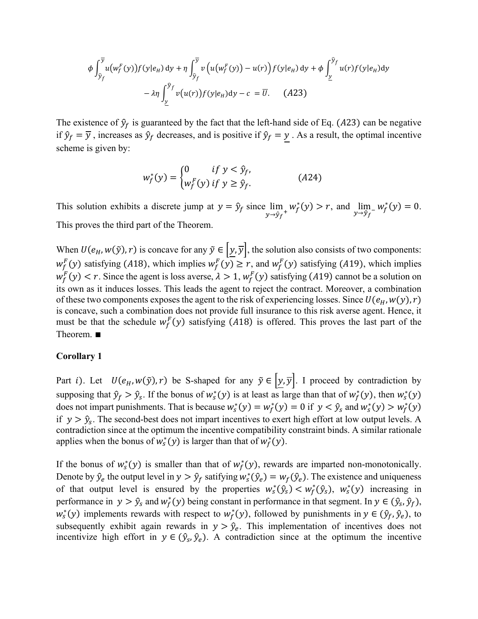$$
\phi \int_{\hat{y}_f}^{\overline{y}} u(w_f^F(y)) f(y|e_H) dy + \eta \int_{\hat{y}_f}^{\overline{y}} v(u(w_f^F(y)) - u(r)) f(y|e_H) dy + \phi \int_{\underline{y}}^{\hat{y}_f} u(r) f(y|e_H) dy
$$

$$
- \lambda \eta \int_{\underline{y}}^{\hat{y}_f} v(u(r)) f(y|e_H) dy - c = \overline{U}.
$$
 (A23)

The existence of  $\hat{y}_f$  is guaranteed by the fact that the left-hand side of Eq. (A23) can be negative if  $\hat{y}_f = \overline{y}$ , increases as  $\hat{y}_f$  decreases, and is positive if  $\hat{y}_f = y$ . As a result, the optimal incentive scheme is given by:

$$
w_f^*(y) = \begin{cases} 0 & \text{if } y < \hat{y}_f, \\ w_f^F(y) & \text{if } y \ge \hat{y}_f. \end{cases}
$$
 (A24)

This solution exhibits a discrete jump at  $y = \hat{y}_f$  since lim  $\lim_{y \to \hat{y}_f^+} w_f^*(y) > r$ , and  $\lim_{y \to \hat{y}_f^-}$  $\lim_{y \to \hat{y}_f^{-}} w_f^{*}(y) = 0.$ This proves the third part of the Theorem.

When  $U(e_H, w(\tilde{y}), r)$  is concave for any  $\tilde{y} \in [\underline{y}, \overline{y}]$ , the solution also consists of two components:  $w_f^F(y)$  satisfying (A18), which implies  $w_f^F(y) \ge r$ , and  $w_f^F(y)$  satisfying (A19), which implies  $w_f^F(y) < r$ . Since the agent is loss averse,  $\lambda > 1$ ,  $w_f^F(y)$  satisfying (A19) cannot be a solution on its own as it induces losses. This leads the agent to reject the contract. Moreover, a combination of these two components exposes the agent to the risk of experiencing losses. Since  $U(e_H, w(y), r)$ is concave, such a combination does not provide full insurance to this risk averse agent. Hence, it must be that the schedule  $w_f^F(y)$  satisfying (A18) is offered. This proves the last part of the Theorem. ∎

#### **Corollary 1**

Part *i*). Let  $U(e_H, w(\tilde{y}), r)$  be S-shaped for any  $\tilde{y} \in \left| \underline{y}, \overline{y} \right|$ . I proceed by contradiction by supposing that  $\hat{y}_f > \hat{y}_s$ . If the bonus of  $w_s^*(y)$  is at least as large than that of  $w_f^*(y)$ , then  $w_s^*(y)$ does not impart punishments. That is because  $w_s^*(y) = w_f^*(y) = 0$  if  $y < \hat{y}_s$  and  $w_s^*(y) > w_f^*(y)$ if  $y > \hat{y}_s$ . The second-best does not impart incentives to exert high effort at low output levels. A contradiction since at the optimum the incentive compatibility constraint binds. A similar rationale applies when the bonus of  $w_s^*(y)$  is larger than that of  $w_f^*(y)$ .

If the bonus of  $w_s^*(y)$  is smaller than that of  $w_f^*(y)$ , rewards are imparted non-monotonically. Denote by  $\hat{y}_e$  the output level in  $y > \hat{y}_f$  satifying  $w_s^*(\hat{y}_e) = w_f(\hat{y}_e)$ . The existence and uniqueness of that output level is ensured by the properties  $w_s^*(\hat{y}_s) < w_f^*(\hat{y}_s)$ ,  $w_s^*(y)$  increasing in performance in  $y > \hat{y}_s$  and  $w_f^*(y)$  being constant in performance in that segment. In  $y \in (\hat{y}_s, \hat{y}_f)$ ,  $w_s^*(y)$  implements rewards with respect to  $w_f^*(y)$ , followed by punishments in  $y \in (\hat{y}_f, \hat{y}_e)$ , to subsequently exhibit again rewards in  $y > \hat{y}_e$ . This implementation of incentives does not incentivize high effort in  $y \in (\hat{y}_s, \hat{y}_e)$ . A contradiction since at the optimum the incentive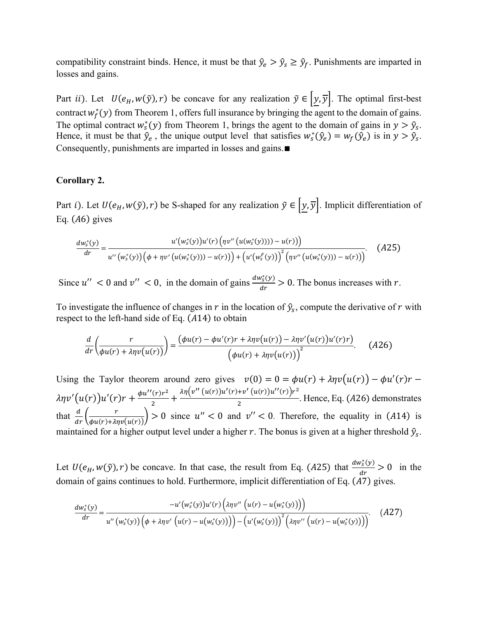compatibility constraint binds. Hence, it must be that  $\hat{y}_e > \hat{y}_s \geq \hat{y}_f$ . Punishments are imparted in losses and gains.

Part *ii*). Let  $U(e_H, w(\tilde{y}), r)$  be concave for any realization  $\tilde{y} \in [\underline{y}, \overline{y}]$ . The optimal first-best contract  $w_f^*(y)$  from Theorem 1, offers full insurance by bringing the agent to the domain of gains. The optimal contract  $w_s^*(y)$  from Theorem 1, brings the agent to the domain of gains in  $y > \hat{y}_s$ . Hence, it must be that  $\hat{y}_e$ , the unique output level that satisfies  $w_s^*(\hat{y}_e) = w_f(\hat{y}_e)$  is in  $y > \hat{y}_s$ . Consequently, punishments are imparted in losses and gains.∎

## **Corollary 2.**

Part *i*). Let  $U(e_H, w(\tilde{y}), r)$  be S-shaped for any realization  $\tilde{y} \in [y, \overline{y}]$ . Implicit differentiation of Eq.  $(A6)$  gives

$$
\frac{dw_s^*(y)}{dr} = \frac{u'(w_s^*(y))u'(r)\left(\eta v''(u(w_s^*(y)))) - u(r)\right)}{u''(w_s^*(y))\left(\phi + \eta v'(u(w_s^*(y))) - u(r)\right) + \left(u'(w_s^F(y))\right)^2\left(\eta v''(u(w_s^*(y))) - u(r)\right)}.
$$
 (A25)

Since  $u'' < 0$  and  $v'' < 0$ , in the domain of gains  $\frac{dw_s^*(y)}{dx_a}$  $\frac{\partial g(y)}{\partial r}$  > 0. The bonus increases with r.

To investigate the influence of changes in r in the location of  $\hat{y}_s$ , compute the derivative of r with respect to the left-hand side of Eq.  $(A14)$  to obtain

$$
\frac{d}{dr}\left(\frac{r}{\phi u(r) + \lambda \eta v(u(r))}\right) = \frac{(\phi u(r) - \phi u'(r)r + \lambda \eta v(u(r)) - \lambda \eta v'(u(r))u'(r)r)}{(\phi u(r) + \lambda \eta v(u(r)))^2}.
$$
 (A26)

Using the Taylor theorem around zero gives  $v(0) = 0 = \phi u(r) + \lambda \eta v(u(r)) - \phi u'(r) r$  $\lambda \eta v' (u(r)) u'(r) r + \frac{\phi u''(r) r^2}{r^2}$  $\frac{2}{\sqrt{2}}$  +  $\frac{\lambda \eta \left(v''(u(r))u'(r)+v'(u(r))u''(r)\right)r^2}{2}$  $\frac{12}{2}$ . Hence, Eq. (A26) demonstrates that  $\frac{d}{dr} \left( \frac{r}{\phi u(r) + \lambda v} \right)$  $\left(\frac{r}{\phi u(r)+\lambda\eta v(u(r))}\right) > 0$  since  $u'' < 0$  and  $v'' < 0$ . Therefore, the equality in (A14) is maintained for a higher output level under a higher r. The bonus is given at a higher threshold  $\hat{y}_s$ .

Let  $U(e_H, w(\tilde{y}), r)$  be concave. In that case, the result from Eq. (A25) that  $\frac{dw_s^*(y)}{dr}$  $\frac{\partial g(y)}{\partial r} > 0$  in the domain of gains continues to hold. Furthermore, implicit differentiation of Eq. (A7) gives.

$$
\frac{dw_s^*(y)}{dr} = \frac{-u'(w_s^*(y))u'(r)\left(\lambda\eta v''\left(u(r) - u(w_s^*(y))\right)\right)}{u''\left(w_s^*(y)\right)\left(\phi + \lambda\eta v'\left(u(r) - u(w_s^*(y))\right)\right) - \left(u'(w_s^*(y))\right)^2\left(\lambda\eta v''\left(u(r) - u(w_s^*(y))\right)\right)}.
$$
(A27)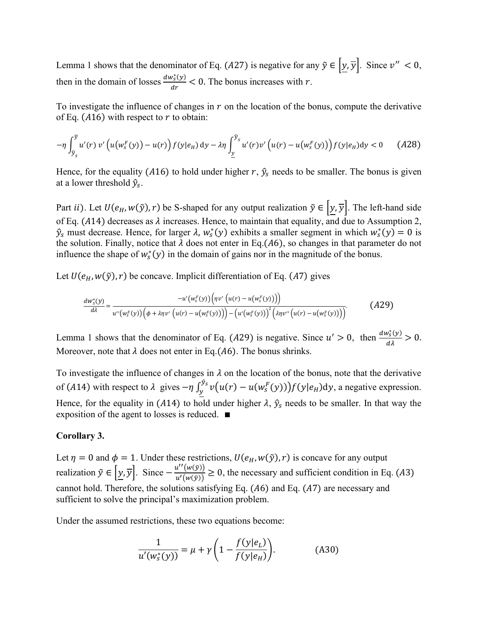Lemma 1 shows that the denominator of Eq. (A27) is negative for any  $\tilde{y} \in |y, \overline{y}|$ . Since  $v'' < 0$ , then in the domain of losses  $\frac{dw_s^*(y)}{dx_s}$  $\frac{\partial g(y)}{\partial r}$  < 0. The bonus increases with r.

To investigate the influence of changes in  $r$  on the location of the bonus, compute the derivative of Eq. (A16) with respect to  $r$  to obtain:

$$
-\eta \int_{\hat{y}_s}^{\overline{y}} u'(r) \, v' \left( u(w_s^F(y)) - u(r) \right) f(y|e_H) \, dy - \lambda \eta \int_{\underline{y}}^{\hat{y}_s} u'(r) v' \left( u(r) - u(w_s^F(y)) \right) f(y|e_H) \, dy < 0 \tag{A28}
$$

Hence, for the equality (A16) to hold under higher r,  $\hat{y}_s$  needs to be smaller. The bonus is given at a lower threshold  $\hat{y}_s$ .

Part *ii*). Let  $U(e_H, w(\tilde{y}), r)$  be S-shaped for any output realization  $\tilde{y} \in \left[\underline{y}, \overline{y}\right]$ . The left-hand side of Eq. (A14) decreases as  $\lambda$  increases. Hence, to maintain that equality, and due to Assumption 2,  $\hat{y}_s$  must decrease. Hence, for larger  $\lambda$ ,  $w_s^*(y)$  exhibits a smaller segment in which  $w_s^*(y) = 0$  is the solution. Finally, notice that  $\lambda$  does not enter in Eq.(A6), so changes in that parameter do not influence the shape of  $w_s^*(y)$  in the domain of gains nor in the magnitude of the bonus.

Let  $U(e_H, w(\tilde{y}), r)$  be concave. Implicit differentiation of Eq. (A7) gives

$$
\frac{dw_s^*(y)}{d\lambda} = \frac{-u'(w_s^F(y))\Big(\eta v'\Big(u(r) - u(w_s^F(y))\Big)\Big)}{u''(w_s^F(y))\Big(\phi + \lambda\eta v'\Big(u(r) - u(w_s^F(y))\Big)\Big) - \Big(u'(w_s^F(y))\Big)^2\Big(\lambda\eta v''\Big(u(r) - u(w_s^F(y))\Big)\Big)}}.
$$
(A29)

Lemma 1 shows that the denominator of Eq. (A29) is negative. Since  $u' > 0$ , then  $\frac{dw_s^*(y)}{d\lambda} > 0$ . Moreover, note that  $\lambda$  does not enter in Eq.(A6). The bonus shrinks.

To investigate the influence of changes in  $\lambda$  on the location of the bonus, note that the derivative of (A14) with respect to  $\lambda$  gives  $-\eta \int_{v}^{\hat{y}_s} v(u(r) - u(w_s^F(y))) f(y|e_H) dy$  $y_y^{y_s} v(u(r) - u(w_s^F(y))) f(y|e_H) dy$ , a negative expression. Hence, for the equality in (A14) to hold under higher  $\lambda$ ,  $\hat{y}_s$  needs to be smaller. In that way the exposition of the agent to losses is reduced. ∎

#### **Corollary 3.**

Let  $\eta = 0$  and  $\phi = 1$ . Under these restrictions,  $U(e_H, w(\tilde{y}), r)$  is concave for any output realization  $\tilde{y} \in [y, \overline{y}]$ . Since  $-\frac{u''(w(\tilde{y}))}{u'(w(\tilde{y}))}$  $\frac{d(u(y))}{u'(w(y))} \ge 0$ , the necessary and sufficient condition in Eq. (A3) cannot hold. Therefore, the solutions satisfying Eq.  $(A6)$  and Eq.  $(A7)$  are necessary and sufficient to solve the principal's maximization problem.

Under the assumed restrictions, these two equations become:

$$
\frac{1}{u'(w_s^*(y))} = \mu + \gamma \left(1 - \frac{f(y|e_L)}{f(y|e_H)}\right).
$$
 (A30)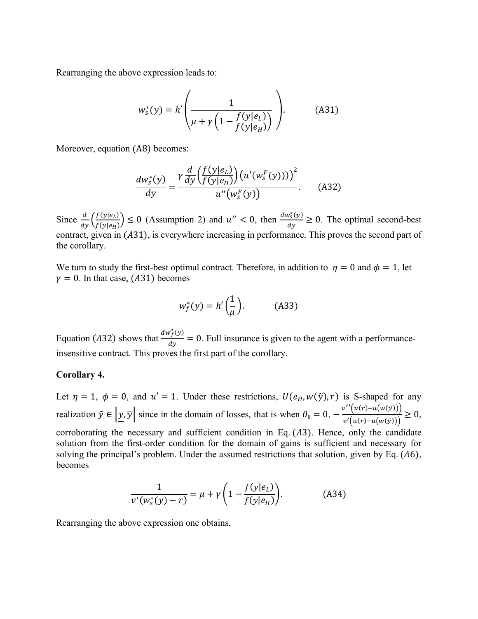Rearranging the above expression leads to:

$$
w_s^*(y) = h' \left( \frac{1}{\mu + \gamma \left( 1 - \frac{f(y|e_L)}{f(y|e_H)} \right)} \right).
$$
 (A31)

Moreover, equation (A8) becomes:

$$
\frac{dw_s^*(y)}{dy} = \frac{\gamma \frac{d}{dy} \left(\frac{f(y|e_L)}{f(y|e_H)}\right) \left(u'(w_s^F(y)))\right)^2}{u''(w_s^F(y))}.
$$
 (A32)

Since  $\frac{d}{dy} \left( \frac{f(y|e_L)}{f(y|e_H)} \right)$  $\left(\frac{f(y|e_L)}{f(y|e_H)}\right) \le 0$  (Assumption 2) and  $u'' < 0$ , then  $\frac{dw_s^*(y)}{dy}$  $\frac{\partial g(y)}{\partial y} \ge 0$ . The optimal second-best contract, given in (A31), is everywhere increasing in performance. This proves the second part of the corollary.

We turn to study the first-best optimal contract. Therefore, in addition to  $\eta = 0$  and  $\phi = 1$ , let  $\gamma = 0$ . In that case, (A31) becomes

$$
w_f^*(y) = h'\left(\frac{1}{\mu}\right). \tag{A33}
$$

Equation (A32) shows that  $\frac{dw_f^*(y)}{dx}$  $\frac{dy}{dx} = 0$ . Full insurance is given to the agent with a performanceinsensitive contract. This proves the first part of the corollary.

#### **Corollary 4.**

Let  $\eta = 1$ ,  $\phi = 0$ , and  $u' = 1$ . Under these restrictions,  $U(e_H, w(\tilde{y}), r)$  is S-shaped for any realization  $\tilde{y} \in [y, \overline{y}]$  since in the domain of losses, that is when  $\theta_{\parallel} = 0$ ,  $-\frac{v''(u(r)-u(w(\tilde{y})))}{v'(w(\tilde{x})), v'(w(\tilde{x})))}$  $\frac{v'(u(r)-u(u(\tilde{y})))}{v'(u(r)-u(w(\tilde{y})))} \geq 0,$ corroborating the necessary and sufficient condition in Eq.  $(A3)$ . Hence, only the candidate solution from the first-order condition for the domain of gains is sufficient and necessary for solving the principal's problem. Under the assumed restrictions that solution, given by Eq.  $(A6)$ , becomes

$$
\frac{1}{v'(w_s^*(y) - r)} = \mu + \gamma \left( 1 - \frac{f(y|e_L)}{f(y|e_H)} \right).
$$
 (A34)

Rearranging the above expression one obtains,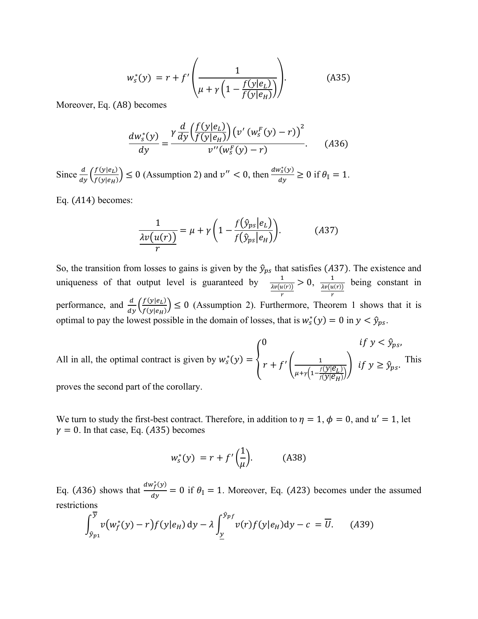$$
w_s^*(y) = r + f'\left(\frac{1}{\mu + \gamma \left(1 - \frac{f(y|e_L)}{f(y|e_H)}\right)}\right).
$$
 (A35)

Moreover, Eq. (A8) becomes

$$
\frac{dw_s^*(y)}{dy} = \frac{\gamma \frac{d}{dy} \left(\frac{f(y|e_L)}{f(y|e_H)}\right) \left(v'(w_s^F(y) - r)\right)^2}{v''(w_s^F(y) - r)}.
$$
 (A36)

Since  $\frac{d}{dy} \left( \frac{f(y|e_L)}{f(y|e_H)} \right)$  $\left(\frac{f(y|e_L)}{f(y|e_H)}\right) \le 0$  (Assumption 2) and  $v'' < 0$ , then  $\frac{dw_s^*(y)}{dy}$  $\frac{\partial v_s(y)}{\partial y} \ge 0$  if  $\theta_{\parallel} = 1$ .

Eq.  $(A14)$  becomes:

$$
\frac{1}{\lambda v(u(r))} = \mu + \gamma \left( 1 - \frac{f(\hat{y}_{ps}|e_L)}{f(\hat{y}_{ps}|e_H)} \right).
$$
(A37)

So, the transition from losses to gains is given by the  $\hat{y}_{ps}$  that satisfies (A37). The existence and uniqueness of that output level is guaranteed by  $\frac{1}{\lambda v(u(r))}$ r  $> 0, \frac{1}{\sqrt{u}}$  $\lambda v(u(r))$ r being constant in performance, and  $\frac{d}{dy} \left( \frac{f(y|e_L)}{f(y|e_H)} \right)$  $\left(\frac{f(y|e_i)}{f(y|e_i)}\right) \leq 0$  (Assumption 2). Furthermore, Theorem 1 shows that it is optimal to pay the lowest possible in the domain of losses, that is  $w_s^*(y) = 0$  in  $y < \hat{y}_{ps}$ .

All in all, the optimal contract is given by 
$$
w_s^*(y) = \begin{cases} 0 & \text{if } y < \hat{y}_{ps}, \\ r + f' \left( \frac{1}{\mu + \gamma \left( 1 - \frac{f(y|\mathcal{C}_L)}{f(y|\mathcal{C}_H)} \right)} \right) & \text{if } y \ge \hat{y}_{ps}. \end{cases}
$$

proves the second part of the corollary.

We turn to study the first-best contract. Therefore, in addition to  $\eta = 1$ ,  $\phi = 0$ , and  $u' = 1$ , let  $\gamma = 0$ . In that case, Eq. (A35) becomes

$$
w_s^*(y) = r + f'\left(\frac{1}{\mu}\right). \tag{A38}
$$

Eq. (A36) shows that  $\frac{dw_f^*(y)}{dx}$  $\frac{f(y)}{dy}$  = 0 if  $\theta_{\parallel}$  = 1. Moreover, Eq. (A23) becomes under the assumed restrictions

$$
\int_{\hat{\mathcal{Y}}_{p_1}}^{\overline{\mathcal{Y}}} v(w_f^*(y) - r) f(y|e_H) \, dy - \lambda \int_{\underline{y}}^{\hat{\mathcal{Y}}_{pf}} v(r) f(y|e_H) \, dy - c = \overline{U}.
$$
 (A39)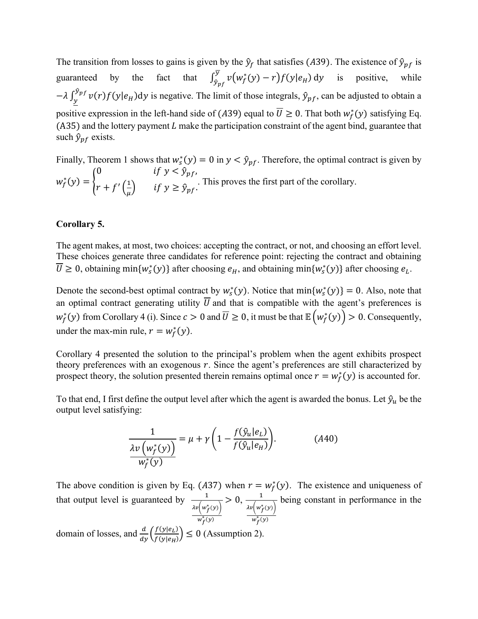The transition from losses to gains is given by the  $\hat{y}_f$  that satisfies (A39). The existence of  $\hat{y}_{pf}$  is guaranteed by the fact that  $\int_{\hat{v}_{n}}^{\overline{y}} v(w_f^*(y) - r) f(y|e_H)$  $\frac{\partial y}{\partial p_f} v(w_f^*(y) - r) f(y|e_H)$  dy is positive, while  $-\lambda \int_{v}^{\hat{y}_{pf}} v(r) f(y|e_H) dy$  $\int y^{y_{pf}} v(r) f(y|e_H) dy$  is negative. The limit of those integrals,  $\hat{y}_{pf}$ , can be adjusted to obtain a positive expression in the left-hand side of (A39) equal to  $\overline{U} \ge 0$ . That both  $w_f^*(y)$  satisfying Eq. (A35) and the lottery payment  $L$  make the participation constraint of the agent bind, guarantee that such  $\hat{y}_{pf}$  exists.

Finally, Theorem 1 shows that  $w_s^*(y) = 0$  in  $y < \hat{y}_{pf}$ . Therefore, the optimal contract is given by  $w_f^*(y) = \Big\{$ 0  $\qquad \qquad \text{if } y < \hat{y}_{pf},$  $r + f'(\frac{1}{n})$  $\left(\frac{1}{\mu}\right)$  if  $y \ge \hat{y}_{pf}$ . This proves the first part of the corollary.

## **Corollary 5.**

The agent makes, at most, two choices: accepting the contract, or not, and choosing an effort level. These choices generate three candidates for reference point: rejecting the contract and obtaining  $\overline{U} \ge 0$ , obtaining min $\{w_s^*(y)\}\$ after choosing  $e_H$ , and obtaining min $\{w_s^*(y)\}\$ after choosing  $e_L$ .

Denote the second-best optimal contract by  $w_s^*(y)$ . Notice that  $min\{w_s^*(y)\}=0$ . Also, note that an optimal contract generating utility  $\overline{U}$  and that is compatible with the agent's preferences is  $w_f^*(y)$  from Corollary 4 (i). Since  $c > 0$  and  $\overline{U} \ge 0$ , it must be that  $\mathbb{E}\left(w_f^*(y)\right) > 0$ . Consequently, under the max-min rule,  $r = w_f^*(y)$ .

Corollary 4 presented the solution to the principal's problem when the agent exhibits prospect theory preferences with an exogenous  $r$ . Since the agent's preferences are still characterized by prospect theory, the solution presented therein remains optimal once  $r = w_f^*(y)$  is accounted for.

To that end, I first define the output level after which the agent is awarded the bonus. Let  $\hat{y}_u$  be the output level satisfying:

$$
\frac{1}{\lambda v \left(w_f^*(y)\right)} = \mu + \gamma \left(1 - \frac{f(\hat{y}_u | e_L)}{f(\hat{y}_u | e_H)}\right). \tag{A40}
$$

The above condition is given by Eq. (A37) when  $r = w_f^*(y)$ . The existence and uniqueness of that output level is guaranteed by  $\frac{1}{\sqrt{2}}$  $\lambda v\left(w_{f}^{*}(y)\right)$  $w_f^*(y)$  $> 0, -\frac{1}{\sqrt{1-\frac{1}{2}}}$  $\lambda v\left(w_{f}^{*}(y)\right)$  $w_f^*(y)$ being constant in performance in the

domain of losses, and  $\frac{d}{dy} \left( \frac{f(y|e_L)}{f(y|e_H)} \right)$  $\left(\frac{f(y|e_L)}{f(y|e_H)}\right) \leq 0$  (Assumption 2).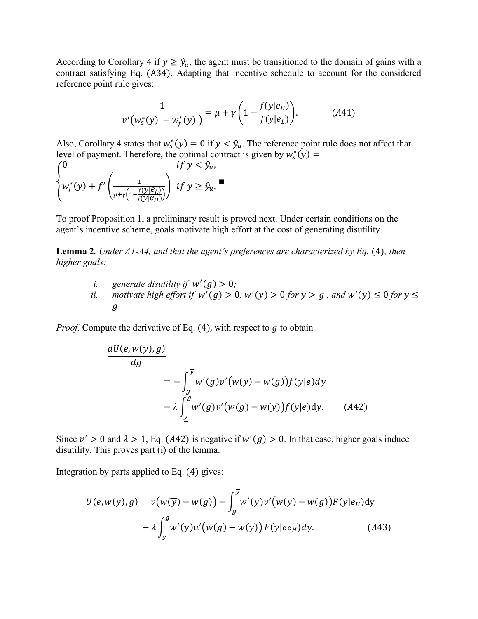According to Corollary 4 if  $y \geq \hat{y}_u$ , the agent must be transitioned to the domain of gains with a contract satisfying Eq. (A34). Adapting that incentive schedule to account for the considered reference point rule gives:

$$
\frac{1}{v'(w_s^*(y) - w_f^*(y))} = \mu + \gamma \left( 1 - \frac{f(y|e_H)}{f(y|e_L)} \right). \tag{A41}
$$

Also, Corollary 4 states that  $w_s^*(y) = 0$  if  $y < \hat{y}_u$ . The reference point rule does not affect that level of payment. Therefore, the optimal contract is given by  $w_s^*(y) =$ 

$$
\begin{cases} 0 & \text{if } y < \hat{y}_u, \\ w_f^*(y) + f' \left( \frac{1}{\mu + \gamma \left( 1 - \frac{f(y|\mathcal{e}_L)}{f(y|\mathcal{e}_H)} \right)} \right) & \text{if } y \ge \hat{y}_u. \end{cases}
$$

To proof Proposition 1, a preliminary result is proved next. Under certain conditions on the agent's incentive scheme, goals motivate high effort at the cost of generating disutility.

**Lemma 2***. Under A1-A4, and that the agent's preferences are characterized by Eq.* (4)*, then higher goals:*

- *i.* generate disutility if  $w'(g) > 0$ ;
- *ii. motivate high effort if*  $w'(g) > 0$ ,  $w'(y) > 0$  *for*  $y > g$ , and  $w'(y) \le 0$  *for*  $y \le$ *.*

*Proof.* Compute the derivative of Eq.  $(4)$ , with respect to g to obtain

$$
\frac{dU(e, w(y), g)}{dg} = -\int_{g}^{\overline{y}} w'(g) v'(w(y) - w(g)) f(y|e) dy
$$

$$
- \lambda \int_{\underline{y}}^{g} w'(g) v'(w(g) - w(y)) f(y|e) dy. \qquad (A42)
$$

Since  $v' > 0$  and  $\lambda > 1$ , Eq. (A42) is negative if  $w'(g) > 0$ . In that case, higher goals induce disutility. This proves part (i) of the lemma.

Integration by parts applied to Eq. (4) gives:

$$
U(e, w(y), g) = v(w(\overline{y}) - w(g)) - \int_{g}^{\overline{y}} w'(y)v'(w(y) - w(g))F(y|e_H)dy
$$

$$
- \lambda \int_{\underline{y}}^{g} w'(y)u'(w(g) - w(y))F(y|e_H)dy.
$$
(A43)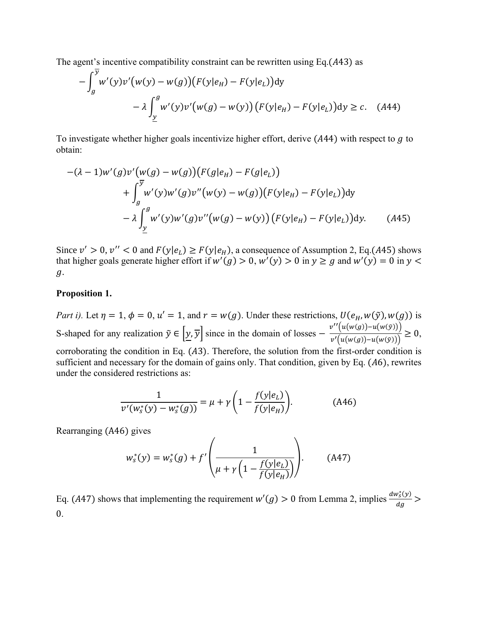The agent's incentive compatibility constraint can be rewritten using Eq.(43) as

$$
-\int_{g}^{\overline{y}} w'(y)v'(w(y) - w(g))(F(y|e_H) - F(y|e_L))dy
$$
  

$$
-\lambda \int_{\underline{y}}^{g} w'(y)v'(w(g) - w(y))(F(y|e_H) - F(y|e_L))dy \ge c. \quad (A44)
$$

To investigate whether higher goals incentivize higher effort, derive  $(A44)$  with respect to  $g$  to obtain:

$$
-(\lambda - 1)w'(g)v'(w(g) - w(g))(F(g|e_H) - F(g|e_L))
$$
  
+ 
$$
\int_{g}^{\overline{y}} w'(y)w'(g)v''(w(y) - w(g))(F(y|e_H) - F(y|e_L))dy
$$
  
- 
$$
\lambda \int_{\underline{y}}^{g} w'(y)w'(g)v''(w(g) - w(y))(F(y|e_H) - F(y|e_L))dy.
$$
 (A45)

Since  $v' > 0$ ,  $v'' < 0$  and  $F(y|e_L) \ge F(y|e_H)$ , a consequence of Assumption 2, Eq.(A45) shows that higher goals generate higher effort if  $w'(g) > 0$ ,  $w'(y) > 0$  in  $y \ge g$  and  $w'(y) = 0$  in  $y <$ .

#### **Proposition 1.**

*Part i).* Let  $\eta = 1$ ,  $\phi = 0$ ,  $u' = 1$ , and  $r = w(g)$ . Under these restrictions,  $U(e_H, w(\tilde{y}), w(g))$  is S-shaped for any realization  $\tilde{y} \in [y, \overline{y}]$  since in the domain of losses  $-\frac{v''(u(w(g)) - u(w(\tilde{y})))}{v'(w(g)) - v(w(\tilde{y})))}$  $\frac{v'(u(w(g)) - u(w(g)))}{v'(u(w(g)) - u(w(g)))} \geq 0,$ corroborating the condition in Eq.  $(A3)$ . Therefore, the solution from the first-order condition is sufficient and necessary for the domain of gains only. That condition, given by Eq.  $(A6)$ , rewrites under the considered restrictions as:

$$
\frac{1}{v'(w_s^*(y) - w_s^*(g))} = \mu + \gamma \left( 1 - \frac{f(y|e_L)}{f(y|e_H)} \right).
$$
 (A46)

Rearranging (A46) gives

$$
w_s^*(y) = w_s^*(g) + f'\left(\frac{1}{\mu + \gamma \left(1 - \frac{f(y|e_L)}{f(y|e_H)}\right)}\right).
$$
 (A47)

Eq. (A47) shows that implementing the requirement  $w'(g) > 0$  from Lemma 2, implies  $\frac{dw_s^*(y)}{dx_a}$  $\frac{\sqrt{s(y)}}{dg}$  > 0.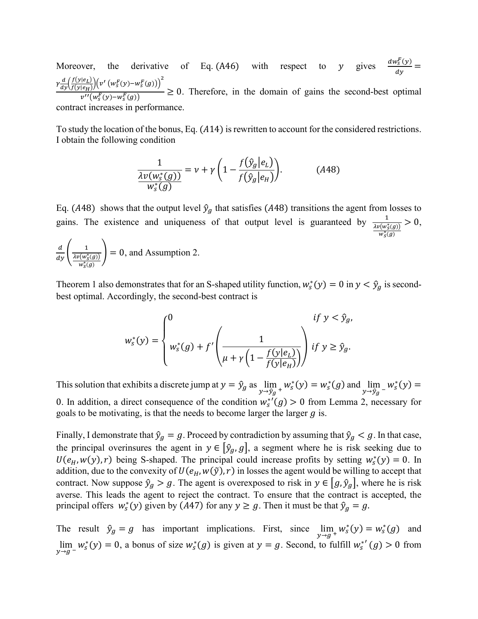Moreover, the derivative of Eq. (A46) with respect to y gives  $\frac{dw_s^F(y)}{dx}$  $\frac{y_S(y)}{dy}$  =  $\gamma \frac{d}{dy} \left( \frac{f(y|e_L)}{f(y|e_H)} \right)$  $\frac{f(y|e_L)}{f(y|e_H)}\Bigg)\Big(v'\left(w_s^F(y)-w_s^F(g)\right)\Big)^2$  $\frac{\partial^2 (P_H)/\partial}{\partial v''(w_s^F(y)-w_s^F(g))} \ge 0$ . Therefore, in the domain of gains the second-best optimal contract increases in performance.

To study the location of the bonus, Eq. (A14) is rewritten to account for the considered restrictions. I obtain the following condition

$$
\frac{1}{\lambda v(w_s^*(g))} = v + \gamma \left(1 - \frac{f(\hat{y}_g|e_L)}{f(\hat{y}_g|e_H)}\right).
$$
\n(A48)

Eq. (A48) shows that the output level  $\hat{y}_g$  that satisfies (A48) transitions the agent from losses to gains. The existence and uniqueness of that output level is guaranteed by  $\frac{1}{\lambda v(w_s^*(g))}$  $w^*_S(g)$  $> 0$ ,

$$
\frac{d}{dy}\left(\frac{1}{\frac{\lambda v(w_s^*(g))}{w_s^*(g)}}\right) = 0, \text{ and Assumption 2.}
$$

Theorem 1 also demonstrates that for an S-shaped utility function,  $w_s^*(y) = 0$  in  $y < \hat{y}_g$  is secondbest optimal. Accordingly, the second-best contract is

$$
w_s^*(y) = \begin{cases} 0 & \text{if } y < \hat{y}_g, \\ w_s^*(g) + f' \left( \frac{1}{\mu + \gamma \left( 1 - \frac{f(y|e_L)}{f(y|e_H)} \right)} \right) \text{if } y \ge \hat{y}_g. \end{cases}
$$

This solution that exhibits a discrete jump at  $y = \hat{y}_g$  as  $\lim_{y \to \hat{y}_g + w_s^*}(y) = w_s^*(g)$  and  $\lim_{y \to \hat{y}_g - w_s^*(y) = w_s^*}$ 0. In addition, a direct consequence of the condition  $w_s^{*'}(g) > 0$  from Lemma 2, necessary for goals to be motivating, is that the needs to become larger the larger  $q$  is.

Finally, I demonstrate that  $\hat{y}_g = g$ . Proceed by contradiction by assuming that  $\hat{y}_g < g$ . In that case, the principal overinsures the agent in  $y \in [\hat{y}_q, g]$ , a segment where he is risk seeking due to  $U(e_H, w(y), r)$  being S-shaped. The principal could increase profits by setting  $w_s^*(y) = 0$ . In addition, due to the convexity of  $U(e_H, w(\tilde{y}), r)$  in losses the agent would be willing to accept that contract. Now suppose  $\hat{y}_g > g$ . The agent is overexposed to risk in  $y \in [g, \hat{y}_g]$ , where he is risk averse. This leads the agent to reject the contract. To ensure that the contract is accepted, the principal offers  $w_s^*(y)$  given by (A47) for any  $y \ge g$ . Then it must be that  $\hat{y}_g = g$ .

The result  $\hat{y}_g = g$  has important implications. First, since  $\lim_{y \to g^+} w_s^*(y) = w_s^*(g)$  and  $\lim_{y\to g^-} w_s^*(y) = 0$ , a bonus of size  $w_s^*(g)$  is given at  $y = g$ . Second, to fulfill  $w_s^{*'}(g) > 0$  from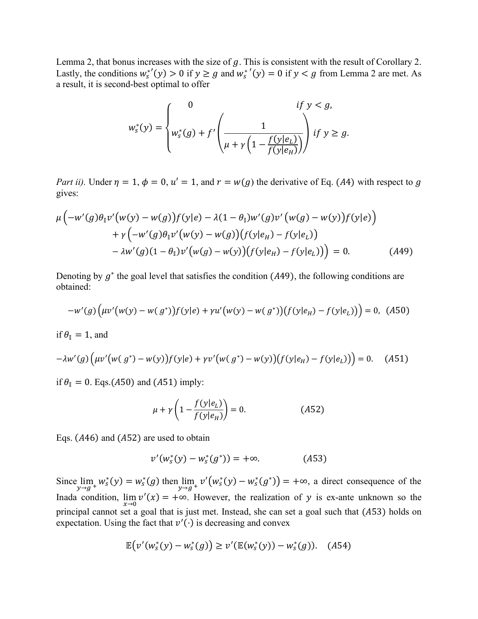Lemma 2, that bonus increases with the size of  $g$ . This is consistent with the result of Corollary 2. Lastly, the conditions  $w_s^{*'}(y) > 0$  if  $y \ge g$  and  $w_s^{*'}(y) = 0$  if  $y < g$  from Lemma 2 are met. As a result, it is second-best optimal to offer

$$
w_s^*(y) = \begin{cases} 0 & \text{if } y < g, \\ w_s^*(g) + f' \left( \frac{1}{\mu + \gamma \left( 1 - \frac{f(y|e_L)}{f(y|e_H)} \right)} \right) \text{if } y \ge g. \end{cases}
$$

*Part ii).* Under  $\eta = 1$ ,  $\phi = 0$ ,  $u' = 1$ , and  $r = w(g)$  the derivative of Eq. (A4) with respect to g gives:

$$
\mu \Big( -w'(g)\theta_{\parallel} v'(w(y) - w(g))f(y|e) - \lambda (1 - \theta_{\parallel}) w'(g)v'(w(g) - w(y))f(y|e) \Big) \n+ \gamma \Big( -w'(g)\theta_{\parallel} v'(w(y) - w(g))(f(y|e_H) - f(y|e_L)) \n- \lambda w'(g)(1 - \theta_{\parallel}) v'(w(g) - w(y))(f(y|e_H) - f(y|e_L)) \Big) = 0.
$$
\n(A49)

Denoting by  $g^*$  the goal level that satisfies the condition (A49), the following conditions are obtained:

$$
-w'(g)\Big(\mu v'(w(y) - w(g^*))f(y|e) + \gamma u'(w(y) - w(g^*))\Big(f(y|e_H) - f(y|e_L)\Big)\Big) = 0, \tag{A50}
$$

if  $\theta_{\parallel} = 1$ , and

$$
-\lambda w'(g)\Big(\mu v'\big(w(g^*) - w(y)\big)f(y|e) + \gamma v'\big(w(g^*) - w(y)\big)\big(f(y|e_H) - f(y|e_L)\big)\Big) = 0. \tag{A51}
$$

if  $\theta_{\parallel} = 0$ . Eqs.(A50) and (A51) imply:

$$
\mu + \gamma \left( 1 - \frac{f(y|e_L)}{f(y|e_H)} \right) = 0. \tag{A52}
$$

Eqs.  $(A46)$  and  $(A52)$  are used to obtain

$$
v'(w_s^*(y) - w_s^*(g^*)) = +\infty.
$$
 (A53)

Since  $\lim_{y\to g^+} w_s^*(y) = w_s^*(g)$  then  $\lim_{y\to g^+} v'(w_s^*(y) - w_s^*(g^*)) = +\infty$ , a direct consequence of the Inada condition,  $\lim_{x\to 0} v'(x) = +\infty$ . However, the realization of y is ex-ante unknown so the principal cannot set a goal that is just met. Instead, she can set a goal such that (A53) holds on expectation. Using the fact that  $v'(\cdot)$  is decreasing and convex

$$
\mathbb{E}\big(v'(w_s^*(y) - w_s^*(g)\big) \ge v'(\mathbb{E}(w_s^*(y)) - w_s^*(g)). \quad (A54)
$$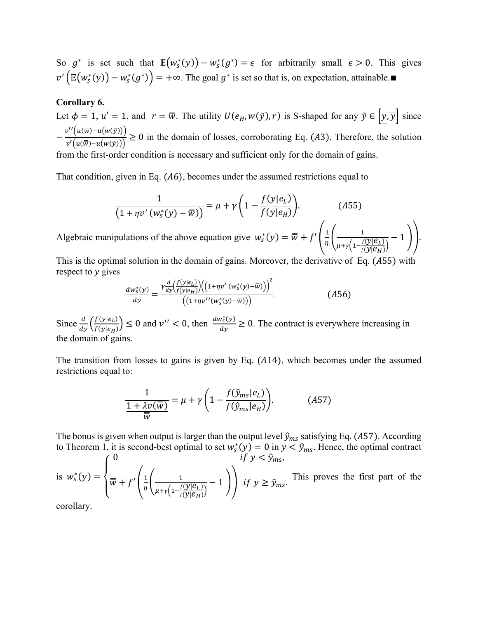So  $g^*$  is set such that  $\mathbb{E}(w_s^*(y)) - w_s^*(g^*) = \epsilon$  for arbitrarily small  $\epsilon > 0$ . This gives  $v'(\mathbb{E}(w_s^*(y)) - w_s^*(g^*)) = +\infty$ . The goal  $g^*$  is set so that is, on expectation, attainable.■

## **Corollary 6.**

Let  $\phi = 1$ ,  $u' = 1$ , and  $r = \overline{w}$ . The utility  $U(e_H, w(\tilde{y}), r)$  is S-shaped for any  $\tilde{y} \in \left[\underline{y}, \overline{y}\right]$  since  $-\frac{v''(u(\overline{w})-u(w(\tilde{y})))}{u(\overline{w})-u(w(\tilde{y})))}$  $\frac{\Gamma(\mathfrak{m}(n)-\mathfrak{m}(n\sigma))}{\nu'(\mathfrak{u}(\bar{\mathfrak{w}})-\mathfrak{u}(\mathfrak{w}(\bar{\mathfrak{y}})))}\geq 0$  in the domain of losses, corroborating Eq. (A3). Therefore, the solution from the first-order condition is necessary and sufficient only for the domain of gains.

That condition, given in Eq.  $(A6)$ , becomes under the assumed restrictions equal to

$$
\frac{1}{\left(1+\eta v'(w_s^*(y)-\overline{w})\right)}=\mu+\gamma\left(1-\frac{f(y|e_L)}{f(y|e_H)}\right).
$$
 (A55)

Algebraic manipulations of the above equation give  $w_s^*(y) = \overline{w} + f' \left( \frac{1}{n} \right)$  $\frac{1}{\eta}$  $\left( \frac{1}{u+v}\right)^{\frac{1}{\eta}}$  $\mu + \gamma \left(1 - \frac{f(\mathbf{y}|\mathcal{e}_L)}{f(\mathbf{y}|\mathcal{e}_H)}\right)$ − 1 )).

This is the optimal solution in the domain of gains. Moreover, the derivative of Eq. (A55) with respect to  $y$  gives

$$
\frac{dw_s^*(y)}{dy} = \frac{\gamma \frac{d}{dy} \left(\frac{f(y|e_L)}{f(y|e_H)}\right) \left(\left(1 + \eta v'(w_s^*(y) - \overline{w})\right)\right)^2}{\left(\left(1 + \eta v''(w_s^*(y) - \overline{w})\right)\right)}.
$$
\n(A56)

Since  $\frac{d}{dy} \left( \frac{f(y|e_L)}{f(y|e_H)} \right)$  $\left(\frac{f(y|e_L)}{f(y|e_H)}\right) \le 0$  and  $v'' < 0$ , then  $\frac{dw_s^*(y)}{dy}$  $\frac{\partial g(y)}{\partial y} \ge 0$ . The contract is everywhere increasing in the domain of gains.

The transition from losses to gains is given by Eq.  $(A14)$ , which becomes under the assumed restrictions equal to:

$$
\frac{1}{1 + \lambda v(\overline{\overline{w}})} = \mu + \gamma \left( 1 - \frac{f(\hat{y}_{ms}|e_L)}{f(\hat{y}_{ms}|e_H)} \right).
$$
(A57)

The bonus is given when output is larger than the output level  $\hat{y}_{ms}$  satisfying Eq. (A57). According to Theorem 1, it is second-best optimal to set  $w_s^*(y) = 0$  in  $y < \hat{y}_{ms}$ . Hence, the optimal contract

is  $w_s^*(y) =$  $\overline{\mathcal{L}}$  $\mathbf{I}$  $\int_0^0$  if  $y < \hat{y}_{ms}$ ,  $\overline{\overline{w}}$  +  $f'$   $\left(\frac{1}{n}\right)$  $\frac{1}{\eta}$  $\left( \frac{1}{\frac{1}{\eta} \frac{1}{\eta} \frac{1}{\eta} \frac{1}{\eta} \frac{1}{\eta} \frac{1}{\eta} \frac{1}{\eta} \frac{1}{\eta} \frac{1}{\eta} \frac{1}{\eta} \frac{1}{\eta} \frac{1}{\eta} \frac{1}{\eta} \frac{1}{\eta} \frac{1}{\eta} \frac{1}{\eta} \frac{1}{\eta} \frac{1}{\eta} \frac{1}{\eta} \frac{1}{\eta} \frac{1}{\eta} \frac{1}{\eta} \frac{1}{\eta} \frac{1}{\eta} \frac{1}{\eta} \frac$  $\frac{1}{\mu + \gamma \left(1 - \frac{f(y|\mathcal{C}_L)}{f(y|\mathcal{C}_H)}\right)} - 1$   $\int$  *if*  $y \ge \hat{y}_{ms}$ . This proves the first part of the

corollary.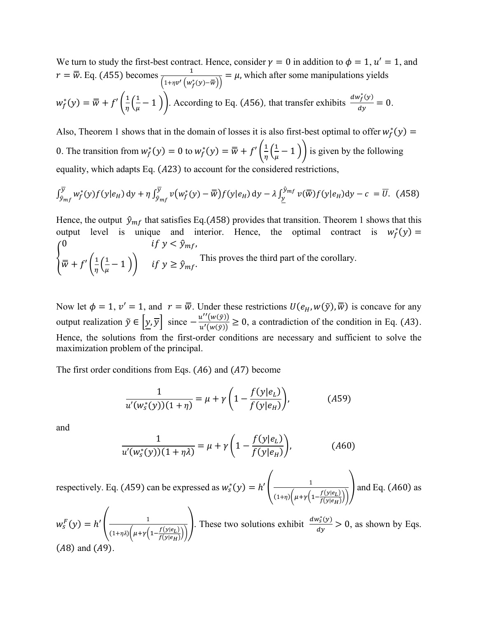We turn to study the first-best contract. Hence, consider  $\gamma = 0$  in addition to  $\phi = 1$ ,  $u' = 1$ , and  $r = \overline{w}$ . Eq. (A55) becomes  $\frac{1}{\sqrt{1-\frac{1}{2}}}$  $\frac{1}{(1+n\nu'\left(w_f^*(y)-\overline{w}\right))} = \mu$ , which after some manipulations yields  $w_f^*(y) = \overline{\overline{w}} + f'\left(\frac{1}{n}\right)$  $rac{1}{\eta} igg( \frac{1}{\mu} \bigg)$  $(\frac{1}{\mu}-1)$ . According to Eq. (A56), that transfer exhibits  $\frac{dw_f^*(y)}{dy}$  $\frac{f(y)}{dy} = 0.$ 

Also, Theorem 1 shows that in the domain of losses it is also first-best optimal to offer  $w_f^*(y)$  = 0. The transition from  $w_f^*(y) = 0$  to  $w_f^*(y) = \overline{w} + f'(\frac{1}{n})$  $rac{1}{\eta} \left(\frac{1}{\mu}\right)$  $(\frac{1}{\mu}-1)$ ) is given by the following equality, which adapts Eq.  $(A23)$  to account for the considered restrictions,

$$
\int_{\hat{y}_{mf}}^{\overline{y}} w_f^*(y) f(y|e_H) dy + \eta \int_{\hat{y}_{mf}}^{\overline{y}} v(w_f^*(y) - \overline{w}) f(y|e_H) dy - \lambda \int_{\underline{y}}^{\hat{y}_{mf}} v(\overline{w}) f(y|e_H) dy - c = \overline{U}.
$$
 (A58)

Hence, the output  $\hat{y}_{mf}$  that satisfies Eq.(A58) provides that transition. Theorem 1 shows that this output level is unique and interior. Hence, the optimal contract is  $w_f^*(y) =$ { 0  $\qquad \qquad \text{if } y < \hat{y}_{mf},$  $\overline{\overline{w}}$  +  $f'(\frac{1}{n})$  $rac{1}{\eta} \left(\frac{1}{\mu}\right)$  $\left(\frac{1}{\mu}-1\right)$  if  $y \geq \hat{y}_{mf}$ . This proves the third part of the corollary.

Now let  $\phi = 1$ ,  $v' = 1$ , and  $r = \overline{w}$ . Under these restrictions  $U(e_H, w(\tilde{y}), \overline{w})$  is concave for any output realization  $\tilde{y} \in [y, \overline{y}]$  since  $-\frac{u''(w(\tilde{y}))}{u'(w(\tilde{y})))}$  $\frac{d(u(y))}{u'(w(y))} \ge 0$ , a contradiction of the condition in Eq. (A3). Hence, the solutions from the first-order conditions are necessary and sufficient to solve the maximization problem of the principal.

The first order conditions from Eqs.  $(A6)$  and  $(A7)$  become

$$
\frac{1}{u'(w_s^*(y))(1+\eta)} = \mu + \gamma \left(1 - \frac{f(y|e_L)}{f(y|e_H)}\right),\tag{A59}
$$

and

$$
\frac{1}{u'(w_s^*(y))(1+\eta\lambda)} = \mu + \gamma \left(1 - \frac{f(y|e_L)}{f(y|e_H)}\right),\tag{A60}
$$

respectively. Eq. (A59) can be expressed as  $w_s^*(y) = h' \left( \frac{1}{\sqrt{2\pi}} \right)$  $(1+\eta)\left(\mu+\gamma\left(1-\frac{f(y|e_L)}{f(y|e_L)}\right)\right)$  $\frac{f(y|e_L)}{f(y|e_H)}\Big)\Big)$ and Eq.  $(A60)$  as

 $w_s^F(y) = h' \Big| \frac{1}{\sqrt{1 - \frac{1}{\sqrt{1 - \frac{1}{\sqrt{1 + \frac{1}{\sqrt{1 + \frac{1}{\sqrt{1 + \frac{1}{\sqrt{1 + \frac{1}{\sqrt{1 + \frac{1}{\sqrt{1 + \frac{1}{\sqrt{1 + \frac{1}{\sqrt{1 + \frac{1}{\sqrt{1 + \frac{1}{\sqrt{1 + \frac{1}{\sqrt{1 + \frac{1}{\sqrt{1 + \frac{1}{\sqrt{1 + \frac{1}{\sqrt{1 + \frac{1}{\sqrt{1 + \frac{1}{\sqrt{1 + \frac{1}{\sqrt{1 + \frac{1}{\sqrt{1 + \frac{1}{\sqrt{$  $(1+\eta\lambda)\left(\mu+\gamma\left(1-\frac{f(y|e_L)}{f(y|e_L)}\right)\right)$  $\frac{f(y|e_L)}{f(y|e_H)}\Big)\Big)$ ). These two solutions exhibit  $\frac{dw_0^*(y)}{dx_0}$  $\frac{\partial v_s(y)}{\partial y} > 0$ , as shown by Eqs.  $(A8)$  and  $(A9)$ .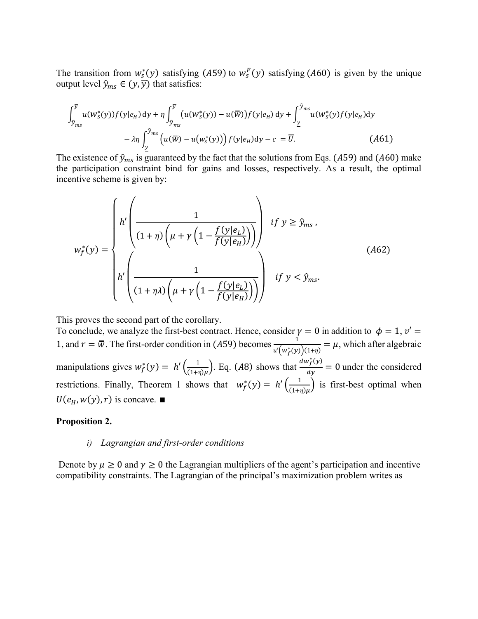The transition from  $w_s^*(y)$  satisfying (A59) to  $w_s^F(y)$  satisfying (A60) is given by the unique output level  $\hat{y}_{ms} \in (y, \overline{y})$  that satisfies:

$$
\int_{\hat{y}_{ms}}^{\overline{y}} u(w_s^*(y)) f(y|e_H) dy + \eta \int_{\hat{y}_{ms}}^{\overline{y}} (u(w_s^*(y)) - u(\overline{w})) f(y|e_H) dy + \int_{\underline{y}}^{\hat{y}_{ms}} u(w_s^*(y) f(y|e_H) dy - \lambda \eta \int_{\underline{y}}^{\hat{y}_{ms}} (u(\overline{w}) - u(w_s^*(y))) f(y|e_H) dy - c = \overline{U}.
$$
 (A61)

The existence of  $\hat{y}_{ms}$  is guaranteed by the fact that the solutions from Eqs. (A59) and (A60) make the participation constraint bind for gains and losses, respectively. As a result, the optimal incentive scheme is given by:

$$
w_f^*(y) = \begin{cases} h' \left( \frac{1}{(1+\eta)\left(\mu + \gamma \left(1 - \frac{f(y|e_L)}{f(y|e_H)}\right)\right)} \right) & \text{if } y \ge \hat{y}_{ms}, \\ h' \left( \frac{1}{(1+\eta\lambda)\left(\mu + \gamma \left(1 - \frac{f(y|e_L)}{f(y|e_H)}\right)\right)} \right) & \text{if } y < \hat{y}_{ms}. \end{cases} (A62)
$$

This proves the second part of the corollary.

To conclude, we analyze the first-best contract. Hence, consider  $\gamma = 0$  in addition to  $\phi = 1, v' =$ 1, and  $r = \overline{w}$ . The first-order condition in (A59) becomes  $\frac{1}{\sqrt{1+\overline{w}}}$  $\frac{1}{u'(w_f^*(y))(1+\eta)} = \mu$ , which after algebraic manipulations gives  $w_f^*(y) = h'\left(\frac{1}{(1+y)^2}\right)$  $\frac{1}{(1+\eta)\mu}$ . Eq. (A8) shows that  $\frac{dw_f^*(y)}{dy}$  $\frac{df(y)}{dy} = 0$  under the considered restrictions. Finally, Theorem 1 shows that  $w_f^*(y) = h' \left( \frac{1}{(1+y)^2} \right)$  $\frac{1}{(1+\eta)\mu}$  is first-best optimal when  $U(e_H, w(y), r)$  is concave. ■

### **Proposition 2.**

### *i) Lagrangian and first-order conditions*

Denote by  $\mu \ge 0$  and  $\gamma \ge 0$  the Lagrangian multipliers of the agent's participation and incentive compatibility constraints. The Lagrangian of the principal's maximization problem writes as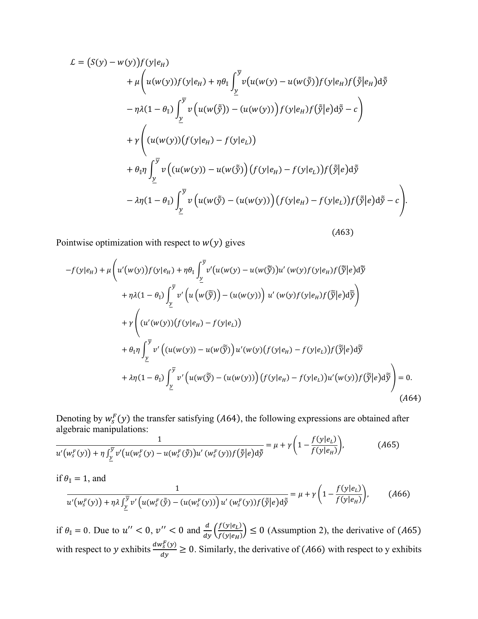$$
L = (S(y) - w(y))f(y|e_H)
$$
  
+  $\mu \left( u(w(y))f(y|e_H) + \eta \theta_{\parallel} \int_{\underline{y}}^{\overline{y}} v(u(w(y) - u(w(\tilde{y}))f(y|e_H)f(\tilde{y}|e_H) d\tilde{y} - \eta \lambda (1 - \theta_{\parallel}) \int_{\underline{y}}^{\overline{y}} v(u(w(\tilde{y})) - (u(w(y)))f(y|e_H)f(\tilde{y}|e) d\tilde{y} - c) + \gamma \left( (u(w(y))(f(y|e_H) - f(y|e_L)) + \theta_{\parallel} \eta \int_{\underline{y}}^{\overline{y}} v((u(w(y)) - u(w(\tilde{y})) (f(y|e_H) - f(y|e_L))f(\tilde{y}|e) d\tilde{y} - \lambda \eta (1 - \theta_{\parallel}) \int_{\underline{y}}^{\overline{y}} v(u(w(\tilde{y}) - (u(w(y))) (f(y|e_H) - f(y|e_L))f(\tilde{y}|e) d\tilde{y} - c) \right)$ 

 $(A63)$ 

Pointwise optimization with respect to  $w(y)$  gives

$$
-f(y|e_H) + \mu \left( u'(w(y))f(y|e_H) + \eta \theta_{\mathbb{I}} \int_{\underline{y}}^{\overline{y}} v'(u(w(y) - u(w(\widetilde{\widetilde{y}}))u'(w(y)f(y|e_H)f(\widetilde{\widetilde{y}}|e) d\widetilde{y}) + \eta \lambda (1 - \theta_{\mathbb{I}}) \int_{\underline{y}}^{\overline{y}} v'\left( u(w(\widetilde{\widetilde{y}})) - (u(w(y))) \right) u'(w(y)f(y|e_H)f(\widetilde{\widetilde{y}}|e) d\widetilde{\widetilde{y}} \right) + \gamma \left( (u'(w(y))(f(y|e_H) - f(y|e_L)) + \theta_{\mathbb{I}} \eta \int_{\underline{y}}^{\overline{y}} v'\left( (u(w(y)) - u(w(\widetilde{\widetilde{y}}))u'(w(y)(f(y|e_H) - f(y|e_L))f(\widetilde{\widetilde{y}}|e) d\widetilde{\widetilde{y}} \right) + \lambda \eta (1 - \theta_{\mathbb{I}}) \int_{\underline{y}}^{\overline{y}} v'\left( u(w(\widetilde{\widetilde{y}}) - (u(w(y)))\right) (f(y|e_H) - f(y|e_L))u'(w(y))f(\widetilde{\widetilde{y}}|e) d\widetilde{\widetilde{y}} \right) = 0.
$$
\n(A64)

Denoting by  $w_s^F(y)$  the transfer satisfying (A64), the following expressions are obtained after algebraic manipulations:

$$
\frac{1}{u'(w_s^F(y)) + \eta \int_{\underline{y}}^{\overline{y}} v'(u(w_s^F(y) - u(w_s^F(\tilde{y}))u'(w_s^F(y))f(\tilde{y}|e)d\tilde{y}} = \mu + \gamma \left(1 - \frac{f(y|e_L)}{f(y|e_H)}\right),\tag{A65}
$$

if 
$$
\theta_{\parallel} = 1
$$
, and  
\n
$$
\frac{1}{u'(w_s^F(y)) + \eta \lambda \int_{\underline{y}}^{\overline{y}} v'\left(u(w_s^F(\tilde{y}) - (u(w_s^F(y)))\right)u'(w_s^F(y))f(\tilde{y}|e)d\tilde{y}} = \mu + \gamma \left(1 - \frac{f(y|e_L)}{f(y|e_H)}\right),
$$
\n(A66)

if  $\theta_{\parallel} = 0$ . Due to  $u'' < 0$ ,  $v'' < 0$  and  $\frac{d}{dy} \left( \frac{f(y|e_L)}{f(y|e_H)} \right)$  $\left(\frac{f(y|e_i)}{f(y|e_i)}\right) \leq 0$  (Assumption 2), the derivative of (A65) with respect to y exhibits  $\frac{dw_s^F(y)}{dx}$  $\frac{\partial g(y)}{\partial y} \ge 0$ . Similarly, the derivative of (A66) with respect to y exhibits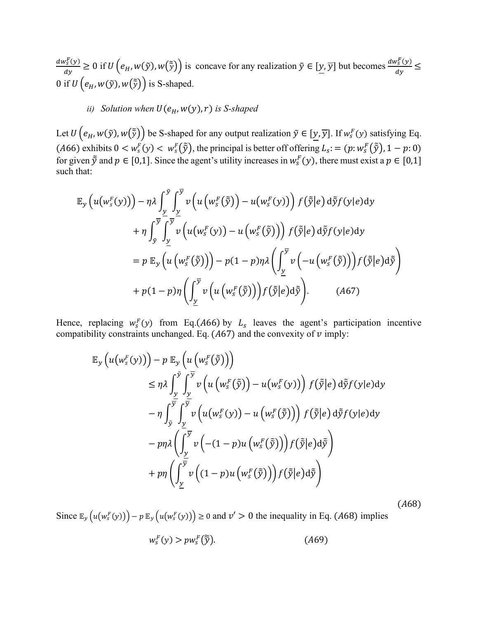$dw_s^F(y)$  $\frac{\partial g^F(y)}{\partial y} \ge 0$  if  $U(e_H, w(\tilde{y}), w(\tilde{\tilde{y}}))$  is concave for any realization  $\tilde{y} \in [\underline{y}, \overline{y}]$  but becomes  $\frac{dw_s^F(y)}{dy}$  $rac{\sqrt{s}}{dy} \leq$ 0 if  $U(e_H, w(\tilde{y}), w(\tilde{\tilde{y}}))$  is S-shaped.

## *ii*) *Solution when*  $U(e_H, w(y), r)$  *is S-shaped*

Let  $U\left(e_H, w(\tilde{y}), w(\tilde{\tilde{y}})\right)$  be S-shaped for any output realization  $\tilde{y} \in [y, \overline{y}]$ . If  $w_s^F(y)$  satisfying Eq. (A66) exhibits  $0 < w_s^F(y) < w_s^F(\tilde{y})$ , the principal is better off offering  $L_s := (p: w_s^F(\tilde{y}), 1 - p: 0)$ for given  $\tilde{y}$  and  $p \in [0,1]$ . Since the agent's utility increases in  $w_s^F(y)$ , there must exist a  $p \in [0,1]$ such that:

$$
\mathbb{E}_{\mathcal{Y}}\left(u(w_{s}^{F}(y))\right) - \eta \lambda \int_{\underline{y}}^{\underline{y}} \int_{\underline{y}}^{\overline{y}} v\left(u\left(w_{s}^{F}(\tilde{y})\right) - u(w_{s}^{F}(y))\right) f(\tilde{y}|e) d\tilde{y} f(y|e) dy \n+ \eta \int_{\tilde{y}}^{\overline{y}} \int_{\underline{y}}^{\overline{y}} v\left(u(w_{s}^{F}(y)) - u\left(w_{s}^{F}(\tilde{y})\right)\right) f(\tilde{y}|e) d\tilde{y} f(y|e) dy \n= p \mathbb{E}_{\mathcal{Y}}\left(u\left(w_{s}^{F}(\tilde{y})\right)\right) - p(1-p)\eta \lambda \left(\int_{\underline{y}}^{\overline{y}} v\left(-u\left(w_{s}^{F}(\tilde{y})\right)\right) f(\tilde{y}|e) d\tilde{y}\right) \n+ p(1-p)\eta \left(\int_{\underline{y}}^{\overline{y}} v\left(u\left(w_{s}^{F}(\tilde{y})\right)\right) f(\tilde{y}|e) d\tilde{y}\right).
$$
\n(A67)

Hence, replacing  $w_s^F(y)$  from Eq.(A66) by  $L_s$  leaves the agent's participation incentive compatibility constraints unchanged. Eq.  $(A67)$  and the convexity of  $v$  imply:

$$
\mathbb{E}_{\mathbf{y}}\left(u(w_s^F(y))\right) - p \mathbb{E}_{\mathbf{y}}\left(u\left(w_s^F(\tilde{y})\right)\right) \n\leq \eta \lambda \int_{\frac{y}{2}}^{\tilde{y}} \int_{\frac{y}{2}}^{\overline{y}} v\left(u\left(w_s^F(\tilde{y})\right) - u(w_s^F(y))\right) f(\tilde{y}|e) d\tilde{y} f(y|e) dy \n- \eta \int_{\tilde{y}}^{\frac{y}{2}} \int_{\frac{y}{2}}^{\frac{y}{2}} v\left(u(w_s^F(y)) - u\left(w_s^F(\tilde{y})\right)\right) f(\tilde{y}|e) d\tilde{y} f(y|e) dy \n- p \eta \lambda \left(\int_{\frac{y}{2}}^{\overline{y}} v\left(-(1-p)u\left(w_s^F(\tilde{y})\right)\right) f(\tilde{y}|e) d\tilde{y}\right) \n+ p \eta \left(\int_{\frac{y}{2}}^{\frac{y}{2}} v\left((1-p)u\left(w_s^F(\tilde{y})\right)\right) f(\tilde{y}|e) d\tilde{y}\right)
$$

 $(A68)$ 

Since  $\mathbb{E}_y(u(w_s^F(y))) - p \mathbb{E}_y(u(w_s^F(y))) \ge 0$  and  $v' > 0$  the inequality in Eq. (A68) implies

$$
w_s^F(y) > pw_s^F(\widetilde{y}).\tag{A69}
$$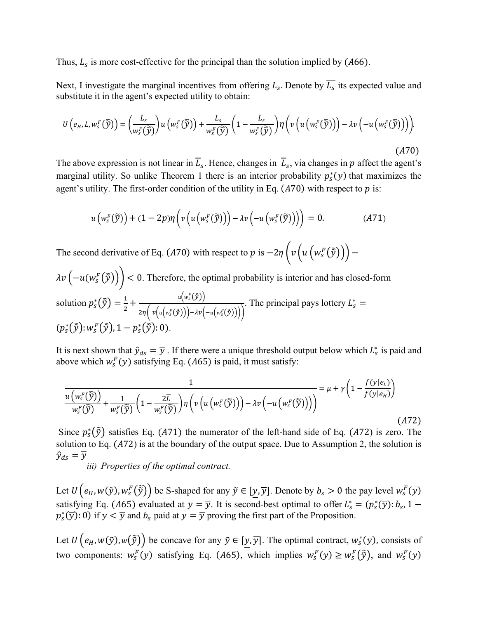Thus,  $L_s$  is more cost-effective for the principal than the solution implied by (A66).

Next, I investigate the marginal incentives from offering  $L_s$ . Denote by  $L_s$  its expected value and substitute it in the agent's expected utility to obtain:

$$
U\left(e_H, L, w_s^F(\widetilde{\widetilde{y}})\right) = \left(\frac{\overline{L}_s}{w_s^F(\widetilde{\widetilde{y}})}\right)u\left(w_s^F(\widetilde{\widetilde{y}})\right) + \frac{\overline{L}_s}{w_s^F(\widetilde{\widetilde{y}})}\left(1 - \frac{\overline{L}_s}{w_s^F(\widetilde{\widetilde{y}})}\right)\eta\left(v\left(u\left(w_s^F(\widetilde{\widetilde{y}})\right)\right) - \lambda v\left(-u\left(w_s^F(\widetilde{\widetilde{y}})\right)\right)\right).
$$
\n(A70)

The above expression is not linear in  $L_s$ . Hence, changes in  $L_s$ , via changes in  $p$  affect the agent's marginal utility. So unlike Theorem 1 there is an interior probability  $p_s^*(y)$  that maximizes the agent's utility. The first-order condition of the utility in Eq.  $(A70)$  with respect to  $p$  is:

$$
u\left(w_s^F(\widetilde{y})\right)+(1-2p)\eta\left(v\left(u\left(w_s^F(\widetilde{y})\right)\right)-\lambda v\left(-u\left(w_s^F(\widetilde{y})\right)\right)\right)=0.\tag{A71}
$$

The second derivative of Eq. (A70) with respect to p is  $-2\eta \left(v\left(u\left(w_s^F(\tilde{y})\right)\right)-\right)$ 

 $\lambda v\left(-u(w_s^F(\tilde{y})\right))$  < 0. Therefore, the optimal probability is interior and has closed-form solution  $p_s^*(\tilde{\tilde{y}})=\frac{1}{2}$  $\frac{1}{2} + \frac{u(w_s^F(\tilde{\tilde{y}}))}{2m(w(w_s^F(\tilde{\tilde{y}})))}$  $2\eta \left( v \left( u \left( w_s^F(\tilde{y}) \right) \right) - \lambda v \left( -u \left( w_s^F(\tilde{y}) \right) \right) \right)$ . The principal pays lottery  $L_s^* =$  $(p_s^*(\tilde{\tilde{y}}): w_s^F(\tilde{\tilde{y}}), 1-p_s^*(\tilde{\tilde{y}}): 0).$ 

It is next shown that  $\hat{y}_{ds} = \overline{y}$ . If there were a unique threshold output below which  $L_s^*$  is paid and above which  $w_s^F(y)$  satisfying Eq. (A65) is paid, it must satisfy:

$$
\frac{1}{u\left(w_s^F(\tilde{\tilde{y}})\right)} + \frac{1}{w_s^F(\tilde{\tilde{y}})} \left(1 - \frac{2\overline{L}}{w_s^F(\tilde{\tilde{y}})}\right) \eta\left(v\left(u\left(w_s^F(\tilde{\tilde{y}})\right)\right) - \lambda v\left(-u\left(w_s^F(\tilde{\tilde{y}})\right)\right)\right) = \mu + \gamma\left(1 - \frac{f(y|e_L)}{f(y|e_H)}\right)
$$
\n(A72)

Since  $p_s^*(\tilde{y})$  satisfies Eq. (A71) the numerator of the left-hand side of Eq. (A72) is zero. The solution to Eq.  $(A72)$  is at the boundary of the output space. Due to Assumption 2, the solution is  $\hat{y}_{ds} = \overline{y}$ 

*iii) Properties of the optimal contract.*

Let  $U\left(e_H, w(\tilde{y}), w_s^F(\tilde{\tilde{y}})\right)$  be S-shaped for any  $\tilde{y} \in [y, \overline{y}]$ . Denote by  $b_s > 0$  the pay level  $w_s^F(y)$ satisfying Eq. (A65) evaluated at  $y = \overline{y}$ . It is second-best optimal to offer  $L_s^* = (p_s^*(\overline{y}) : b_s, 1$  $p_s^*(\overline{y})$ : 0) if  $y < \overline{y}$  and  $b_s$  paid at  $y = \overline{y}$  proving the first part of the Proposition.

Let  $U(e_H, w(\tilde{y}), w(\tilde{\tilde{y}}))$  be concave for any  $\tilde{y} \in [y, \overline{y}]$ . The optimal contract,  $w_s^*(y)$ , consists of two components:  $w_s^F(y)$  satisfying Eq. (A65), which implies  $w_s^F(y) \geq w_s^F(\tilde{y})$ , and  $w_s^F(y)$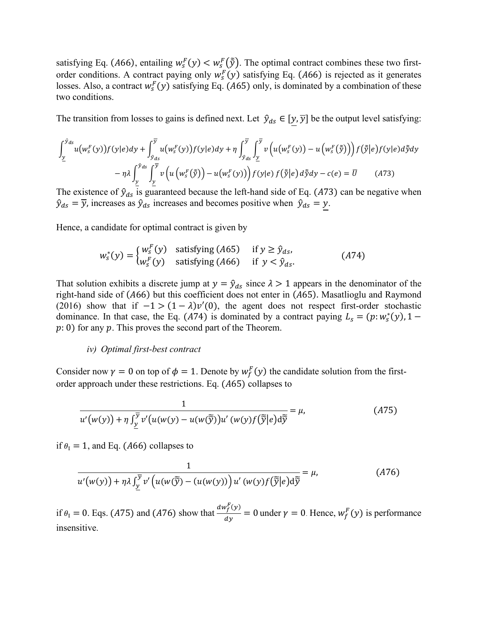satisfying Eq. (A66), entailing  $w_s^F(y) < w_s^F(\tilde{y})$ . The optimal contract combines these two firstorder conditions. A contract paying only  $w_s^F(y)$  satisfying Eq. (A66) is rejected as it generates losses. Also, a contract  $w_s^F(y)$  satisfying Eq. (A65) only, is dominated by a combination of these two conditions.

The transition from losses to gains is defined next. Let  $\hat{y}_{ds} \in [y, \overline{y}]$  be the output level satisfying:

$$
\int_{\underline{y}}^{\hat{y}_{ds}} u(w_s^F(y)) f(y|e) dy + \int_{\hat{y}_{ds}}^{\overline{y}} u(w_s^F(y)) f(y|e) dy + \eta \int_{\hat{y}_{ds}}^{\overline{y}} \int_{\underline{y}}^{\overline{y}} v\left(u(w_s^F(y)) - u(w_s^F(\tilde{y}))\right) f(\tilde{y}|e) f(y|e) d\tilde{y} dy
$$

$$
- \eta \lambda \int_{\underline{y}}^{\hat{y}_{ds}} \int_{\underline{y}}^{\overline{y}} v\left(u\left(w_s^F(\tilde{y})\right) - u(w_s^F(y))\right) f(y|e) f(\tilde{y}|e) d\tilde{y} dy - c(e) = \overline{U} \qquad (A73)
$$

The existence of  $\hat{y}_{ds}$  is guaranteed because the left-hand side of Eq. (A73) can be negative when  $\hat{y}_{ds} = \overline{y}$ , increases as  $\hat{y}_{ds}$  increases and becomes positive when  $\hat{y}_{ds} = y$ .

Hence, a candidate for optimal contract is given by

$$
w_s^*(y) = \begin{cases} w_s^F(y) & \text{satisfying (A65)} \quad \text{if } y \ge \hat{y}_{ds}, \\ w_s^F(y) & \text{satisfying (A66)} \quad \text{if } y < \hat{y}_{ds}. \end{cases} \tag{A74}
$$

That solution exhibits a discrete jump at  $y = \hat{y}_{ds}$  since  $\lambda > 1$  appears in the denominator of the right-hand side of  $(A66)$  but this coefficient does not enter in  $(A65)$ . Masatlioglu and Raymond (2016) show that if  $-1 > (1 - \lambda)v'(0)$ , the agent does not respect first-order stochastic dominance. In that case, the Eq. (A74) is dominated by a contract paying  $L_s = (p: w_s^*(y), 1$  $p: 0$ ) for any  $p$ . This proves the second part of the Theorem.

#### *iv) Optimal first-best contract*

Consider now  $\gamma = 0$  on top of  $\phi = 1$ . Denote by  $w_f^F(y)$  the candidate solution from the firstorder approach under these restrictions. Eq.  $(A65)$  collapses to

$$
\frac{1}{u'(w(y)) + \eta \int_{\underline{y}}^{\overline{y}} v'(u(w(y) - u(w(\widetilde{y}))u'(w(y)f(\widetilde{\overline{y}}|e))d\widetilde{\overline{y}}}} = \mu,
$$
\n(A75)

if  $\theta_{\parallel} = 1$ , and Eq. (A66) collapses to

$$
\frac{1}{u'(w(y)) + \eta \lambda \int_{\underline{y}}^{\overline{y}} v'\left(u(w(\widetilde{y}) - (u(w(y)))\right)u'(w(y)f(\widetilde{\widetilde{y}}|e)d\widetilde{y}} = \mu,
$$
\n(476)

if  $\theta_{\parallel} = 0$ . Eqs. (A75) and (A76) show that  $\frac{dw_f^F(y)}{dy}$  $\frac{\partial f(y)}{\partial y} = 0$  under  $\gamma = 0$ . Hence,  $w_f^F(y)$  is performance insensitive.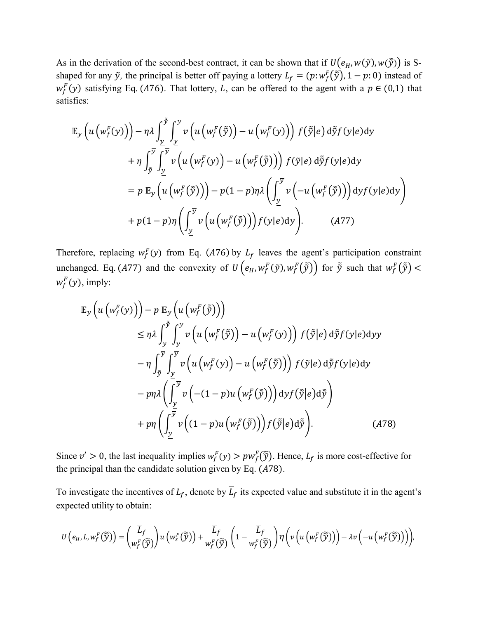As in the derivation of the second-best contract, it can be shown that if  $U(e_H, w(\tilde{y}), w(\tilde{y}))$  is Sshaped for any  $\tilde{y}$ , the principal is better off paying a lottery  $L_f = (p: w_f^F(\tilde{\tilde{y}}), 1 - p: 0)$  instead of  $w_f^F(y)$  satisfying Eq. (A76). That lottery, L, can be offered to the agent with a  $p \in (0,1)$  that satisfies:

$$
\mathbb{E}_{\mathcal{Y}}\left(u\left(w_{f}^{F}(y)\right)\right)-\eta\lambda\int_{\underline{y}}^{\tilde{y}}\int_{\underline{y}}^{\overline{y}}v\left(u\left(w_{f}^{F}(\tilde{y})\right)-u\left(w_{f}^{F}(y)\right)\right)f(\tilde{y}|e)\,d\tilde{y}f(y|e)dy \n+\eta\int_{\tilde{y}}^{\overline{y}}\int_{\underline{y}}^{\overline{y}}v\left(u\left(w_{f}^{F}(y)\right)-u\left(w_{f}^{F}(\tilde{y})\right)\right)f(\tilde{y}|e)\,d\tilde{y}f(y|e)dy \n=\rho\mathbb{E}_{\mathcal{Y}}\left(u\left(w_{f}^{F}(\tilde{y})\right)\right)-p(1-p)\eta\lambda\left(\int_{\underline{y}}^{\overline{y}}v\left(-u\left(w_{f}^{F}(\tilde{y})\right)\right)dyf(y|e)dy\right) \n+\rho(1-p)\eta\left(\int_{\underline{y}}^{\overline{y}}v\left(u\left(w_{f}^{F}(\tilde{y})\right)\right)f(y|e)dy\right).
$$
\n(A77)

Therefore, replacing  $w_f^F(y)$  from Eq. (A76) by  $L_f$  leaves the agent's participation constraint unchanged. Eq. (A77) and the convexity of  $U(e_H, w_f^F(\tilde{y}), w_f^F(\tilde{\tilde{y}}))$  for  $\tilde{y}$  such that  $w_f^F(\tilde{\tilde{y}})$  <  $w_f^F(y)$ , imply:

$$
\mathbb{E}_{\mathcal{Y}}\left(u\left(w_{f}^{F}(y)\right)\right)-p \mathbb{E}_{\mathcal{Y}}\left(u\left(w_{f}^{F}(\tilde{y})\right)\right) \n\leq \eta \lambda \int_{\frac{y}{2}}^{\tilde{y}} \int_{\frac{y}{2}}^{\overline{y}} v\left(u\left(w_{f}^{F}(\tilde{y})\right)-u\left(w_{f}^{F}(y)\right)\right) f(\tilde{y}|e) d\tilde{y} f(y|e) dy \n- \eta \int_{\tilde{y}}^{\frac{y}{2}} \int_{\frac{y}{2}}^{\overline{y}} v\left(u\left(w_{f}^{F}(y)\right)-u\left(w_{f}^{F}(\tilde{y})\right)\right) f(\tilde{y}|e) d\tilde{y} f(y|e) dy \n- p\eta \lambda \left(\int_{\frac{y}{2}}^{\overline{y}} v\left(-(1-p)u\left(w_{f}^{F}(\tilde{y})\right)\right) dy f(\tilde{y}|e) d\tilde{y}\right) \n+ p\eta \left(\int_{\frac{y}{2}}^{\overline{y}} v\left((1-p)u\left(w_{f}^{F}(\tilde{y})\right)\right) f(\tilde{y}|e) d\tilde{y}\right).
$$
\n(A78)

Since  $v' > 0$ , the last inequality implies  $w_f^F(y) > pw_f^F(\tilde{y})$ . Hence,  $L_f$  is more cost-effective for the principal than the candidate solution given by Eq.  $(A78)$ .

To investigate the incentives of  $L_f$ , denote by  $\overline{L}_f$  its expected value and substitute it in the agent's expected utility to obtain:

$$
U(e_H, L, w_f^F(\widetilde{\widetilde{y}})) = \left(\frac{\overline{L}_f}{w_f^F(\widetilde{\widetilde{y}})}\right)u(w_s^F(\widetilde{\widetilde{y}})) + \frac{\overline{L}_f}{w_f^F(\widetilde{\widetilde{y}})}\left(1 - \frac{\overline{L}_f}{w_f^F(\widetilde{\widetilde{y}})}\right)\eta\left(v\left(u\left(w_f^F(\widetilde{\widetilde{y}})\right)\right) - \lambda v\left(-u\left(w_f^F(\widetilde{\widetilde{y}})\right)\right)\right),
$$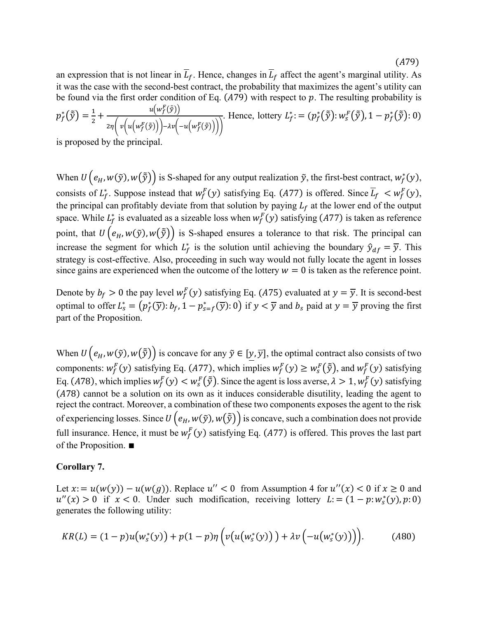$(A79)$ 

an expression that is not linear in  $\overline{L}_f$ . Hence, changes in  $\overline{L}_f$  affect the agent's marginal utility. As it was the case with the second-best contract, the probability that maximizes the agent's utility can be found via the first order condition of Eq.  $(A79)$  with respect to p. The resulting probability is  $p_f^*(\tilde{\tilde{y}}) = \frac{1}{2}$  $\frac{1}{2} + \frac{u(w_f^F(\tilde{\tilde{y}}))}{\sqrt{(\frac{F(\tilde{\tilde{x}})}{F(\tilde{x})})^2 + (w_f^F(\tilde{\tilde{y}}))^2}}$  $2\eta \left( v \left( u \left( w_f^F(\tilde{y}) \right) \right) - \lambda v \left( -u \left( w_f^F(\tilde{y}) \right) \right) \right)$ . Hence, lottery  $L_f^* := (p_f^*(\tilde{\tilde{y}}): w_s^F(\tilde{\tilde{y}}), 1 - p_f^*(\tilde{\tilde{y}}): 0)$ 

is proposed by the principal.

When  $U(e_H, w(\tilde{y}), w(\tilde{\tilde{y}}))$  is S-shaped for any output realization  $\tilde{y}$ , the first-best contract,  $w_f^*(y)$ , consists of  $L_f^*$ . Suppose instead that  $w_f^F(y)$  satisfying Eq. (A77) is offered. Since  $\overline{L}_f \lt w_f^F(y)$ , the principal can profitably deviate from that solution by paying  $L_f$  at the lower end of the output space. While  $L_f^*$  is evaluated as a sizeable loss when  $w_f^F(y)$  satisfying (A77) is taken as reference point, that  $U(e_H, w(\tilde{y}), w(\tilde{y}))$  is S-shaped ensures a tolerance to that risk. The principal can increase the segment for which  $L_f^*$  is the solution until achieving the boundary  $\hat{y}_{df} = \overline{y}$ . This strategy is cost-effective. Also, proceeding in such way would not fully locate the agent in losses since gains are experienced when the outcome of the lottery  $w = 0$  is taken as the reference point.

Denote by  $b_f > 0$  the pay level  $w_f^F(y)$  satisfying Eq. (A75) evaluated at  $y = \overline{y}$ . It is second-best optimal to offer  $L_s^* = (p_f^*(\overline{y}) : b_f, 1 - p_{s=f}^*(\overline{y}) : 0)$  if  $y < \overline{y}$  and  $b_s$  paid at  $y = \overline{y}$  proving the first part of the Proposition.

When  $U(e_H, w(\tilde{y}), w(\tilde{\tilde{y}}))$  is concave for any  $\tilde{y} \in [\underline{y}, \overline{y}]$ , the optimal contract also consists of two components:  $w_f^F(y)$  satisfying Eq. (A77), which implies  $w_f^F(y) \geq w_s^F(\tilde{y})$ , and  $w_f^F(y)$  satisfying Eq. (A78), which implies  $w_f^F(y) < w_s^F(\tilde{y})$ . Since the agent is loss averse,  $\lambda > 1, w_f^F(y)$  satisfying (78) cannot be a solution on its own as it induces considerable disutility, leading the agent to reject the contract. Moreover, a combination of these two components exposes the agent to the risk of experiencing losses. Since  $U(e_H, w(\tilde{y}), w(\tilde{y}))$  is concave, such a combination does not provide full insurance. Hence, it must be  $w_f^F(y)$  satisfying Eq. (A77) is offered. This proves the last part of the Proposition. ∎

## **Corollary 7.**

Let  $x = u(w(y)) - u(w(g))$ . Replace  $u'' < 0$  from Assumption 4 for  $u''(x) < 0$  if  $x \ge 0$  and  $u''(x) > 0$  if  $x < 0$ . Under such modification, receiving lottery  $L = (1 - p : w_s^*(y), p : 0)$ generates the following utility:

$$
KR(L) = (1 - p)u(w_s^*(y)) + p(1 - p)\eta(v(u(w_s^*(y))) + \lambda v(-u(w_s^*(y))))). \tag{A80}
$$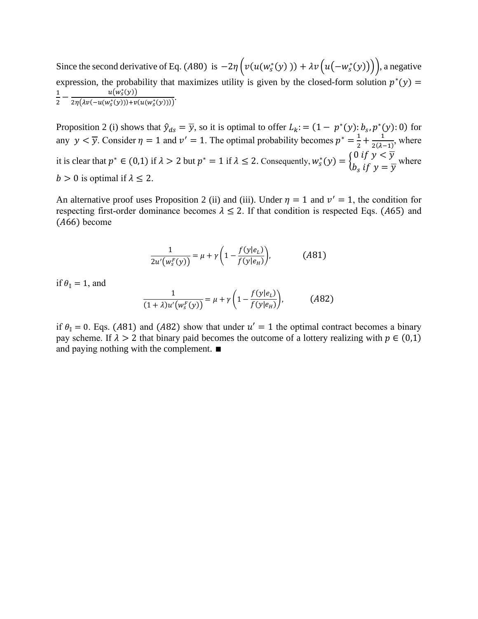Since the second derivative of Eq. (A80) is  $-2\eta \left( v(u(w_s^*(y))) + \lambda v(u(-w_s^*(y))) \right)$ , a negative expression, the probability that maximizes utility is given by the closed-form solution  $p^*(y)$  = 1  $\frac{1}{2}-\frac{u(w^*_s)}{2\eta(\lambda\nu(-u(w^*_s(y))}$  $u(w_s^*(y))$  $\frac{u(w_S(y))}{2\eta(\lambda v(-u(w_s^*(y)))+v(u(w_s^*(y))))}$ .

Proposition 2 (i) shows that  $\hat{y}_{ds} = \overline{y}$ , so it is optimal to offer  $L_k$ : =  $(1 - p^*(y)$ :  $b_s$ ,  $p^*(y)$ : 0) for any  $y < \overline{y}$ . Consider  $\eta = 1$  and  $v' = 1$ . The optimal probability becomes  $p^* = \frac{1}{2}$  $\frac{1}{2} + \frac{1}{2(\lambda - 1)}$  $\frac{1}{2(\lambda-1)}$ , where it is clear that  $p^* \in (0,1)$  if  $\lambda > 2$  but  $p^* = 1$  if  $\lambda \leq 2$ . Consequently,  $w_s^*(y) = \begin{cases} 0 & \text{if } y < \overline{y} \\ h & \text{if } y > \overline{z} \end{cases}$  $b_s$  if  $y = \overline{y}$ where  $b > 0$  is optimal if  $\lambda \leq 2$ .

An alternative proof uses Proposition 2 (ii) and (iii). Under  $\eta = 1$  and  $\nu' = 1$ , the condition for respecting first-order dominance becomes  $\lambda \leq 2$ . If that condition is respected Eqs. (A65) and  $(A66)$  become

$$
\frac{1}{2u'(w_s^F(y))} = \mu + \gamma \left(1 - \frac{f(y|e_L)}{f(y|e_H)}\right),\tag{A81}
$$

if  $\theta_{\parallel} = 1$ , and

$$
\frac{1}{(1+\lambda)u'(w_s^F(y))} = \mu + \gamma \left(1 - \frac{f(y|e_L)}{f(y|e_H)}\right),\tag{A82}
$$

if  $\theta_{\parallel} = 0$ . Eqs. (A81) and (A82) show that under  $u' = 1$  the optimal contract becomes a binary pay scheme. If  $\lambda > 2$  that binary paid becomes the outcome of a lottery realizing with  $p \in (0,1)$ and paying nothing with the complement. ∎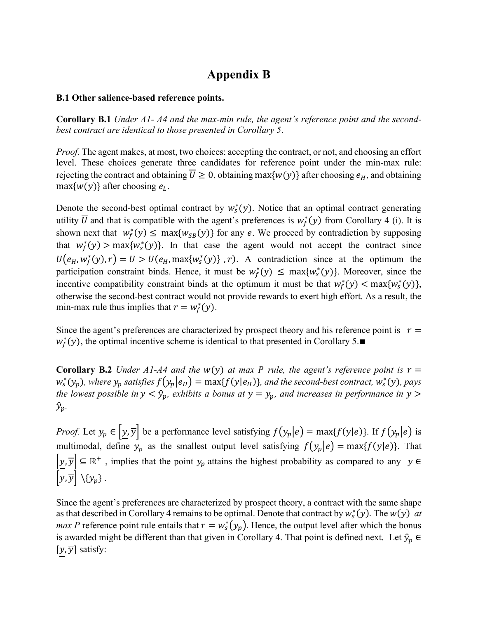# **Appendix B**

## **B.1 Other salience-based reference points.**

**Corollary B.1** *Under A1- A4 and the max-min rule, the agent's reference point and the secondbest contract are identical to those presented in Corollary 5*.

*Proof.* The agent makes, at most, two choices: accepting the contract, or not, and choosing an effort level. These choices generate three candidates for reference point under the min-max rule: rejecting the contract and obtaining  $\overline{U} \ge 0$ , obtaining max{ $w(y)$ } after choosing  $e_H$ , and obtaining  $max{w(y)}$  after choosing  $e_L$ .

Denote the second-best optimal contract by  $w_s^*(y)$ . Notice that an optimal contract generating utility  $\overline{U}$  and that is compatible with the agent's preferences is  $w_f^*(y)$  from Corollary 4 (i). It is shown next that  $w_f^*(y) \le \max\{w_{SB}(y)\}\$  for any e. We proceed by contradiction by supposing that  $w_f^*(y) > \max\{w_s^*(y)\}\$ . In that case the agent would not accept the contract since  $U(e_H, w_f^*(y), r) = \overline{U} > U(e_H, \max\{w_s^*(y)\}, r)$ . A contradiction since at the optimum the participation constraint binds. Hence, it must be  $w_f^*(y) \leq \max\{w_s^*(y)\}\.$  Moreover, since the incentive compatibility constraint binds at the optimum it must be that  $w_f^*(y) < \max\{w_s^*(y)\},$ otherwise the second-best contract would not provide rewards to exert high effort. As a result, the min-max rule thus implies that  $r = w_f^*(y)$ .

Since the agent's preferences are characterized by prospect theory and his reference point is  $r =$  $w_f^*(y)$ , the optimal incentive scheme is identical to that presented in Corollary 5.

**Corollary B.2** *Under A1-A4 and the w(y) at max P rule, the agent's reference point is*  $r =$  $w_s^*(y_p)$ , where  $y_p$  satisfies  $f(y_p|e_H) = \max\{f(y|e_H)\}\$ , and the second-best contract,  $w_s^*(y)$ , pays *the lowest possible in*  $y < \hat{y}_p$ , exhibits a bonus at  $y = y_p$ , and increases in performance in  $y >$  $\hat{y}_p$ .

*Proof.* Let  $y_p \in [y, \overline{y}]$  be a performance level satisfying  $f(y_p|e) = \max\{f(y|e)\}\$ . If  $f(y_p|e)$  is multimodal, define  $y_p$  as the smallest output level satisfying  $f(y_p|e) = \max\{f(y|e)\}\$ . That  $[\underline{y}, \overline{y}] \subseteq \mathbb{R}^+$ , implies that the point  $y_p$  attains the highest probability as compared to any  $y \in \mathbb{R}^+$  $|y, \overline{y}| \setminus {y_p}.$ 

Since the agent's preferences are characterized by prospect theory, a contract with the same shape as that described in Corollary 4 remains to be optimal. Denote that contract by  $w_s^*(y)$ . The  $w(y)$  at *max P* reference point rule entails that  $r = w_s^*(y_p)$ . Hence, the output level after which the bonus is awarded might be different than that given in Corollary 4. That point is defined next. Let  $\hat{y}_p \in$  $[y, \overline{y}]$  satisfy: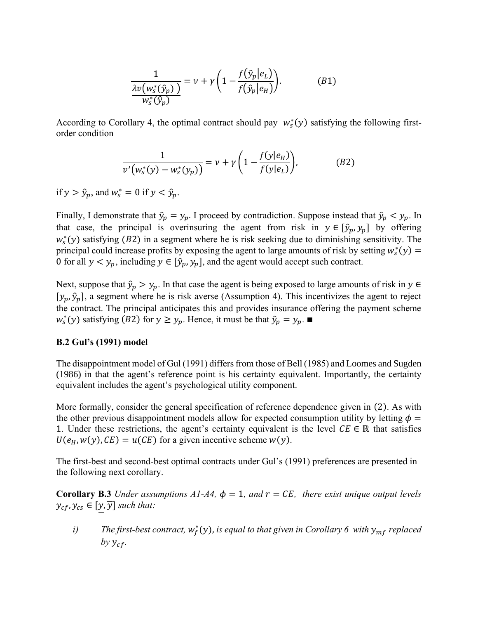$$
\frac{1}{\frac{\lambda v(w_s^*(\hat{y}_p))}{w_s^*(\hat{y}_p)}} = v + \gamma \left(1 - \frac{f(\hat{y}_p|e_L)}{f(\hat{y}_p|e_H)}\right).
$$
\n(B1)

According to Corollary 4, the optimal contract should pay  $w_s^*(y)$  satisfying the following firstorder condition

$$
\frac{1}{v'(w_s^*(y) - w_s^*(y_p))} = v + \gamma \left(1 - \frac{f(y|e_H)}{f(y|e_L)}\right),
$$
 (B2)

if  $y > \hat{y}_p$ , and  $w_s^* = 0$  if  $y < \hat{y}_p$ .

Finally, I demonstrate that  $\hat{y}_p = y_p$ . I proceed by contradiction. Suppose instead that  $\hat{y}_p < y_p$ . In that case, the principal is overinsuring the agent from risk in  $y \in [\hat{y}_p, y_p]$  by offering  $w_s^*(y)$  satisfying (B2) in a segment where he is risk seeking due to diminishing sensitivity. The principal could increase profits by exposing the agent to large amounts of risk by setting  $w_s^*(y) =$ 0 for all  $y < y_p$ , including  $y \in [\hat{y}_p, y_p]$ , and the agent would accept such contract.

Next, suppose that  $\hat{y}_p > y_p$ . In that case the agent is being exposed to large amounts of risk in  $y \in$  $[y_p, \hat{y}_p]$ , a segment where he is risk averse (Assumption 4). This incentivizes the agent to reject the contract. The principal anticipates this and provides insurance offering the payment scheme  $w_s^*(y)$  satisfying (B2) for  $y \ge y_p$ . Hence, it must be that  $\hat{y}_p = y_p$ .

#### **B.2 Gul's (1991) model**

The disappointment model of Gul (1991) differs from those of Bell (1985) and Loomes and Sugden (1986) in that the agent's reference point is his certainty equivalent. Importantly, the certainty equivalent includes the agent's psychological utility component.

More formally, consider the general specification of reference dependence given in (2). As with the other previous disappointment models allow for expected consumption utility by letting  $\phi =$ 1. Under these restrictions, the agent's certainty equivalent is the level  $CE \in \mathbb{R}$  that satisfies  $U(e_H, w(y), CE) = u(CE)$  for a given incentive scheme  $w(y)$ .

The first-best and second-best optimal contracts under Gul's (1991) preferences are presented in the following next corollary.

**Corollary B.3** *Under assumptions A1-A4,*  $\phi = 1$ *, and*  $r = CE$ *, there exist unique output levels*  $y_{cf}$ ,  $y_{cs} \in [y, \overline{y}]$  such that:

*i*) The first-best contract,  $w_f^*(y)$ , is equal to that given in Corollary 6 with  $y_{mf}$  replaced *by*  $y_{cf}$ .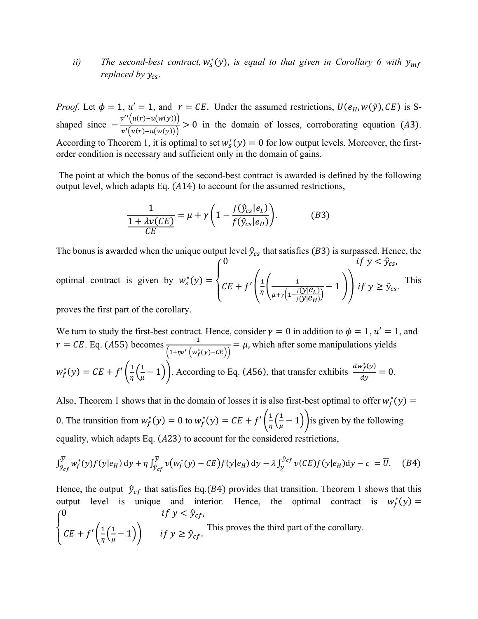*ii*) The second-best contract,  $w_s^*(y)$ , is equal to that given in Corollary 6 with  $y_{mf}$ *replaced by*  $y_{cs}$ *.* 

*Proof.* Let  $\phi = 1$ ,  $u' = 1$ , and  $r = CE$ . Under the assumed restrictions,  $U(e_H, w(\tilde{y}), CE)$  is Sshaped since  $-\frac{v''(u(r)-u(w(y)))}{(v'(r)-u(w(x)))}$  $\frac{\Gamma(\alpha,\beta,\alpha)}{\nu'(\mu(r)-\mu(\nu(y)))} > 0$  in the domain of losses, corroborating equation (A3). According to Theorem 1, it is optimal to set  $w_s^*(y) = 0$  for low output levels. Moreover, the firstorder condition is necessary and sufficient only in the domain of gains.

The point at which the bonus of the second-best contract is awarded is defined by the following output level, which adapts Eq.  $(A14)$  to account for the assumed restrictions,

$$
\frac{1}{1 + \lambda v(CE)} = \mu + \gamma \left( 1 - \frac{f(\hat{y}_{cs}|e_L)}{f(\hat{y}_{cs}|e_H)} \right). \tag{B3}
$$

The bonus is awarded when the unique output level  $\hat{y}_{cs}$  that satisfies (B3) is surpassed. Hence, the  $\sqrt{0}$ if  $y < \hat{y}_{cs}$ 

optimal contract is given by 
$$
w_s^*(y) = \begin{cases} CE + f'\left(\frac{1}{\eta}\left(\frac{1}{\mu + \gamma\left(1 - \frac{f(y|\mathcal{C}_L)}{f(y|\mathcal{C}_H)}\right)} - 1\right)\right) & \text{if } y \ge \hat{y}_c \text{,} \end{cases}
$$

proves the first part of the corollary.

We turn to study the first-best contract. Hence, consider  $\gamma = 0$  in addition to  $\phi = 1$ ,  $u' = 1$ , and  $r = CE$ . Eq. (A55) becomes  $\frac{1}{(1 + k)^2}$  $\frac{1}{(1+n\nu'\left(w_f^*(y)-CE\right))} = \mu$ , which after some manipulations yields  $w_f^*(y) = CE + f'(\frac{1}{n})$  $rac{1}{\eta} igg( \frac{1}{\mu} \bigg)$  $(\frac{1}{\mu} - 1)$ . According to Eq. (A56), that transfer exhibits  $\frac{dw_f^*(y)}{dy}$  $\frac{f(y)}{dy} = 0.$ 

Also, Theorem 1 shows that in the domain of losses it is also first-best optimal to offer  $w_f^*(y)$  = 0. The transition from  $w_f^*(y) = 0$  to  $w_f^*(y) = CE + f'(\frac{1}{n})$  $rac{1}{\eta} igg( \frac{1}{\mu} \bigg)$  $(\frac{1}{\mu}-1)$  is given by the following equality, which adapts Eq.  $(A23)$  to account for the considered restrictions,

$$
\int_{\hat{\mathcal{Y}}_{cf}}^{\overline{\mathcal{Y}}} w_f^*(y) f(y|e_H) \, \mathrm{d}y + \eta \int_{\hat{\mathcal{Y}}_{cf}}^{\overline{\mathcal{Y}}} v(w_f^*(y) - CE) f(y|e_H) \, \mathrm{d}y - \lambda \int_{\underline{y}}^{\hat{\mathcal{Y}}_{cf}} v(CE) f(y|e_H) \, \mathrm{d}y - c = \overline{U}. \tag{B4}
$$

Hence, the output  $\hat{y}_{cf}$  that satisfies Eq.(B4) provides that transition. Theorem 1 shows that this output level is unique and interior. Hence, the optimal contract is  $w_f^*(y) =$ { 0  $\qquad \qquad \text{if } y < \hat{y}_{cf},$  $CE + f'(\frac{1}{n})$  $\frac{1}{\eta}$  $\left(\frac{1}{\mu}\right)$  $(\frac{1}{\mu}-1)$ ) if  $y \geq \hat{y}_{cf}$ . This proves the third part of the corollary.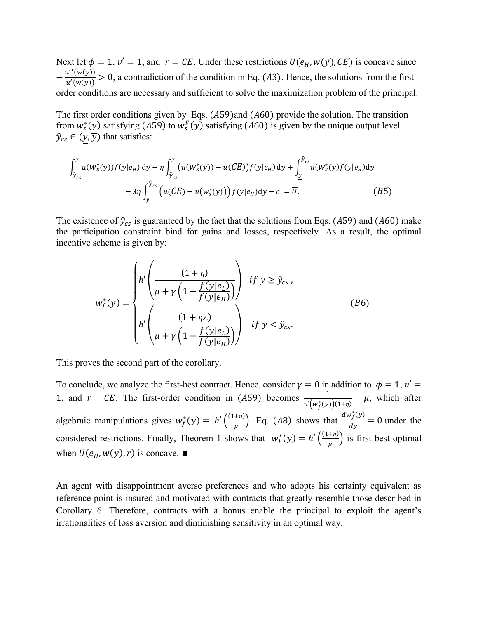Next let  $\phi = 1$ ,  $v' = 1$ , and  $r = CE$ . Under these restrictions  $U(e_H, w(\tilde{y}), CE)$  is concave since  $-\frac{u''(w(y))}{u'(w(y))}$  $\frac{d(u(y))}{u'(w(y))} > 0$ , a contradiction of the condition in Eq. (A3). Hence, the solutions from the firstorder conditions are necessary and sufficient to solve the maximization problem of the principal.

The first order conditions given by Eqs.  $(A59)$  and  $(A60)$  provide the solution. The transition from  $w_s^*(y)$  satisfying (A59) to  $w_s^F(y)$  satisfying (A60) is given by the unique output level  $\hat{y}_{cs} \in (y, \overline{y})$  that satisfies:

$$
\int_{\hat{y}_{cs}}^{\overline{y}} u(w_s^*(y)) f(y|e_H) dy + \eta \int_{\hat{y}_{cs}}^{\overline{y}} \left( u(w_s^*(y)) - u(CE) \right) f(y|e_H) dy + \int_{\underline{y}}^{\hat{y}_{cs}} u(w_s^*(y) f(y|e_H) dy - \lambda \eta \int_{\underline{y}}^{\hat{y}_{cs}} \left( u(CE) - u(w_s^*(y)) \right) f(y|e_H) dy - c = \overline{U}.
$$
 (B5)

The existence of  $\hat{y}_{cs}$  is guaranteed by the fact that the solutions from Eqs. (A59) and (A60) make the participation constraint bind for gains and losses, respectively. As a result, the optimal incentive scheme is given by:

$$
w_f^*(y) = \begin{cases} h' \left( \frac{(1+\eta)}{\mu + \gamma \left( 1 - \frac{f(y|e_L)}{f(y|e_H)} \right)} \right) & \text{if } y \ge \hat{y}_{cs}, \\ h' \left( \frac{(1+\eta \lambda)}{\mu + \gamma \left( 1 - \frac{f(y|e_L)}{f(y|e_H)} \right)} \right) & \text{if } y < \hat{y}_{cs}. \end{cases}
$$
(B6)

This proves the second part of the corollary.

To conclude, we analyze the first-best contract. Hence, consider  $\gamma = 0$  in addition to  $\phi = 1, v' =$ 1, and  $r = CE$ . The first-order condition in (A59) becomes  $\frac{1}{\sqrt{1 + x^2}}$  $\frac{1}{u'(w_f^*(y))(1+\eta)} = \mu$ , which after algebraic manipulations gives  $w_f^*(y) = h' \left( \frac{(1+\eta)}{y} \right)$  $\left(\frac{1}{\mu}\right)^{+\eta}$ . Eq. (A8) shows that  $\frac{dw_f^*(y)}{dy}$  $\frac{dy}{dy}$  = 0 under the considered restrictions. Finally, Theorem 1 shows that  $w_f^*(y) = h' \left( \frac{(1+\eta)}{n} \right)$  $\left(\frac{H_{\text{H}}}{\mu}\right)$  is first-best optimal when  $U(e_H, w(y), r)$  is concave. ■

An agent with disappointment averse preferences and who adopts his certainty equivalent as reference point is insured and motivated with contracts that greatly resemble those described in Corollary 6. Therefore, contracts with a bonus enable the principal to exploit the agent's irrationalities of loss aversion and diminishing sensitivity in an optimal way.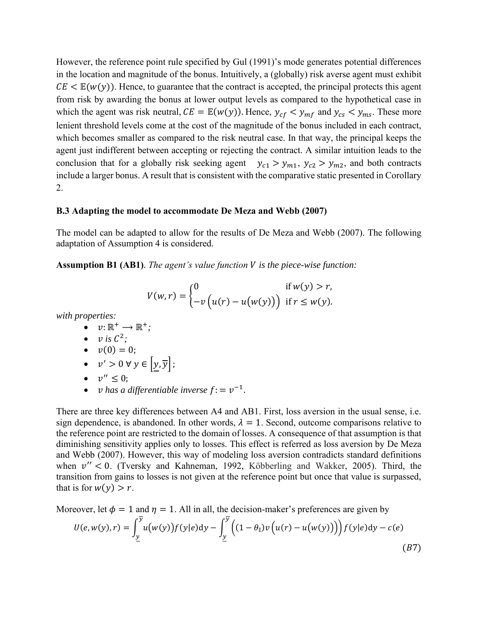However, the reference point rule specified by Gul (1991)'s mode generates potential differences in the location and magnitude of the bonus. Intuitively, a (globally) risk averse agent must exhibit  $CE \leq E(w(y))$ . Hence, to guarantee that the contract is accepted, the principal protects this agent from risk by awarding the bonus at lower output levels as compared to the hypothetical case in which the agent was risk neutral,  $CE = \mathbb{E}(w(y))$ . Hence,  $y_{cf} < y_{mf}$  and  $y_{cs} < y_{ms}$ . These more lenient threshold levels come at the cost of the magnitude of the bonus included in each contract, which becomes smaller as compared to the risk neutral case. In that way, the principal keeps the agent just indifferent between accepting or rejecting the contract. A similar intuition leads to the conclusion that for a globally risk seeking agent  $y_{c1} > y_{m1}$ ,  $y_{c2} > y_{m2}$ , and both contracts include a larger bonus. A result that is consistent with the comparative static presented in Corollary 2.

## **B.3 Adapting the model to accommodate De Meza and Webb (2007)**

The model can be adapted to allow for the results of De Meza and Webb (2007). The following adaptation of Assumption 4 is considered.

**Assumption B1 (AB1)**. *The agent's value function is the piece-wise function:* 

$$
V(w,r) = \begin{cases} 0 & \text{if } w(y) > r, \\ -v(u(r) - u(w(y))) & \text{if } r \leq w(y). \end{cases}
$$

*with properties:*

$$
\bullet \quad \nu \colon \mathbb{R}^+ \to \mathbb{R}^+;
$$

• 
$$
v
$$
 is  $\mathcal{C}^2$ ;

$$
\bullet \quad v(0)=0;
$$

• 
$$
v' > 0 \forall y \in |y, \overline{y}|;
$$

$$
\bullet \quad v^{\prime\prime}\leq 0;
$$

• *v* has a differentiable inverse  $f: = v^{-1}$ .

There are three key differences between A4 and AB1. First, loss aversion in the usual sense, i.e. sign dependence, is abandoned. In other words,  $\lambda = 1$ . Second, outcome comparisons relative to the reference point are restricted to the domain of losses. A consequence of that assumption is that diminishing sensitivity applies only to losses. This effect is referred as loss aversion by De Meza and Webb (2007). However, this way of modeling loss aversion contradicts standard definitions when  $v'' < 0$ . (Tversky and Kahneman, 1992, Köbberling and Wakker, 2005). Third, the transition from gains to losses is not given at the reference point but once that value is surpassed, that is for  $w(y) > r$ .

Moreover, let  $\phi = 1$  and  $\eta = 1$ . All in all, the decision-maker's preferences are given by

$$
U(e, w(y), r) = \int_{\underline{y}}^{\overline{y}} u(w(y)) f(y|e) dy - \int_{\underline{y}}^{\overline{y}} \Big( (1 - \theta_{\mathbb{I}}) v \Big( u(r) - u(w(y)) \Big) \Big) f(y|e) dy - c(e)
$$
\n(B7)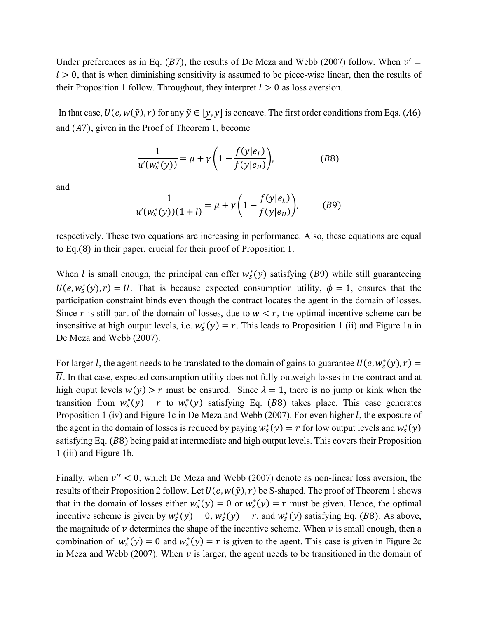Under preferences as in Eq. (B7), the results of De Meza and Webb (2007) follow. When  $v' =$  $l > 0$ , that is when diminishing sensitivity is assumed to be piece-wise linear, then the results of their Proposition 1 follow. Throughout, they interpret  $l > 0$  as loss aversion.

In that case,  $U(e, w(\tilde{y}), r)$  for any  $\tilde{y} \in [y, \overline{y}]$  is concave. The first order conditions from Eqs. (A6) and  $(A7)$ , given in the Proof of Theorem 1, become

$$
\frac{1}{u'(w_s^*(y))} = \mu + \gamma \left( 1 - \frac{f(y|e_L)}{f(y|e_H)} \right),\tag{B8}
$$

and

$$
\frac{1}{u'(w_s^*(y))(1+l)} = \mu + \gamma \left(1 - \frac{f(y|e_L)}{f(y|e_H)}\right), \quad (B9)
$$

respectively. These two equations are increasing in performance. Also, these equations are equal to Eq.(8) in their paper, crucial for their proof of Proposition 1.

When *l* is small enough, the principal can offer  $w_s^*(y)$  satisfying (B9) while still guaranteeing  $U(e, w_s^*(y), r) = \overline{U}$ . That is because expected consumption utility,  $\phi = 1$ , ensures that the participation constraint binds even though the contract locates the agent in the domain of losses. Since r is still part of the domain of losses, due to  $w < r$ , the optimal incentive scheme can be insensitive at high output levels, i.e.  $w_s^*(y) = r$ . This leads to Proposition 1 (ii) and Figure 1a in De Meza and Webb (2007).

For larger *l*, the agent needs to be translated to the domain of gains to guarantee  $U(e, w_s^*(y), r) =$ . In that case, expected consumption utility does not fully outweigh losses in the contract and at high ouput levels  $w(y) > r$  must be ensured. Since  $\lambda = 1$ , there is no jump or kink when the transition from  $w_s^*(y) = r$  to  $w_s^*(y)$  satisfying Eq. (B8) takes place. This case generates Proposition 1 (iv) and Figure 1c in De Meza and Webb (2007). For even higher  $l$ , the exposure of the agent in the domain of losses is reduced by paying  $w_s^*(y) = r$  for low output levels and  $w_s^*(y)$ satisfying Eq. (B8) being paid at intermediate and high output levels. This covers their Proposition 1 (iii) and Figure 1b.

Finally, when  $v'' < 0$ , which De Meza and Webb (2007) denote as non-linear loss aversion, the results of their Proposition 2 follow. Let  $U(e, w(\tilde{y}), r)$  be S-shaped. The proof of Theorem 1 shows that in the domain of losses either  $w_s^*(y) = 0$  or  $w_s^*(y) = r$  must be given. Hence, the optimal incentive scheme is given by  $w_s^*(y) = 0$ ,  $w_s^*(y) = r$ , and  $w_s^*(y)$  satisfying Eq. (B8). As above, the magnitude of  $\nu$  determines the shape of the incentive scheme. When  $\nu$  is small enough, then a combination of  $w_s^*(y) = 0$  and  $w_s^*(y) = r$  is given to the agent. This case is given in Figure 2c in Meza and Webb (2007). When  $\nu$  is larger, the agent needs to be transitioned in the domain of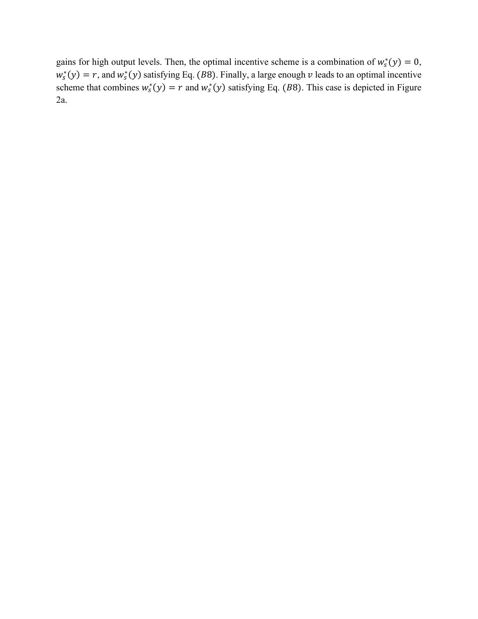gains for high output levels. Then, the optimal incentive scheme is a combination of  $w_s^*(y) = 0$ ,  $w_s^*(y) = r$ , and  $w_s^*(y)$  satisfying Eq. (B8). Finally, a large enough v leads to an optimal incentive scheme that combines  $w_s^*(y) = r$  and  $w_s^*(y)$  satisfying Eq. (B8). This case is depicted in Figure 2a.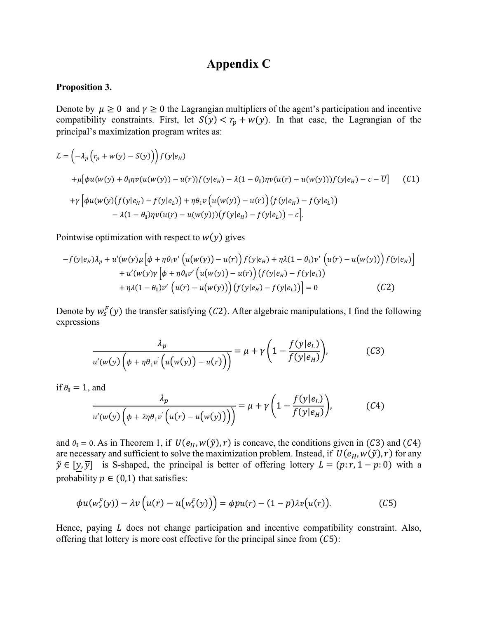# **Appendix C**

#### **Proposition 3.**

Denote by  $\mu \ge 0$  and  $\gamma \ge 0$  the Lagrangian multipliers of the agent's participation and incentive compatibility constraints. First, let  $S(y) < r_p + w(y)$ . In that case, the Lagrangian of the principal's maximization program writes as:

$$
\mathcal{L} = \left( -\lambda_p \left( r_p + w(y) - S(y) \right) \right) f(y|e_H)
$$
  
+  $\mu [\phi u(w(y) + \theta_1 \eta v(u(w(y)) - u(r)) f(y|e_H) - \lambda (1 - \theta_1) \eta v(u(r) - u(w(y))) f(y|e_H) - c - \overline{U}]$  (C1)  
+ $\gamma \left[ \phi u(w(y) \left( f(y|e_H) - f(y|e_L) \right) + \eta \theta_1 v \left( u(w(y) \right) - u(r) \right) \left( f(y|e_H) - f(y|e_L) \right) - \lambda (1 - \theta_1) \eta v(u(r) - u(w(y))) \left( f(y|e_H) - f(y|e_L) \right) - c \right].$ 

Pointwise optimization with respect to  $w(y)$  gives

$$
-f(y|e_H)\lambda_p + u'(w(y)\mu\left[\phi + \eta \theta_1 v'\left(u(w(y)) - u(r)\right)f(y|e_H) + \eta \lambda (1 - \theta_1)v'\left(u(r) - u(w(y))\right)f(y|e_H)\right] + u'(w(y)\gamma\left[\phi + \eta \theta_1 v'\left(u(w(y)) - u(r)\right)\left(f(y|e_H) - f(y|e_L)\right)\right] + \eta \lambda (1 - \theta_1)v'\left(u(r) - u(w(y))\right)\left(f(y|e_H) - f(y|e_L)\right)\right] = 0
$$
 (C2)

Denote by  $w_s^F(y)$  the transfer satisfying (C2). After algebraic manipulations, I find the following expressions

$$
\frac{\lambda_p}{u'(w(y)\left(\phi + \eta \theta_1 v'\left(u(w(y)) - u(r)\right)\right)} = \mu + \gamma \left(1 - \frac{f(y|e_L)}{f(y|e_H)}\right),\tag{C3}
$$

if  $\theta_{\parallel} = 1$ , and

$$
\frac{\lambda_p}{u'(w(y)\left(\phi + \lambda \eta \theta_1 v'\left(u(r) - u(w(y))\right)\right)} = \mu + \gamma \left(1 - \frac{f(y|e_L)}{f(y|e_H)}\right),\tag{C4}
$$

and  $\theta_{\parallel} = 0$ . As in Theorem 1, if  $U(e_H, w(\tilde{y}), r)$  is concave, the conditions given in (C3) and (C4) are necessary and sufficient to solve the maximization problem. Instead, if  $U(e_H, w(\tilde{y}), r)$  for any  $\tilde{y} \in [y, \overline{y}]$  is S-shaped, the principal is better of offering lottery  $L = (p:r, 1 - p: 0)$  with a probability  $p \in (0,1)$  that satisfies:

$$
\phi u(w_s^F(y)) - \lambda v\left(u(r) - u\left(w_s^F(y)\right)\right) = \phi p u(r) - (1 - p)\lambda v\left(u(r)\right). \tag{C5}
$$

Hence, paying  $L$  does not change participation and incentive compatibility constraint. Also, offering that lottery is more cost effective for the principal since from  $(C5)$ :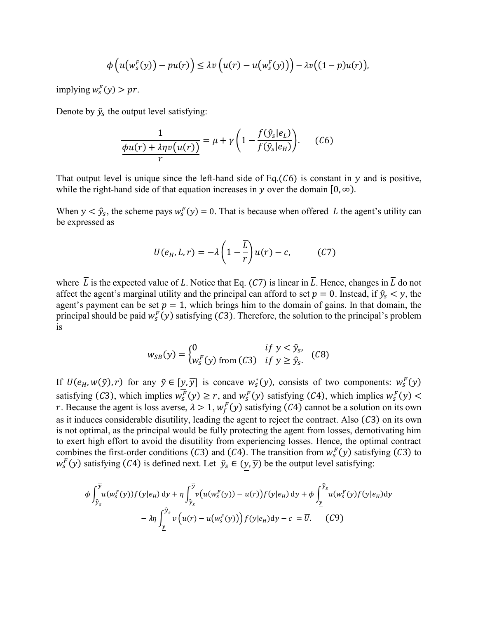$$
\phi\left(u\big(w_s^F(y)\big)-pu(r)\right)\leq \lambda v\left(u(r)-u\big(w_s^F(y)\big)\right)-\lambda v\big((1-p)u(r)\big),
$$

implying  $w_s^F(y) > pr$ .

Denote by  $\hat{y}_s$  the output level satisfying:

$$
\frac{1}{\phi u(r) + \lambda \eta v(u(r))} = \mu + \gamma \left( 1 - \frac{f(\hat{y}_s|e_L)}{f(\hat{y}_s|e_H)} \right). \tag{C6}
$$

That output level is unique since the left-hand side of Eq.( $C6$ ) is constant in  $\gamma$  and is positive, while the right-hand side of that equation increases in y over the domain  $[0, \infty)$ .

When  $y < \hat{y}_s$ , the scheme pays  $w_s^F(y) = 0$ . That is because when offered L the agent's utility can be expressed as

$$
U(e_H, L, r) = -\lambda \left(1 - \frac{\overline{L}}{r}\right)u(r) - c,\tag{C7}
$$

where  $\overline{L}$  is the expected value of L. Notice that Eq. (C7) is linear in  $\overline{L}$ . Hence, changes in  $\overline{L}$  do not affect the agent's marginal utility and the principal can afford to set  $p = 0$ . Instead, if  $\hat{y}_s < y$ , the agent's payment can be set  $p = 1$ , which brings him to the domain of gains. In that domain, the principal should be paid  $w_s^F(y)$  satisfying (C3). Therefore, the solution to the principal's problem is

$$
w_{SB}(y) = \begin{cases} 0 & \text{if } y < \hat{y}_s, \\ w_s^F(y) & \text{from } (C3) & \text{if } y \ge \hat{y}_s. \end{cases}
$$
 (C8)

If  $U(e_H, w(\tilde{y}), r)$  for any  $\tilde{y} \in [y, \overline{y}]$  is concave  $w_s^*(y)$ , consists of two components:  $w_s^F(y)$ satisfying (C3), which implies  $w_s^F(y) \ge r$ , and  $w_s^F(y)$  satisfying (C4), which implies  $w_s^F(y)$ r. Because the agent is loss averse,  $\lambda > 1$ ,  $w_f^F(y)$  satisfying (C4) cannot be a solution on its own as it induces considerable disutility, leading the agent to reject the contract. Also  $(C3)$  on its own is not optimal, as the principal would be fully protecting the agent from losses, demotivating him to exert high effort to avoid the disutility from experiencing losses. Hence, the optimal contract combines the first-order conditions (C3) and (C4). The transition from  $w_s^F(y)$  satisfying (C3) to  $w_s^F(y)$  satisfying (C4) is defined next. Let  $\hat{y}_s \in (y, \overline{y})$  be the output level satisfying:

$$
\phi \int_{\hat{y}_s}^{\overline{y}} u(w_s^F(y)) f(y|e_H) dy + \eta \int_{\hat{y}_s}^{\overline{y}} v(u(w_s^F(y)) - u(r)) f(y|e_H) dy + \phi \int_{\underline{y}}^{\hat{y}_s} u(w_s^F(y) f(y|e_H) dy - \lambda \eta \int_{\underline{y}}^{\hat{y}_s} v(u(r) - u(w_s^F(y))) f(y|e_H) dy - c = \overline{U}.
$$
 (C9)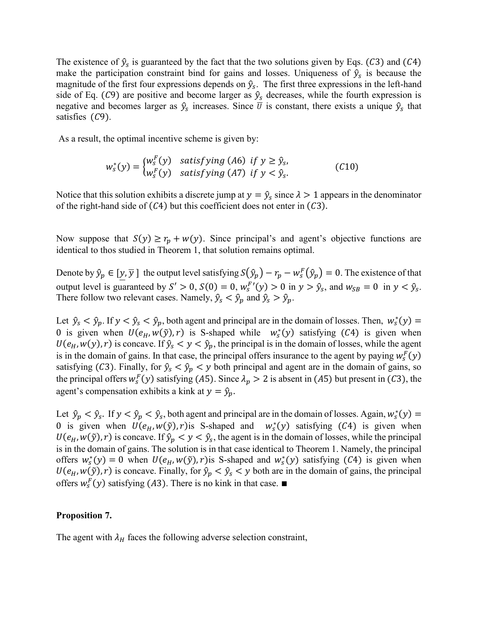The existence of  $\hat{y}_s$  is guaranteed by the fact that the two solutions given by Eqs. (C3) and (C4) make the participation constraint bind for gains and losses. Uniqueness of  $\hat{y}_s$  is because the magnitude of the first four expressions depends on  $\hat{y}_s$ . The first three expressions in the left-hand side of Eq. (C9) are positive and become larger as  $\hat{y}_s$  decreases, while the fourth expression is negative and becomes larger as  $\hat{y}_s$  increases. Since  $\bar{U}$  is constant, there exists a unique  $\hat{y}_s$  that satisfies  $(C9)$ .

As a result, the optimal incentive scheme is given by:

$$
w_s^*(y) = \begin{cases} w_s^F(y) & \text{satisfying (A6) if } y \ge \hat{y}_s, \\ w_s^F(y) & \text{satisfying (A7) if } y < \hat{y}_s. \end{cases}
$$
 (C10)

Notice that this solution exhibits a discrete jump at  $y = \hat{y}_s$  since  $\lambda > 1$  appears in the denominator of the right-hand side of  $(C4)$  but this coefficient does not enter in  $(C3)$ .

Now suppose that  $S(y) \ge r_p + w(y)$ . Since principal's and agent's objective functions are identical to thos studied in Theorem 1, that solution remains optimal.

Denote by  $\hat{y}_p \in [y, \overline{y}]$  the output level satisfying  $S(\hat{y}_p) - r_p - w_s^F(\hat{y}_p) = 0$ . The existence of that output level is guaranteed by  $S' > 0$ ,  $S(0) = 0$ ,  $w_s^{F'}(y) > 0$  in  $y > \hat{y}_s$ , and  $w_{SB} = 0$  in  $y < \hat{y}_s$ . There follow two relevant cases. Namely,  $\hat{y}_s < \hat{y}_p$  and  $\hat{y}_s > \hat{y}_p$ .

Let  $\hat{y}_s < \hat{y}_p$ . If  $y < \hat{y}_s < \hat{y}_p$ , both agent and principal are in the domain of losses. Then,  $w_s^*(y)$  = 0 is given when  $U(e_H, w(\tilde{y}), r)$  is S-shaped while  $w_s^*(y)$  satisfying (C4) is given when  $U(e_H, w(y), r)$  is concave. If  $\hat{y}_s < y < \hat{y}_p$ , the principal is in the domain of losses, while the agent is in the domain of gains. In that case, the principal offers insurance to the agent by paying  $w_s^F(y)$ satisfying (C3). Finally, for  $\hat{y}_s < \hat{y}_p < y$  both principal and agent are in the domain of gains, so the principal offers  $w_s^F(y)$  satisfying (A5). Since  $\lambda_p > 2$  is absent in (A5) but present in (C3), the agent's compensation exhibits a kink at  $y = \hat{y}_p$ .

Let  $\hat{y}_p < \hat{y}_s$ . If  $y < \hat{y}_p < \hat{y}_s$ , both agent and principal are in the domain of losses. Again,  $w_s^*(y)$  = 0 is given when  $U(e_H, w(\tilde{y}), r)$  is S-shaped and  $w_s^*(y)$  satisfying (C4) is given when  $U(e_H, w(\tilde{y}), r)$  is concave. If  $\hat{y}_p < y < \hat{y}_s$ , the agent is in the domain of losses, while the principal is in the domain of gains. The solution is in that case identical to Theorem 1. Namely, the principal offers  $w_s^*(y) = 0$  when  $U(e_H, w(\tilde{y}), r)$  is S-shaped and  $w_s^*(y)$  satisfying (C4) is given when  $U(e_H, w(\tilde{y}), r)$  is concave. Finally, for  $\hat{y}_p < \hat{y}_s < y$  both are in the domain of gains, the principal offers  $w_s^F(y)$  satisfying (A3). There is no kink in that case. ■

## **Proposition 7.**

The agent with  $\lambda_H$  faces the following adverse selection constraint,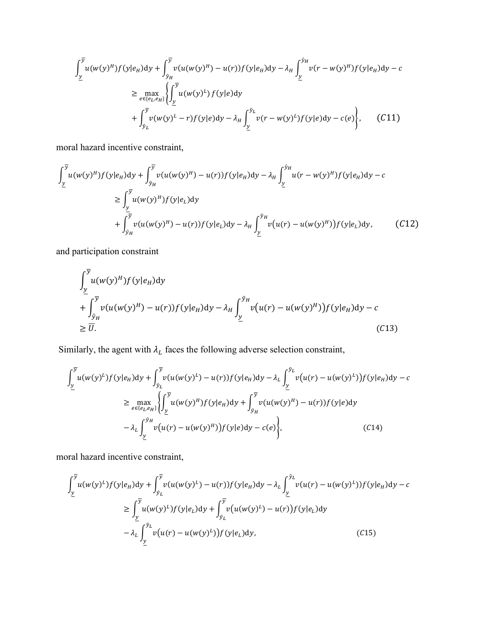$$
\int_{\underline{y}}^{\overline{y}} u(w(y)^{H}) f(y|e_{H}) dy + \int_{\hat{y}_{H}}^{\overline{y}} v(u(w(y)^{H}) - u(r)) f(y|e_{H}) dy - \lambda_{H} \int_{\underline{y}}^{\hat{y}_{H}} v(r - w(y)^{H}) f(y|e_{H}) dy - c
$$
\n
$$
\geq \max_{e \in \{e_{L}, e_{H}\}} \left\{ \int_{\underline{y}}^{\overline{y}} u(w(y)^{L}) f(y|e) dy - \lambda_{H} \int_{\underline{y}}^{\hat{y}_{L}} v(r - w(y)^{L}) f(y|e) dy - c(e) \right\}, \quad (C11)
$$

moral hazard incentive constraint,

$$
\int_{\underline{y}}^{\overline{y}} u(w(y)^{H}) f(y|e_{H}) dy + \int_{\hat{y}_{H}}^{\overline{y}} v(u(w(y)^{H}) - u(r)) f(y|e_{H}) dy - \lambda_{H} \int_{\underline{y}}^{\hat{y}_{H}} u(r - w(y)^{H}) f(y|e_{H}) dy - c
$$
\n
$$
\geq \int_{\underline{y}}^{\overline{y}} u(w(y)^{H}) f(y|e_{L}) dy + \int_{\hat{y}_{H}}^{\overline{y}} v(u(w(y)^{H}) - u(r)) f(y|e_{L}) dy - \lambda_{H} \int_{\underline{y}}^{\hat{y}_{H}} v(u(r) - u(w(y)^{H})) f(y|e_{L}) dy, \qquad (C12)
$$

and participation constraint

$$
\int_{\underline{y}}^{\overline{y}} u(w(y)^{H}) f(y|e_{H}) dy
$$
\n
$$
+ \int_{\hat{y}_{H}}^{\overline{y}} v(u(w(y)^{H}) - u(r)) f(y|e_{H}) dy - \lambda_{H} \int_{\underline{y}}^{\hat{y}_{H}} v(u(r) - u(w(y)^{H})) f(y|e_{H}) dy - c
$$
\n
$$
\geq \overline{U}.
$$
\n(C13)

Similarly, the agent with  $\lambda_L$  faces the following adverse selection constraint,

$$
\int_{\underline{y}}^{\overline{y}} u(w(y)^L) f(y|e_H) dy + \int_{\hat{y}_L}^{\overline{y}} v(u(w(y)^L) - u(r)) f(y|e_H) dy - \lambda_L \int_{\underline{y}}^{\hat{y}_L} v(u(r) - u(w(y)^L)) f(y|e_H) dy - c
$$
\n
$$
\geq \max_{e \in \{e_L, e_H\}} \left\{ \int_{\underline{y}}^{\overline{y}} u(w(y)^H) f(y|e_H) dy + \int_{\hat{y}_H}^{\overline{y}} v(u(w(y)^H) - u(r)) f(y|e) dy - \lambda_L \int_{\underline{y}}^{\hat{y}_H} v(u(r) - u(w(y)^H)) f(y|e) dy - c(e) \right\}, \tag{C14}
$$

moral hazard incentive constraint,

$$
\int_{\underline{y}}^{\overline{y}} u(w(y)^L) f(y|e_H) dy + \int_{\hat{y}_L}^{\overline{y}} v(u(w(y)^L) - u(r)) f(y|e_H) dy - \lambda_L \int_{\underline{y}}^{\hat{y}_L} v(u(r) - u(w(y)^L)) f(y|e_H) dy - c
$$
  
\n
$$
\geq \int_{\underline{y}}^{\overline{y}} u(w(y)^L) f(y|e_L) dy + \int_{\hat{y}_L}^{\overline{y}} v(u(w(y)^L) - u(r)) f(y|e_L) dy
$$
  
\n
$$
- \lambda_L \int_{\underline{y}}^{\hat{y}_L} v(u(r) - u(w(y)^L)) f(y|e_L) dy, \qquad (C15)
$$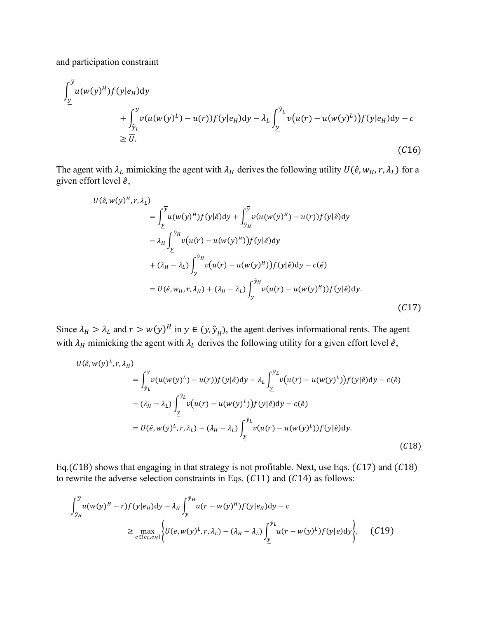and participation constraint

$$
\int_{\underline{y}}^{\overline{y}} u(w(y)^{H}) f(y|e_{H}) dy
$$
\n
$$
+ \int_{\widehat{y}_{L}}^{\overline{y}} v(u(w(y)^{L}) - u(r)) f(y|e_{H}) dy - \lambda_{L} \int_{\underline{y}}^{\widehat{y}_{L}} v(u(r) - u(w(y)^{L})) f(y|e_{H}) dy - c
$$
\n
$$
\geq \overline{U}.
$$
\n(C16)

The agent with  $\lambda_L$  mimicking the agent with  $\lambda_H$  derives the following utility  $U(\hat{e}, w_H, r, \lambda_L)$  for a given effort level  $\hat{e}$ ,

$$
U(\hat{e}, w(y)^H, r, \lambda_L)
$$
  
\n
$$
= \int_{\underline{y}}^{\overline{y}} u(w(y)^H) f(y|\hat{e}) dy + \int_{\hat{y}_H}^{\overline{y}} v(u(w(y)^H) - u(r)) f(y|\hat{e}) dy
$$
  
\n
$$
- \lambda_H \int_{\underline{y}}^{\hat{y}_H} v(u(r) - u(w(y)^H)) f(y|\hat{e}) dy
$$
  
\n
$$
+ (\lambda_H - \lambda_L) \int_{\underline{y}}^{\hat{y}_H} v(u(r) - u(w(y)^H)) f(y|\hat{e}) dy - c(\hat{e})
$$
  
\n
$$
= U(\hat{e}, w_H, r, \lambda_H) + (\lambda_H - \lambda_L) \int_{\underline{y}}^{\hat{y}_H} v(u(r) - u(w(y)^H)) f(y|\hat{e}) dy.
$$
\n(C17)

Since  $\lambda_H > \lambda_L$  and  $r > w(y)^H$  in  $y \in (\underline{y}, \hat{y}_H)$ , the agent derives informational rents. The agent with  $\lambda_H$  mimicking the agent with  $\lambda_L$  derives the following utility for a given effort level  $\hat{e}$ ,

$$
U(\hat{e}, w(y)^L, r, \lambda_H)
$$
  
\n
$$
= \int_{\hat{y}_L}^{\overline{y}} v(u(w(y)^L) - u(r)) f(y|\hat{e}) dy - \lambda_L \int_{\underline{y}}^{\hat{y}_L} v(u(r) - u(w(y)^L)) f(y|\hat{e}) dy - c(\hat{e})
$$
  
\n
$$
- (\lambda_H - \lambda_L) \int_{\underline{y}}^{\hat{y}_L} v(u(r) - u(w(y)^L)) f(y|\hat{e}) dy - c(\hat{e})
$$
  
\n
$$
= U(\hat{e}, w(y)^L, r, \lambda_L) - (\lambda_H - \lambda_L) \int_{\underline{y}}^{\hat{y}_L} v(u(r) - u(w(y)^L)) f(y|\hat{e}) dy.
$$
\n(C18)

Eq.( $C18$ ) shows that engaging in that strategy is not profitable. Next, use Eqs. ( $C17$ ) and ( $C18$ ) to rewrite the adverse selection constraints in Eqs.  $(C11)$  and  $(C14)$  as follows:

$$
\int_{\hat{y}_H}^{\overline{y}} u(w(y)^H - r) f(y|e_H) dy - \lambda_H \int_{\underline{y}}^{\hat{y}_H} u(r - w(y)^H) f(y|e_H) dy - c
$$
\n
$$
\geq \max_{e \in \{e_L, e_H\}} \left\{ U(e, w(y)^L, r, \lambda_L) - (\lambda_H - \lambda_L) \int_{\underline{y}}^{\hat{y}_L} u(r - w(y)^L) f(y|e) dy \right\}, \quad (C19)
$$